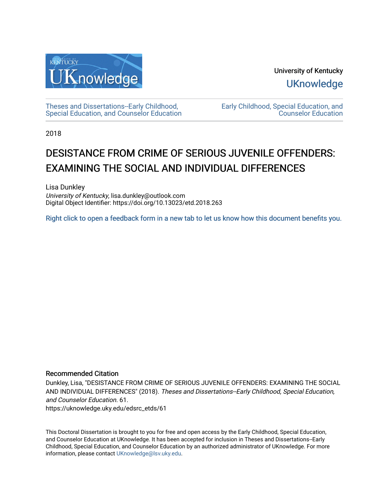

University of Kentucky **UKnowledge** 

[Theses and Dissertations--Early Childhood,](https://uknowledge.uky.edu/edsrc_etds)  [Special Education, and Counselor Education](https://uknowledge.uky.edu/edsrc_etds) [Early Childhood, Special Education, and](https://uknowledge.uky.edu/edsrc)  [Counselor Education](https://uknowledge.uky.edu/edsrc) 

2018

# DESISTANCE FROM CRIME OF SERIOUS JUVENILE OFFENDERS: EXAMINING THE SOCIAL AND INDIVIDUAL DIFFERENCES

Lisa Dunkley University of Kentucky, lisa.dunkley@outlook.com Digital Object Identifier: https://doi.org/10.13023/etd.2018.263

[Right click to open a feedback form in a new tab to let us know how this document benefits you.](https://uky.az1.qualtrics.com/jfe/form/SV_9mq8fx2GnONRfz7)

#### Recommended Citation

Dunkley, Lisa, "DESISTANCE FROM CRIME OF SERIOUS JUVENILE OFFENDERS: EXAMINING THE SOCIAL AND INDIVIDUAL DIFFERENCES" (2018). Theses and Dissertations--Early Childhood, Special Education, and Counselor Education. 61. https://uknowledge.uky.edu/edsrc\_etds/61

This Doctoral Dissertation is brought to you for free and open access by the Early Childhood, Special Education, and Counselor Education at UKnowledge. It has been accepted for inclusion in Theses and Dissertations--Early Childhood, Special Education, and Counselor Education by an authorized administrator of UKnowledge. For more information, please contact [UKnowledge@lsv.uky.edu](mailto:UKnowledge@lsv.uky.edu).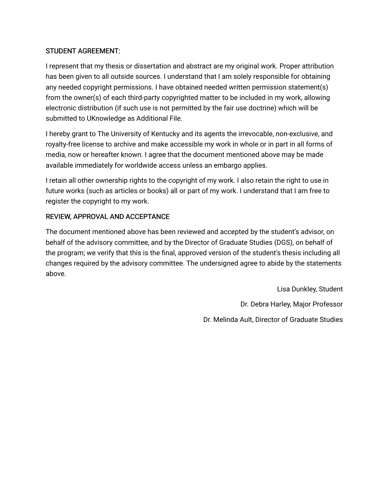### STUDENT AGREEMENT:

I represent that my thesis or dissertation and abstract are my original work. Proper attribution has been given to all outside sources. I understand that I am solely responsible for obtaining any needed copyright permissions. I have obtained needed written permission statement(s) from the owner(s) of each third-party copyrighted matter to be included in my work, allowing electronic distribution (if such use is not permitted by the fair use doctrine) which will be submitted to UKnowledge as Additional File.

I hereby grant to The University of Kentucky and its agents the irrevocable, non-exclusive, and royalty-free license to archive and make accessible my work in whole or in part in all forms of media, now or hereafter known. I agree that the document mentioned above may be made available immediately for worldwide access unless an embargo applies.

I retain all other ownership rights to the copyright of my work. I also retain the right to use in future works (such as articles or books) all or part of my work. I understand that I am free to register the copyright to my work.

### REVIEW, APPROVAL AND ACCEPTANCE

The document mentioned above has been reviewed and accepted by the student's advisor, on behalf of the advisory committee, and by the Director of Graduate Studies (DGS), on behalf of the program; we verify that this is the final, approved version of the student's thesis including all changes required by the advisory committee. The undersigned agree to abide by the statements above.

> Lisa Dunkley, Student Dr. Debra Harley, Major Professor Dr. Melinda Ault, Director of Graduate Studies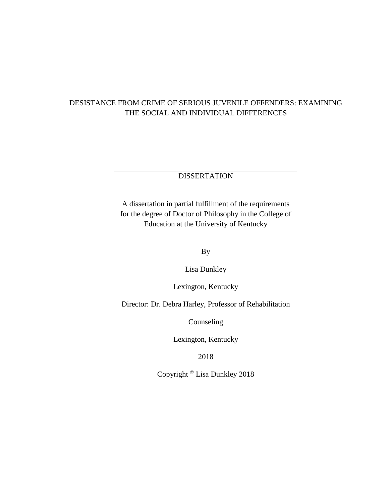### DESISTANCE FROM CRIME OF SERIOUS JUVENILE OFFENDERS: EXAMINING THE SOCIAL AND INDIVIDUAL DIFFERENCES

# **DISSERTATION**

A dissertation in partial fulfillment of the requirements for the degree of Doctor of Philosophy in the College of Education at the University of Kentucky

By

Lisa Dunkley

Lexington, Kentucky

Director: Dr. Debra Harley, Professor of Rehabilitation

Counseling

Lexington, Kentucky

2018

Copyright © Lisa Dunkley 2018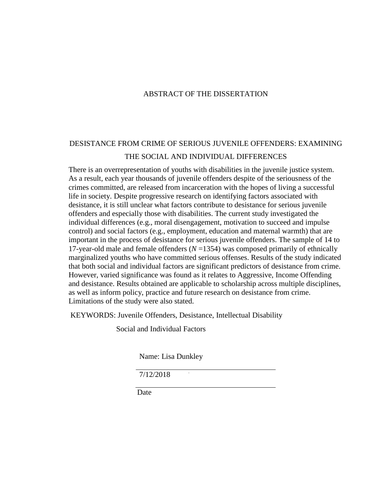### ABSTRACT OF THE DISSERTATION

# DESISTANCE FROM CRIME OF SERIOUS JUVENILE OFFENDERS: EXAMINING THE SOCIAL AND INDIVIDUAL DIFFERENCES

There is an overrepresentation of youths with disabilities in the juvenile justice system. As a result, each year thousands of juvenile offenders despite of the seriousness of the crimes committed, are released from incarceration with the hopes of living a successful life in society. Despite progressive research on identifying factors associated with desistance, it is still unclear what factors contribute to desistance for serious juvenile offenders and especially those with disabilities. The current study investigated the individual differences (e.g., moral disengagement, motivation to succeed and impulse control) and social factors (e.g., employment, education and maternal warmth) that are important in the process of desistance for serious juvenile offenders. The sample of 14 to 17-year-old male and female offenders (*N* =1354) was composed primarily of ethnically marginalized youths who have committed serious offenses. Results of the study indicated that both social and individual factors are significant predictors of desistance from crime. However, varied significance was found as it relates to Aggressive, Income Offending and desistance. Results obtained are applicable to scholarship across multiple disciplines, as well as inform policy, practice and future research on desistance from crime. Limitations of the study were also stated.

KEYWORDS: Juvenile Offenders, Desistance, Intellectual Disability

Social and Individual Factors

Name: Lisa Dunkley

7/12/2018

**Date**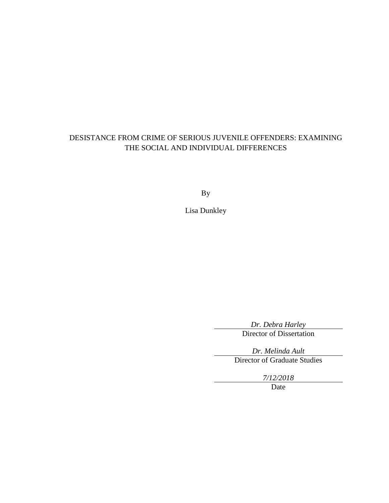# DESISTANCE FROM CRIME OF SERIOUS JUVENILE OFFENDERS: EXAMINING THE SOCIAL AND INDIVIDUAL DIFFERENCES

By

Lisa Dunkley

*Dr. Debra Harley* Director of Dissertation

*Dr. Melinda Ault* Director of Graduate Studies

*7/12/2018*

Date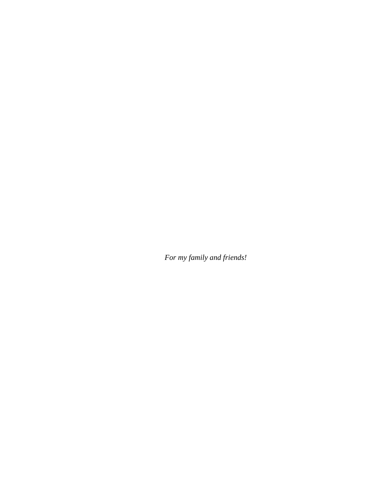*For my family and friends!*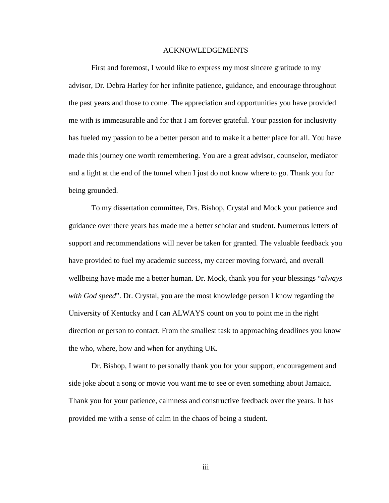#### ACKNOWLEDGEMENTS

First and foremost, I would like to express my most sincere gratitude to my advisor, Dr. Debra Harley for her infinite patience, guidance, and encourage throughout the past years and those to come. The appreciation and opportunities you have provided me with is immeasurable and for that I am forever grateful. Your passion for inclusivity has fueled my passion to be a better person and to make it a better place for all. You have made this journey one worth remembering. You are a great advisor, counselor, mediator and a light at the end of the tunnel when I just do not know where to go. Thank you for being grounded.

To my dissertation committee, Drs. Bishop, Crystal and Mock your patience and guidance over there years has made me a better scholar and student. Numerous letters of support and recommendations will never be taken for granted. The valuable feedback you have provided to fuel my academic success, my career moving forward, and overall wellbeing have made me a better human. Dr. Mock, thank you for your blessings "*always with God speed*". Dr. Crystal, you are the most knowledge person I know regarding the University of Kentucky and I can ALWAYS count on you to point me in the right direction or person to contact. From the smallest task to approaching deadlines you know the who, where, how and when for anything UK.

Dr. Bishop, I want to personally thank you for your support, encouragement and side joke about a song or movie you want me to see or even something about Jamaica. Thank you for your patience, calmness and constructive feedback over the years. It has provided me with a sense of calm in the chaos of being a student.

iii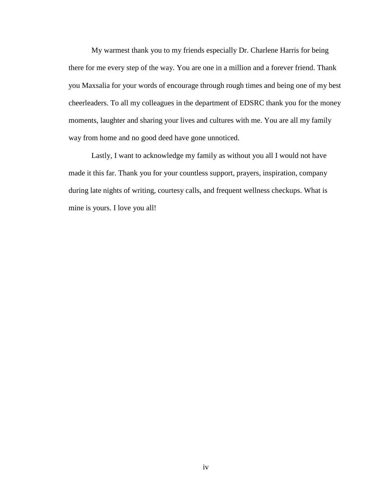My warmest thank you to my friends especially Dr. Charlene Harris for being there for me every step of the way. You are one in a million and a forever friend. Thank you Maxsalia for your words of encourage through rough times and being one of my best cheerleaders. To all my colleagues in the department of EDSRC thank you for the money moments, laughter and sharing your lives and cultures with me. You are all my family way from home and no good deed have gone unnoticed.

Lastly, I want to acknowledge my family as without you all I would not have made it this far. Thank you for your countless support, prayers, inspiration, company during late nights of writing, courtesy calls, and frequent wellness checkups. What is mine is yours. I love you all!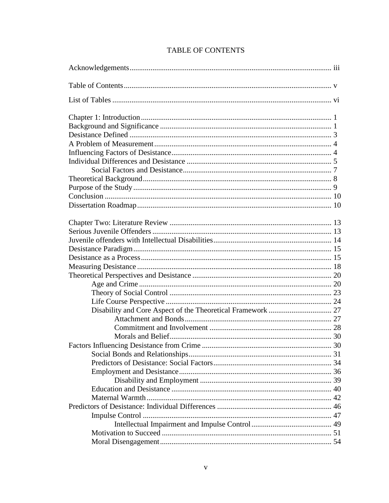|  | <b>TABLE OF CONTENTS</b> |
|--|--------------------------|
|--|--------------------------|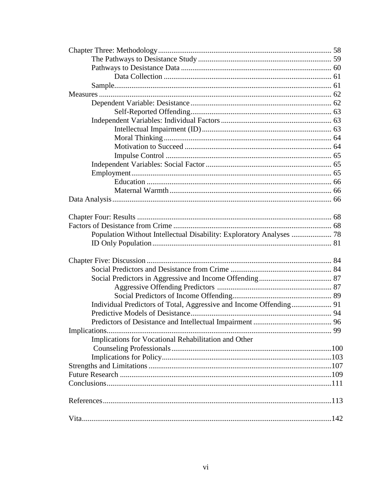| Population Without Intellectual Disability: Exploratory Analyses  78 |    |
|----------------------------------------------------------------------|----|
|                                                                      |    |
|                                                                      |    |
|                                                                      |    |
|                                                                      |    |
|                                                                      |    |
|                                                                      |    |
|                                                                      |    |
|                                                                      |    |
|                                                                      |    |
|                                                                      |    |
|                                                                      | 99 |
| Implications for Vocational Rehabilitation and Other                 |    |
|                                                                      |    |
|                                                                      |    |
|                                                                      |    |
|                                                                      |    |
|                                                                      |    |
|                                                                      |    |
|                                                                      |    |
|                                                                      |    |
|                                                                      |    |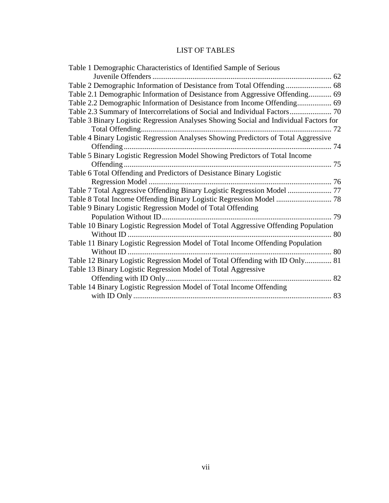# LIST OF TABLES

| Table 1 Demographic Characteristics of Identified Sample of Serious                   |  |
|---------------------------------------------------------------------------------------|--|
|                                                                                       |  |
|                                                                                       |  |
| Table 2.1 Demographic Information of Desistance from Aggressive Offending 69          |  |
|                                                                                       |  |
|                                                                                       |  |
| Table 3 Binary Logistic Regression Analyses Showing Social and Individual Factors for |  |
|                                                                                       |  |
| Table 4 Binary Logistic Regression Analyses Showing Predictors of Total Aggressive    |  |
|                                                                                       |  |
| Table 5 Binary Logistic Regression Model Showing Predictors of Total Income           |  |
|                                                                                       |  |
| Table 6 Total Offending and Predictors of Desistance Binary Logistic                  |  |
|                                                                                       |  |
|                                                                                       |  |
|                                                                                       |  |
| Table 9 Binary Logistic Regression Model of Total Offending                           |  |
|                                                                                       |  |
| Table 10 Binary Logistic Regression Model of Total Aggressive Offending Population    |  |
|                                                                                       |  |
| Table 11 Binary Logistic Regression Model of Total Income Offending Population        |  |
|                                                                                       |  |
| Table 12 Binary Logistic Regression Model of Total Offending with ID Only 81          |  |
| Table 13 Binary Logistic Regression Model of Total Aggressive                         |  |
|                                                                                       |  |
| Table 14 Binary Logistic Regression Model of Total Income Offending                   |  |
|                                                                                       |  |
|                                                                                       |  |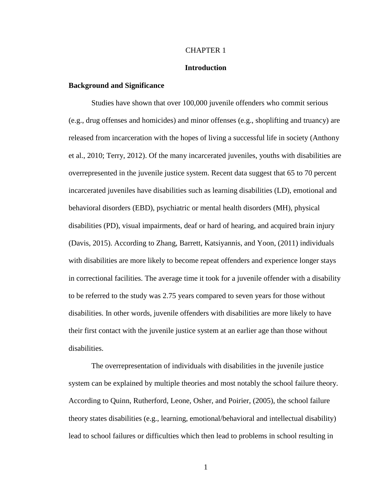#### CHAPTER 1

#### **Introduction**

#### **Background and Significance**

Studies have shown that over 100,000 juvenile offenders who commit serious (e.g., drug offenses and homicides) and minor offenses (e.g., shoplifting and truancy) are released from incarceration with the hopes of living a successful life in society (Anthony et al., 2010; Terry, 2012). Of the many incarcerated juveniles, youths with disabilities are overrepresented in the juvenile justice system. Recent data suggest that 65 to 70 percent incarcerated juveniles have disabilities such as learning disabilities (LD), emotional and behavioral disorders (EBD), psychiatric or mental health disorders (MH), physical disabilities (PD), visual impairments, deaf or hard of hearing, and acquired brain injury (Davis, 2015). According to Zhang, Barrett, Katsiyannis, and Yoon, (2011) individuals with disabilities are more likely to become repeat offenders and experience longer stays in correctional facilities. The average time it took for a juvenile offender with a disability to be referred to the study was 2.75 years compared to seven years for those without disabilities. In other words, juvenile offenders with disabilities are more likely to have their first contact with the juvenile justice system at an earlier age than those without disabilities.

The overrepresentation of individuals with disabilities in the juvenile justice system can be explained by multiple theories and most notably the school failure theory. According to Quinn, Rutherford, Leone, Osher, and Poirier, (2005), the school failure theory states disabilities (e.g., learning, emotional/behavioral and intellectual disability) lead to school failures or difficulties which then lead to problems in school resulting in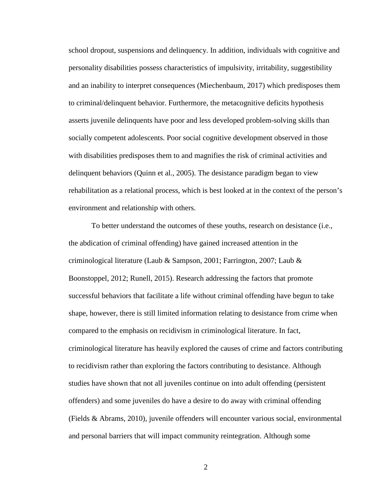school dropout, suspensions and delinquency. In addition, individuals with cognitive and personality disabilities possess characteristics of impulsivity, irritability, suggestibility and an inability to interpret consequences (Miechenbaum, 2017) which predisposes them to criminal/delinquent behavior. Furthermore, the metacognitive deficits hypothesis asserts juvenile delinquents have poor and less developed problem-solving skills than socially competent adolescents. Poor social cognitive development observed in those with disabilities predisposes them to and magnifies the risk of criminal activities and delinquent behaviors (Quinn et al., 2005). The desistance paradigm began to view rehabilitation as a relational process, which is best looked at in the context of the person's environment and relationship with others.

To better understand the outcomes of these youths, research on desistance (i.e., the abdication of criminal offending) have gained increased attention in the criminological literature (Laub & Sampson, 2001; Farrington, 2007; Laub & Boonstoppel, 2012; Runell, 2015). Research addressing the factors that promote successful behaviors that facilitate a life without criminal offending have begun to take shape, however, there is still limited information relating to desistance from crime when compared to the emphasis on recidivism in criminological literature. In fact, criminological literature has heavily explored the causes of crime and factors contributing to recidivism rather than exploring the factors contributing to desistance. Although studies have shown that not all juveniles continue on into adult offending (persistent offenders) and some juveniles do have a desire to do away with criminal offending (Fields & Abrams, 2010), juvenile offenders will encounter various social, environmental and personal barriers that will impact community reintegration. Although some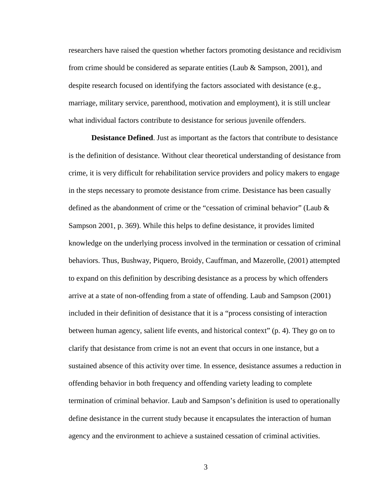researchers have raised the question whether factors promoting desistance and recidivism from crime should be considered as separate entities (Laub & Sampson, 2001), and despite research focused on identifying the factors associated with desistance (e.g., marriage, military service, parenthood, motivation and employment), it is still unclear what individual factors contribute to desistance for serious juvenile offenders.

**Desistance Defined**. Just as important as the factors that contribute to desistance is the definition of desistance. Without clear theoretical understanding of desistance from crime, it is very difficult for rehabilitation service providers and policy makers to engage in the steps necessary to promote desistance from crime. Desistance has been casually defined as the abandonment of crime or the "cessation of criminal behavior" (Laub  $\&$ Sampson 2001, p. 369). While this helps to define desistance, it provides limited knowledge on the underlying process involved in the termination or cessation of criminal behaviors. Thus, Bushway, Piquero, Broidy, Cauffman, and Mazerolle, (2001) attempted to expand on this definition by describing desistance as a process by which offenders arrive at a state of non-offending from a state of offending. Laub and Sampson (2001) included in their definition of desistance that it is a "process consisting of interaction between human agency, salient life events, and historical context" (p. 4). They go on to clarify that desistance from crime is not an event that occurs in one instance, but a sustained absence of this activity over time. In essence, desistance assumes a reduction in offending behavior in both frequency and offending variety leading to complete termination of criminal behavior. Laub and Sampson's definition is used to operationally define desistance in the current study because it encapsulates the interaction of human agency and the environment to achieve a sustained cessation of criminal activities.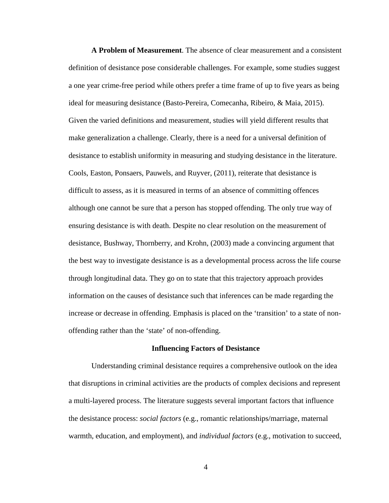**A Problem of Measurement**. The absence of clear measurement and a consistent definition of desistance pose considerable challenges. For example, some studies suggest a one year crime-free period while others prefer a time frame of up to five years as being ideal for measuring desistance (Basto-Pereira, Comecanha, Ribeiro, & Maia, 2015). Given the varied definitions and measurement, studies will yield different results that make generalization a challenge. Clearly, there is a need for a universal definition of desistance to establish uniformity in measuring and studying desistance in the literature. Cools, Easton, Ponsaers, Pauwels, and Ruyver, (2011), reiterate that desistance is difficult to assess, as it is measured in terms of an absence of committing offences although one cannot be sure that a person has stopped offending. The only true way of ensuring desistance is with death. Despite no clear resolution on the measurement of desistance, Bushway, Thornberry, and Krohn, (2003) made a convincing argument that the best way to investigate desistance is as a developmental process across the life course through longitudinal data. They go on to state that this trajectory approach provides information on the causes of desistance such that inferences can be made regarding the increase or decrease in offending. Emphasis is placed on the 'transition' to a state of nonoffending rather than the 'state' of non-offending.

#### **Influencing Factors of Desistance**

Understanding criminal desistance requires a comprehensive outlook on the idea that disruptions in criminal activities are the products of complex decisions and represent a multi-layered process. The literature suggests several important factors that influence the desistance process: *social factors* (e.g., romantic relationships/marriage, maternal warmth, education, and employment), and *individual factors* (e.g., motivation to succeed,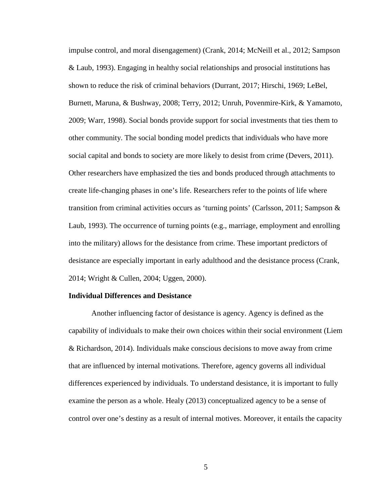impulse control, and moral disengagement) (Crank, 2014; McNeill et al., 2012; Sampson & Laub, 1993). Engaging in healthy social relationships and prosocial institutions has shown to reduce the risk of criminal behaviors (Durrant, 2017; Hirschi, 1969; LeBel, Burnett, Maruna, & Bushway, 2008; Terry, 2012; Unruh, Povenmire-Kirk, & Yamamoto, 2009; Warr, 1998). Social bonds provide support for social investments that ties them to other community. The social bonding model predicts that individuals who have more social capital and bonds to society are more likely to desist from crime (Devers, 2011). Other researchers have emphasized the ties and bonds produced through attachments to create life-changing phases in one's life. Researchers refer to the points of life where transition from criminal activities occurs as 'turning points' (Carlsson, 2011; Sampson & Laub, 1993). The occurrence of turning points (e.g., marriage, employment and enrolling into the military) allows for the desistance from crime. These important predictors of desistance are especially important in early adulthood and the desistance process (Crank, 2014; Wright & Cullen, 2004; Uggen, 2000).

#### **Individual Differences and Desistance**

Another influencing factor of desistance is agency. Agency is defined as the capability of individuals to make their own choices within their social environment (Liem & Richardson, 2014). Individuals make conscious decisions to move away from crime that are influenced by internal motivations. Therefore, agency governs all individual differences experienced by individuals. To understand desistance, it is important to fully examine the person as a whole. Healy (2013) conceptualized agency to be a sense of control over one's destiny as a result of internal motives. Moreover, it entails the capacity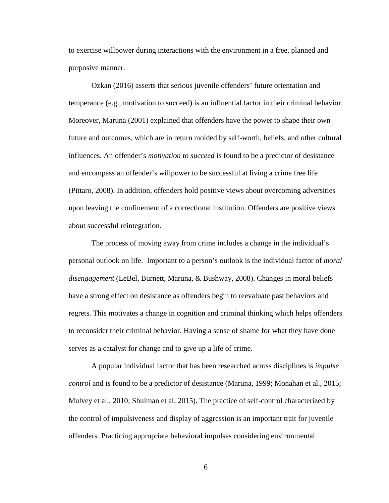to exercise willpower during interactions with the environment in a free, planned and purposive manner.

Ozkan (2016) asserts that serious juvenile offenders' future orientation and temperance (e.g., motivation to succeed) is an influential factor in their criminal behavior. Moreover, Maruna (2001) explained that offenders have the power to shape their own future and outcomes, which are in return molded by self-worth, beliefs, and other cultural influences. An offender's *motivation to succeed* is found to be a predictor of desistance and encompass an offender's willpower to be successful at living a crime free life (Pittaro, 2008). In addition, offenders hold positive views about overcoming adversities upon leaving the confinement of a correctional institution. Offenders are positive views about successful reintegration.

The process of moving away from crime includes a change in the individual's personal outlook on life. Important to a person's outlook is the individual factor of *moral disengagement* (LeBel, Burnett, Maruna, & Bushway, 2008). Changes in moral beliefs have a strong effect on desistance as offenders begin to reevaluate past behaviors and regrets. This motivates a change in cognition and criminal thinking which helps offenders to reconsider their criminal behavior. Having a sense of shame for what they have done serves as a catalyst for change and to give up a life of crime.

A popular individual factor that has been researched across disciplines is *impulse control* and is found to be a predictor of desistance (Maruna, 1999; Monahan et al., 2015; Mulvey et al., 2010; Shulman et al, 2015). The practice of self-control characterized by the control of impulsiveness and display of aggression is an important trait for juvenile offenders. Practicing appropriate behavioral impulses considering environmental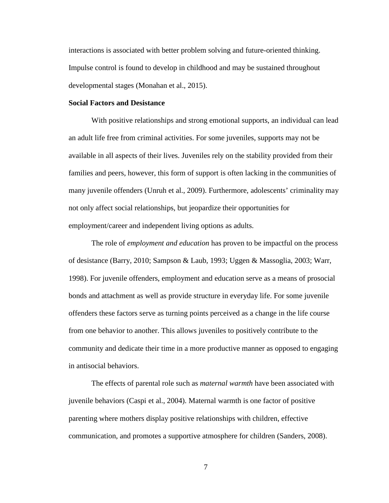interactions is associated with better problem solving and future-oriented thinking. Impulse control is found to develop in childhood and may be sustained throughout developmental stages (Monahan et al., 2015).

#### **Social Factors and Desistance**

With positive relationships and strong emotional supports, an individual can lead an adult life free from criminal activities. For some juveniles, supports may not be available in all aspects of their lives. Juveniles rely on the stability provided from their families and peers, however, this form of support is often lacking in the communities of many juvenile offenders (Unruh et al., 2009). Furthermore, adolescents' criminality may not only affect social relationships, but jeopardize their opportunities for employment/career and independent living options as adults.

The role of *employment and education* has proven to be impactful on the process of desistance (Barry, 2010; Sampson & Laub, 1993; Uggen & Massoglia, 2003; Warr, 1998). For juvenile offenders, employment and education serve as a means of prosocial bonds and attachment as well as provide structure in everyday life. For some juvenile offenders these factors serve as turning points perceived as a change in the life course from one behavior to another. This allows juveniles to positively contribute to the community and dedicate their time in a more productive manner as opposed to engaging in antisocial behaviors.

The effects of parental role such as *maternal warmth* have been associated with juvenile behaviors (Caspi et al., 2004). Maternal warmth is one factor of positive parenting where mothers display positive relationships with children, effective communication, and promotes a supportive atmosphere for children (Sanders, 2008).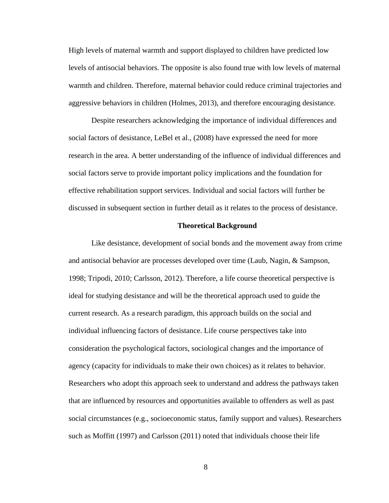High levels of maternal warmth and support displayed to children have predicted low levels of antisocial behaviors. The opposite is also found true with low levels of maternal warmth and children. Therefore, maternal behavior could reduce criminal trajectories and aggressive behaviors in children (Holmes, 2013), and therefore encouraging desistance.

Despite researchers acknowledging the importance of individual differences and social factors of desistance, LeBel et al., (2008) have expressed the need for more research in the area. A better understanding of the influence of individual differences and social factors serve to provide important policy implications and the foundation for effective rehabilitation support services. Individual and social factors will further be discussed in subsequent section in further detail as it relates to the process of desistance.

#### **Theoretical Background**

Like desistance, development of social bonds and the movement away from crime and antisocial behavior are processes developed over time (Laub, Nagin, & Sampson, 1998; Tripodi, 2010; Carlsson, 2012). Therefore, a life course theoretical perspective is ideal for studying desistance and will be the theoretical approach used to guide the current research. As a research paradigm, this approach builds on the social and individual influencing factors of desistance. Life course perspectives take into consideration the psychological factors, sociological changes and the importance of agency (capacity for individuals to make their own choices) as it relates to behavior. Researchers who adopt this approach seek to understand and address the pathways taken that are influenced by resources and opportunities available to offenders as well as past social circumstances (e.g., socioeconomic status, family support and values). Researchers such as Moffitt (1997) and Carlsson (2011) noted that individuals choose their life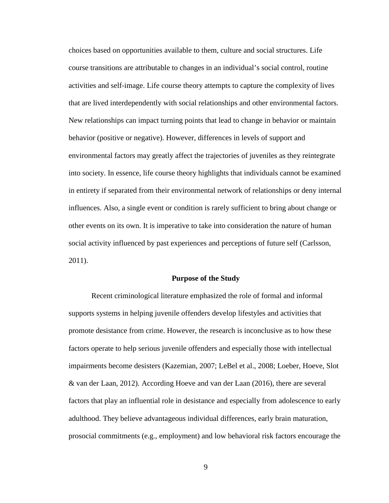choices based on opportunities available to them, culture and social structures. Life course transitions are attributable to changes in an individual's social control, routine activities and self-image. Life course theory attempts to capture the complexity of lives that are lived interdependently with social relationships and other environmental factors. New relationships can impact turning points that lead to change in behavior or maintain behavior (positive or negative). However, differences in levels of support and environmental factors may greatly affect the trajectories of juveniles as they reintegrate into society. In essence, life course theory highlights that individuals cannot be examined in entirety if separated from their environmental network of relationships or deny internal influences. Also, a single event or condition is rarely sufficient to bring about change or other events on its own. It is imperative to take into consideration the nature of human social activity influenced by past experiences and perceptions of future self (Carlsson, 2011).

#### **Purpose of the Study**

Recent criminological literature emphasized the role of formal and informal supports systems in helping juvenile offenders develop lifestyles and activities that promote desistance from crime. However, the research is inconclusive as to how these factors operate to help serious juvenile offenders and especially those with intellectual impairments become desisters (Kazemian, 2007; LeBel et al., 2008; Loeber, Hoeve, Slot & van der Laan, 2012). According Hoeve and van der Laan (2016), there are several factors that play an influential role in desistance and especially from adolescence to early adulthood. They believe advantageous individual differences, early brain maturation, prosocial commitments (e.g., employment) and low behavioral risk factors encourage the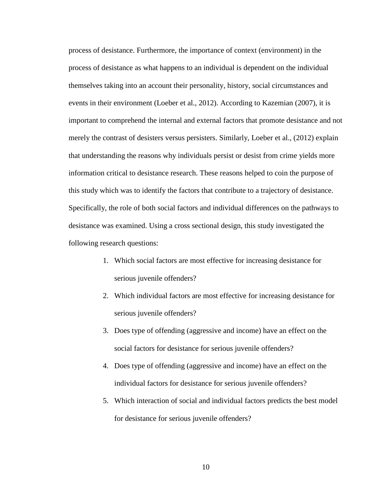process of desistance. Furthermore, the importance of context (environment) in the process of desistance as what happens to an individual is dependent on the individual themselves taking into an account their personality, history, social circumstances and events in their environment (Loeber et al., 2012). According to Kazemian (2007), it is important to comprehend the internal and external factors that promote desistance and not merely the contrast of desisters versus persisters. Similarly, Loeber et al., (2012) explain that understanding the reasons why individuals persist or desist from crime yields more information critical to desistance research. These reasons helped to coin the purpose of this study which was to identify the factors that contribute to a trajectory of desistance. Specifically, the role of both social factors and individual differences on the pathways to desistance was examined. Using a cross sectional design, this study investigated the following research questions:

- 1. Which social factors are most effective for increasing desistance for serious juvenile offenders?
- 2. Which individual factors are most effective for increasing desistance for serious juvenile offenders?
- 3. Does type of offending (aggressive and income) have an effect on the social factors for desistance for serious juvenile offenders?
- 4. Does type of offending (aggressive and income) have an effect on the individual factors for desistance for serious juvenile offenders?
- 5. Which interaction of social and individual factors predicts the best model for desistance for serious juvenile offenders?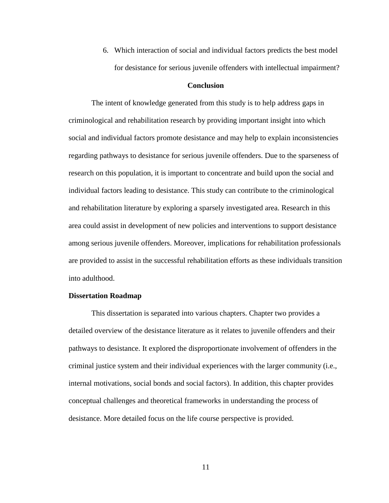6. Which interaction of social and individual factors predicts the best model for desistance for serious juvenile offenders with intellectual impairment?

#### **Conclusion**

The intent of knowledge generated from this study is to help address gaps in criminological and rehabilitation research by providing important insight into which social and individual factors promote desistance and may help to explain inconsistencies regarding pathways to desistance for serious juvenile offenders. Due to the sparseness of research on this population, it is important to concentrate and build upon the social and individual factors leading to desistance. This study can contribute to the criminological and rehabilitation literature by exploring a sparsely investigated area. Research in this area could assist in development of new policies and interventions to support desistance among serious juvenile offenders. Moreover, implications for rehabilitation professionals are provided to assist in the successful rehabilitation efforts as these individuals transition into adulthood.

#### **Dissertation Roadmap**

This dissertation is separated into various chapters. Chapter two provides a detailed overview of the desistance literature as it relates to juvenile offenders and their pathways to desistance. It explored the disproportionate involvement of offenders in the criminal justice system and their individual experiences with the larger community (i.e., internal motivations, social bonds and social factors). In addition, this chapter provides conceptual challenges and theoretical frameworks in understanding the process of desistance. More detailed focus on the life course perspective is provided.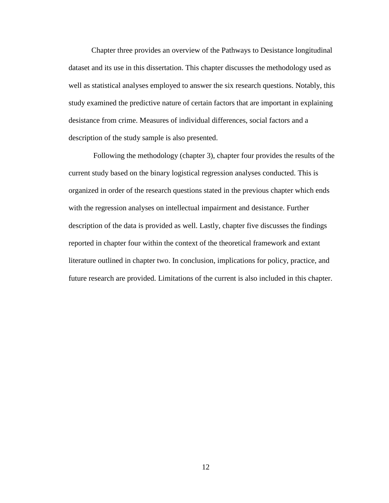Chapter three provides an overview of the Pathways to Desistance longitudinal dataset and its use in this dissertation. This chapter discusses the methodology used as well as statistical analyses employed to answer the six research questions. Notably, this study examined the predictive nature of certain factors that are important in explaining desistance from crime. Measures of individual differences, social factors and a description of the study sample is also presented.

Following the methodology (chapter 3), chapter four provides the results of the current study based on the binary logistical regression analyses conducted. This is organized in order of the research questions stated in the previous chapter which ends with the regression analyses on intellectual impairment and desistance. Further description of the data is provided as well. Lastly, chapter five discusses the findings reported in chapter four within the context of the theoretical framework and extant literature outlined in chapter two. In conclusion, implications for policy, practice, and future research are provided. Limitations of the current is also included in this chapter.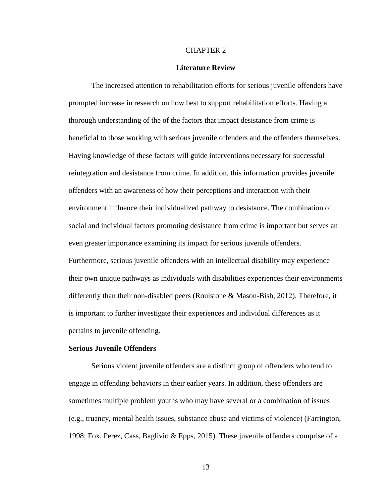#### CHAPTER 2

#### **Literature Review**

The increased attention to rehabilitation efforts for serious juvenile offenders have prompted increase in research on how best to support rehabilitation efforts. Having a thorough understanding of the of the factors that impact desistance from crime is beneficial to those working with serious juvenile offenders and the offenders themselves. Having knowledge of these factors will guide interventions necessary for successful reintegration and desistance from crime. In addition, this information provides juvenile offenders with an awareness of how their perceptions and interaction with their environment influence their individualized pathway to desistance. The combination of social and individual factors promoting desistance from crime is important but serves an even greater importance examining its impact for serious juvenile offenders. Furthermore, serious juvenile offenders with an intellectual disability may experience their own unique pathways as individuals with disabilities experiences their environments differently than their non-disabled peers (Roulstone & Mason-Bish, 2012). Therefore, it is important to further investigate their experiences and individual differences as it pertains to juvenile offending.

#### **Serious Juvenile Offenders**

Serious violent juvenile offenders are a distinct group of offenders who tend to engage in offending behaviors in their earlier years. In addition, these offenders are sometimes multiple problem youths who may have several or a combination of issues (e.g., truancy, mental health issues, substance abuse and victims of violence) (Farrington, 1998; Fox, Perez, Cass, Baglivio & Epps, 2015). These juvenile offenders comprise of a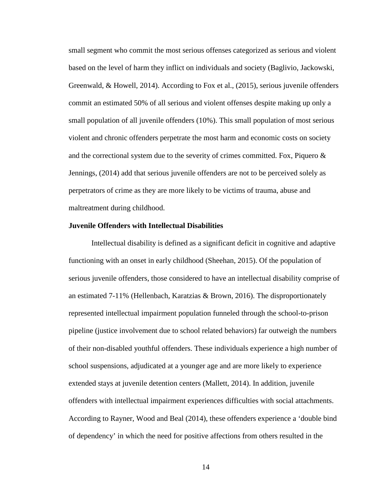small segment who commit the most serious offenses categorized as serious and violent based on the level of harm they inflict on individuals and society (Baglivio, Jackowski, Greenwald, & Howell, 2014). According to Fox et al., (2015), serious juvenile offenders commit an estimated 50% of all serious and violent offenses despite making up only a small population of all juvenile offenders (10%). This small population of most serious violent and chronic offenders perpetrate the most harm and economic costs on society and the correctional system due to the severity of crimes committed. Fox, Piquero  $\&$ Jennings, (2014) add that serious juvenile offenders are not to be perceived solely as perpetrators of crime as they are more likely to be victims of trauma, abuse and maltreatment during childhood.

#### **Juvenile Offenders with Intellectual Disabilities**

Intellectual disability is defined as a significant deficit in cognitive and adaptive functioning with an onset in early childhood (Sheehan, 2015). Of the population of serious juvenile offenders, those considered to have an intellectual disability comprise of an estimated  $7-11\%$  (Hellenbach, Karatzias & Brown, 2016). The disproportionately represented intellectual impairment population funneled through the school-to-prison pipeline (justice involvement due to school related behaviors) far outweigh the numbers of their non-disabled youthful offenders. These individuals experience a high number of school suspensions, adjudicated at a younger age and are more likely to experience extended stays at juvenile detention centers (Mallett, 2014). In addition, juvenile offenders with intellectual impairment experiences difficulties with social attachments. According to Rayner, Wood and Beal (2014), these offenders experience a 'double bind of dependency' in which the need for positive affections from others resulted in the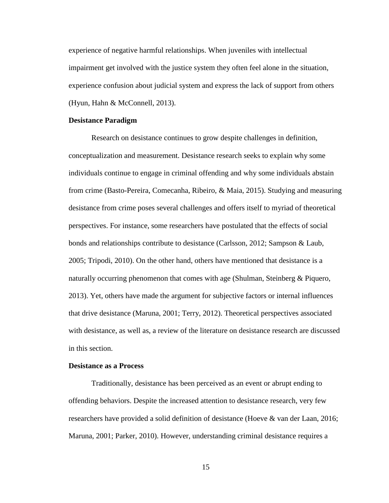experience of negative harmful relationships. When juveniles with intellectual impairment get involved with the justice system they often feel alone in the situation, experience confusion about judicial system and express the lack of support from others (Hyun, Hahn & McConnell, 2013).

#### **Desistance Paradigm**

Research on desistance continues to grow despite challenges in definition, conceptualization and measurement. Desistance research seeks to explain why some individuals continue to engage in criminal offending and why some individuals abstain from crime (Basto-Pereira, Comecanha, Ribeiro, & Maia, 2015). Studying and measuring desistance from crime poses several challenges and offers itself to myriad of theoretical perspectives. For instance, some researchers have postulated that the effects of social bonds and relationships contribute to desistance (Carlsson, 2012; Sampson & Laub, 2005; Tripodi, 2010). On the other hand, others have mentioned that desistance is a naturally occurring phenomenon that comes with age (Shulman, Steinberg & Piquero, 2013). Yet, others have made the argument for subjective factors or internal influences that drive desistance (Maruna, 2001; Terry, 2012). Theoretical perspectives associated with desistance, as well as, a review of the literature on desistance research are discussed in this section.

#### **Desistance as a Process**

Traditionally, desistance has been perceived as an event or abrupt ending to offending behaviors. Despite the increased attention to desistance research, very few researchers have provided a solid definition of desistance (Hoeve & van der Laan, 2016; Maruna, 2001; Parker, 2010). However, understanding criminal desistance requires a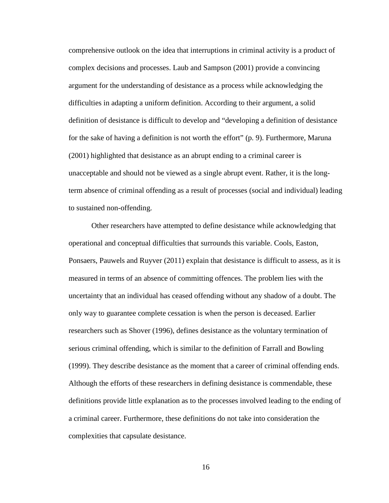comprehensive outlook on the idea that interruptions in criminal activity is a product of complex decisions and processes. Laub and Sampson (2001) provide a convincing argument for the understanding of desistance as a process while acknowledging the difficulties in adapting a uniform definition. According to their argument, a solid definition of desistance is difficult to develop and "developing a definition of desistance for the sake of having a definition is not worth the effort" (p. 9). Furthermore, Maruna (2001) highlighted that desistance as an abrupt ending to a criminal career is unacceptable and should not be viewed as a single abrupt event. Rather, it is the longterm absence of criminal offending as a result of processes (social and individual) leading to sustained non-offending.

Other researchers have attempted to define desistance while acknowledging that operational and conceptual difficulties that surrounds this variable. Cools, Easton, Ponsaers, Pauwels and Ruyver (2011) explain that desistance is difficult to assess, as it is measured in terms of an absence of committing offences. The problem lies with the uncertainty that an individual has ceased offending without any shadow of a doubt. The only way to guarantee complete cessation is when the person is deceased. Earlier researchers such as Shover (1996), defines desistance as the voluntary termination of serious criminal offending, which is similar to the definition of Farrall and Bowling (1999). They describe desistance as the moment that a career of criminal offending ends. Although the efforts of these researchers in defining desistance is commendable, these definitions provide little explanation as to the processes involved leading to the ending of a criminal career. Furthermore, these definitions do not take into consideration the complexities that capsulate desistance.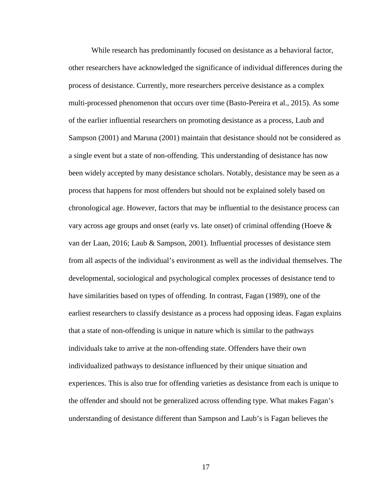While research has predominantly focused on desistance as a behavioral factor, other researchers have acknowledged the significance of individual differences during the process of desistance. Currently, more researchers perceive desistance as a complex multi-processed phenomenon that occurs over time (Basto-Pereira et al., 2015). As some of the earlier influential researchers on promoting desistance as a process, Laub and Sampson (2001) and Maruna (2001) maintain that desistance should not be considered as a single event but a state of non-offending. This understanding of desistance has now been widely accepted by many desistance scholars. Notably, desistance may be seen as a process that happens for most offenders but should not be explained solely based on chronological age. However, factors that may be influential to the desistance process can vary across age groups and onset (early vs. late onset) of criminal offending (Hoeve  $\&$ van der Laan, 2016; Laub & Sampson, 2001). Influential processes of desistance stem from all aspects of the individual's environment as well as the individual themselves. The developmental, sociological and psychological complex processes of desistance tend to have similarities based on types of offending. In contrast, Fagan (1989), one of the earliest researchers to classify desistance as a process had opposing ideas. Fagan explains that a state of non-offending is unique in nature which is similar to the pathways individuals take to arrive at the non-offending state. Offenders have their own individualized pathways to desistance influenced by their unique situation and experiences. This is also true for offending varieties as desistance from each is unique to the offender and should not be generalized across offending type. What makes Fagan's understanding of desistance different than Sampson and Laub's is Fagan believes the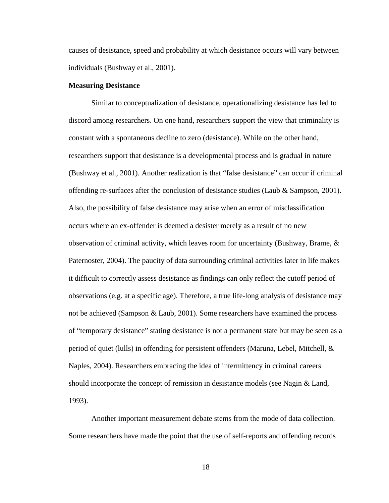causes of desistance, speed and probability at which desistance occurs will vary between individuals (Bushway et al., 2001).

#### **Measuring Desistance**

Similar to conceptualization of desistance, operationalizing desistance has led to discord among researchers. On one hand, researchers support the view that criminality is constant with a spontaneous decline to zero (desistance). While on the other hand, researchers support that desistance is a developmental process and is gradual in nature (Bushway et al., 2001). Another realization is that "false desistance" can occur if criminal offending re-surfaces after the conclusion of desistance studies (Laub & Sampson, 2001). Also, the possibility of false desistance may arise when an error of misclassification occurs where an ex-offender is deemed a desister merely as a result of no new observation of criminal activity, which leaves room for uncertainty (Bushway, Brame, & Paternoster, 2004). The paucity of data surrounding criminal activities later in life makes it difficult to correctly assess desistance as findings can only reflect the cutoff period of observations (e.g. at a specific age). Therefore, a true life-long analysis of desistance may not be achieved (Sampson & Laub, 2001). Some researchers have examined the process of "temporary desistance" stating desistance is not a permanent state but may be seen as a period of quiet (lulls) in offending for persistent offenders (Maruna, Lebel, Mitchell, & Naples, 2004). Researchers embracing the idea of intermittency in criminal careers should incorporate the concept of remission in desistance models (see Nagin & Land, 1993).

Another important measurement debate stems from the mode of data collection. Some researchers have made the point that the use of self-reports and offending records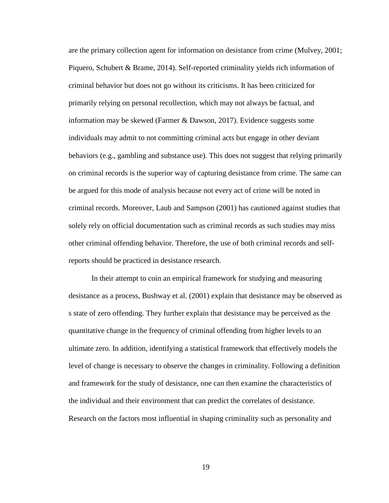are the primary collection agent for information on desistance from crime (Mulvey, 2001; Piquero, Schubert & Brame, 2014). Self-reported criminality yields rich information of criminal behavior but does not go without its criticisms. It has been criticized for primarily relying on personal recollection, which may not always be factual, and information may be skewed (Farmer & Dawson, 2017). Evidence suggests some individuals may admit to not committing criminal acts but engage in other deviant behaviors (e.g., gambling and substance use). This does not suggest that relying primarily on criminal records is the superior way of capturing desistance from crime. The same can be argued for this mode of analysis because not every act of crime will be noted in criminal records. Moreover, Laub and Sampson (2001) has cautioned against studies that solely rely on official documentation such as criminal records as such studies may miss other criminal offending behavior. Therefore, the use of both criminal records and selfreports should be practiced in desistance research.

In their attempt to coin an empirical framework for studying and measuring desistance as a process, Bushway et al. (2001) explain that desistance may be observed as s state of zero offending. They further explain that desistance may be perceived as the quantitative change in the frequency of criminal offending from higher levels to an ultimate zero. In addition, identifying a statistical framework that effectively models the level of change is necessary to observe the changes in criminality. Following a definition and framework for the study of desistance, one can then examine the characteristics of the individual and their environment that can predict the correlates of desistance. Research on the factors most influential in shaping criminality such as personality and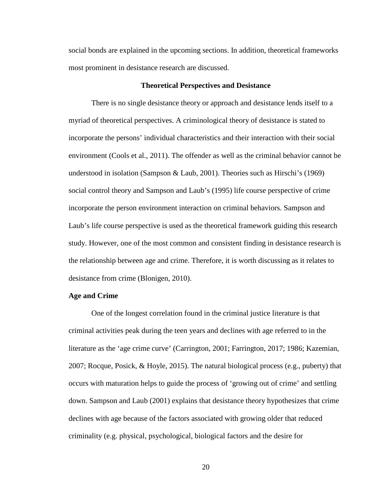social bonds are explained in the upcoming sections. In addition, theoretical frameworks most prominent in desistance research are discussed.

#### **Theoretical Perspectives and Desistance**

There is no single desistance theory or approach and desistance lends itself to a myriad of theoretical perspectives. A criminological theory of desistance is stated to incorporate the persons' individual characteristics and their interaction with their social environment (Cools et al., 2011). The offender as well as the criminal behavior cannot be understood in isolation (Sampson & Laub, 2001). Theories such as Hirschi's (1969) social control theory and Sampson and Laub's (1995) life course perspective of crime incorporate the person environment interaction on criminal behaviors. Sampson and Laub's life course perspective is used as the theoretical framework guiding this research study. However, one of the most common and consistent finding in desistance research is the relationship between age and crime. Therefore, it is worth discussing as it relates to desistance from crime (Blonigen, 2010).

### **Age and Crime**

One of the longest correlation found in the criminal justice literature is that criminal activities peak during the teen years and declines with age referred to in the literature as the 'age crime curve' (Carrington, 2001; Farrington, 2017; 1986; Kazemian, 2007; Rocque, Posick, & Hoyle, 2015). The natural biological process (e.g., puberty) that occurs with maturation helps to guide the process of 'growing out of crime' and settling down. Sampson and Laub (2001) explains that desistance theory hypothesizes that crime declines with age because of the factors associated with growing older that reduced criminality (e.g. physical, psychological, biological factors and the desire for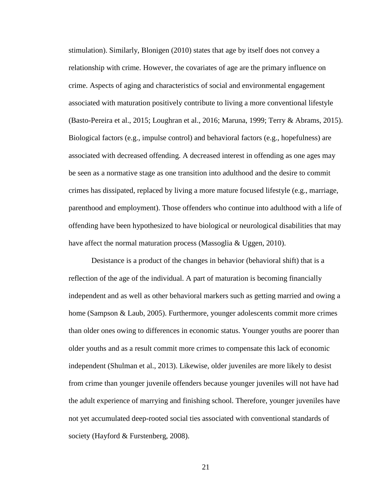stimulation). Similarly, Blonigen (2010) states that age by itself does not convey a relationship with crime. However, the covariates of age are the primary influence on crime. Aspects of aging and characteristics of social and environmental engagement associated with maturation positively contribute to living a more conventional lifestyle (Basto-Pereira et al., 2015; Loughran et al., 2016; Maruna, 1999; Terry & Abrams, 2015). Biological factors (e.g., impulse control) and behavioral factors (e.g., hopefulness) are associated with decreased offending. A decreased interest in offending as one ages may be seen as a normative stage as one transition into adulthood and the desire to commit crimes has dissipated, replaced by living a more mature focused lifestyle (e.g., marriage, parenthood and employment). Those offenders who continue into adulthood with a life of offending have been hypothesized to have biological or neurological disabilities that may have affect the normal maturation process (Massoglia & Uggen, 2010).

Desistance is a product of the changes in behavior (behavioral shift) that is a reflection of the age of the individual. A part of maturation is becoming financially independent and as well as other behavioral markers such as getting married and owing a home (Sampson & Laub, 2005). Furthermore, younger adolescents commit more crimes than older ones owing to differences in economic status. Younger youths are poorer than older youths and as a result commit more crimes to compensate this lack of economic independent (Shulman et al., 2013). Likewise, older juveniles are more likely to desist from crime than younger juvenile offenders because younger juveniles will not have had the adult experience of marrying and finishing school. Therefore, younger juveniles have not yet accumulated deep-rooted social ties associated with conventional standards of society (Hayford & Furstenberg, 2008).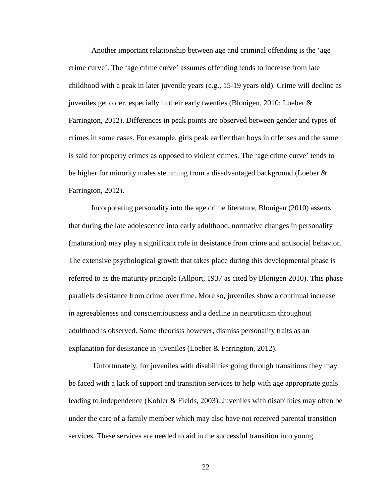Another important relationship between age and criminal offending is the 'age crime curve'. The 'age crime curve' assumes offending tends to increase from late childhood with a peak in later juvenile years (e.g., 15-19 years old). Crime will decline as juveniles get older, especially in their early twenties (Blonigen, 2010; Loeber & Farrington, 2012). Differences in peak points are observed between gender and types of crimes in some cases. For example, girls peak earlier than boys in offenses and the same is said for property crimes as opposed to violent crimes. The 'age crime curve' tends to be higher for minority males stemming from a disadvantaged background (Loeber & Farrington, 2012).

Incorporating personality into the age crime literature, Blonigen (2010) asserts that during the late adolescence into early adulthood, normative changes in personality (maturation) may play a significant role in desistance from crime and antisocial behavior. The extensive psychological growth that takes place during this developmental phase is referred to as the maturity principle (Allport, 1937 as cited by Blonigen 2010). This phase parallels desistance from crime over time. More so, juveniles show a continual increase in agreeableness and conscientiousness and a decline in neuroticism throughout adulthood is observed. Some theorists however, dismiss personality traits as an explanation for desistance in juveniles (Loeber & Farrington, 2012).

Unfortunately, for juveniles with disabilities going through transitions they may be faced with a lack of support and transition services to help with age appropriate goals leading to independence (Kohler & Fields, 2003). Juveniles with disabilities may often be under the care of a family member which may also have not received parental transition services. These services are needed to aid in the successful transition into young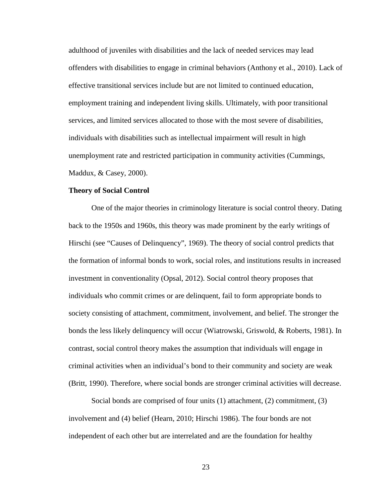adulthood of juveniles with disabilities and the lack of needed services may lead offenders with disabilities to engage in criminal behaviors (Anthony et al., 2010). Lack of effective transitional services include but are not limited to continued education, employment training and independent living skills. Ultimately, with poor transitional services, and limited services allocated to those with the most severe of disabilities, individuals with disabilities such as intellectual impairment will result in high unemployment rate and restricted participation in community activities (Cummings, Maddux, & Casey, 2000).

#### **Theory of Social Control**

One of the major theories in criminology literature is social control theory. Dating back to the 1950s and 1960s, this theory was made prominent by the early writings of Hirschi (see "Causes of Delinquency", 1969). The theory of social control predicts that the formation of informal bonds to work, social roles, and institutions results in increased investment in conventionality (Opsal, 2012). Social control theory proposes that individuals who commit crimes or are delinquent, fail to form appropriate bonds to society consisting of attachment, commitment, involvement, and belief. The stronger the bonds the less likely delinquency will occur (Wiatrowski, Griswold, & Roberts, 1981). In contrast, social control theory makes the assumption that individuals will engage in criminal activities when an individual's bond to their community and society are weak (Britt, 1990). Therefore, where social bonds are stronger criminal activities will decrease.

Social bonds are comprised of four units (1) attachment, (2) commitment, (3) involvement and (4) belief (Hearn, 2010; Hirschi 1986). The four bonds are not independent of each other but are interrelated and are the foundation for healthy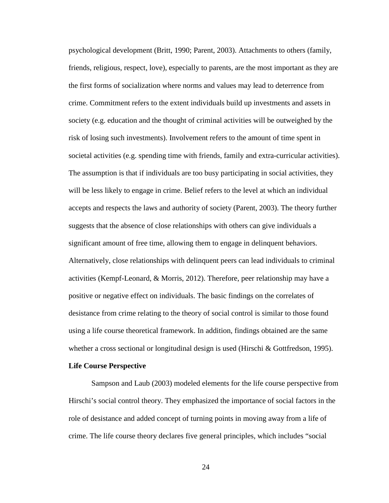psychological development (Britt, 1990; Parent, 2003). Attachments to others (family, friends, religious, respect, love), especially to parents, are the most important as they are the first forms of socialization where norms and values may lead to deterrence from crime. Commitment refers to the extent individuals build up investments and assets in society (e.g. education and the thought of criminal activities will be outweighed by the risk of losing such investments). Involvement refers to the amount of time spent in societal activities (e.g. spending time with friends, family and extra-curricular activities). The assumption is that if individuals are too busy participating in social activities, they will be less likely to engage in crime. Belief refers to the level at which an individual accepts and respects the laws and authority of society (Parent, 2003). The theory further suggests that the absence of close relationships with others can give individuals a significant amount of free time, allowing them to engage in delinquent behaviors. Alternatively, close relationships with delinquent peers can lead individuals to criminal activities (Kempf-Leonard, & Morris, 2012). Therefore, peer relationship may have a positive or negative effect on individuals. The basic findings on the correlates of desistance from crime relating to the theory of social control is similar to those found using a life course theoretical framework. In addition, findings obtained are the same whether a cross sectional or longitudinal design is used (Hirschi & Gottfredson, 1995).

#### **Life Course Perspective**

Sampson and Laub (2003) modeled elements for the life course perspective from Hirschi's social control theory. They emphasized the importance of social factors in the role of desistance and added concept of turning points in moving away from a life of crime. The life course theory declares five general principles, which includes "social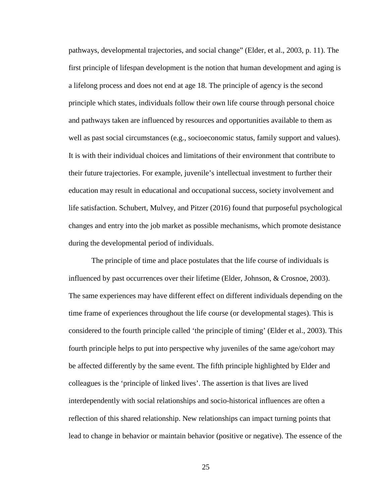pathways, developmental trajectories, and social change" (Elder, et al., 2003, p. 11). The first principle of lifespan development is the notion that human development and aging is a lifelong process and does not end at age 18. The principle of agency is the second principle which states, individuals follow their own life course through personal choice and pathways taken are influenced by resources and opportunities available to them as well as past social circumstances (e.g., socioeconomic status, family support and values). It is with their individual choices and limitations of their environment that contribute to their future trajectories. For example, juvenile's intellectual investment to further their education may result in educational and occupational success, society involvement and life satisfaction. Schubert, Mulvey, and Pitzer (2016) found that purposeful psychological changes and entry into the job market as possible mechanisms, which promote desistance during the developmental period of individuals.

The principle of time and place postulates that the life course of individuals is influenced by past occurrences over their lifetime (Elder, Johnson, & Crosnoe, 2003). The same experiences may have different effect on different individuals depending on the time frame of experiences throughout the life course (or developmental stages). This is considered to the fourth principle called 'the principle of timing' (Elder et al., 2003). This fourth principle helps to put into perspective why juveniles of the same age/cohort may be affected differently by the same event. The fifth principle highlighted by Elder and colleagues is the 'principle of linked lives'. The assertion is that lives are lived interdependently with social relationships and socio-historical influences are often a reflection of this shared relationship. New relationships can impact turning points that lead to change in behavior or maintain behavior (positive or negative). The essence of the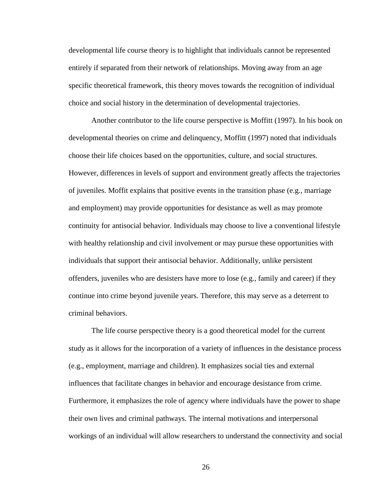developmental life course theory is to highlight that individuals cannot be represented entirely if separated from their network of relationships. Moving away from an age specific theoretical framework, this theory moves towards the recognition of individual choice and social history in the determination of developmental trajectories.

Another contributor to the life course perspective is Moffitt (1997). In his book on developmental theories on crime and delinquency, Moffitt (1997) noted that individuals choose their life choices based on the opportunities, culture, and social structures. However, differences in levels of support and environment greatly affects the trajectories of juveniles. Moffit explains that positive events in the transition phase (e.g., marriage and employment) may provide opportunities for desistance as well as may promote continuity for antisocial behavior. Individuals may choose to live a conventional lifestyle with healthy relationship and civil involvement or may pursue these opportunities with individuals that support their antisocial behavior. Additionally, unlike persistent offenders, juveniles who are desisters have more to lose (e.g., family and career) if they continue into crime beyond juvenile years. Therefore, this may serve as a deterrent to criminal behaviors.

The life course perspective theory is a good theoretical model for the current study as it allows for the incorporation of a variety of influences in the desistance process (e.g., employment, marriage and children). It emphasizes social ties and external influences that facilitate changes in behavior and encourage desistance from crime. Furthermore, it emphasizes the role of agency where individuals have the power to shape their own lives and criminal pathways. The internal motivations and interpersonal workings of an individual will allow researchers to understand the connectivity and social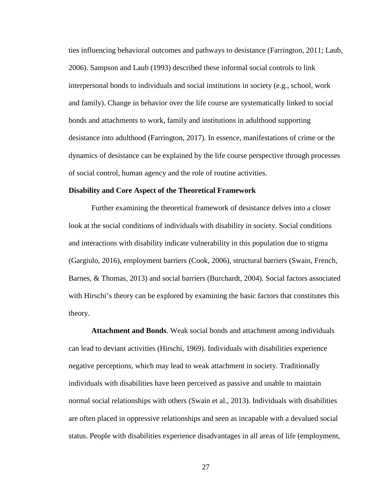ties influencing behavioral outcomes and pathways to desistance (Farrington, 2011; Laub, 2006). Sampson and Laub (1993) described these informal social controls to link interpersonal bonds to individuals and social institutions in society (e.g., school, work and family). Change in behavior over the life course are systematically linked to social bonds and attachments to work, family and institutions in adulthood supporting desistance into adulthood (Farrington, 2017). In essence, manifestations of crime or the dynamics of desistance can be explained by the life course perspective through processes of social control, human agency and the role of routine activities.

#### **Disability and Core Aspect of the Theoretical Framework**

Further examining the theoretical framework of desistance delves into a closer look at the social conditions of individuals with disability in society. Social conditions and interactions with disability indicate vulnerability in this population due to stigma (Gargiulo, 2016), employment barriers (Cook, 2006), structural barriers (Swain, French, Barnes, & Thomas, 2013) and social barriers (Burchardt, 2004). Social factors associated with Hirschi's theory can be explored by examining the basic factors that constitutes this theory.

**Attachment and Bonds**. Weak social bonds and attachment among individuals can lead to deviant activities (Hirschi, 1969). Individuals with disabilities experience negative perceptions, which may lead to weak attachment in society. Traditionally individuals with disabilities have been perceived as passive and unable to maintain normal social relationships with others (Swain et al., 2013). Individuals with disabilities are often placed in oppressive relationships and seen as incapable with a devalued social status. People with disabilities experience disadvantages in all areas of life (employment,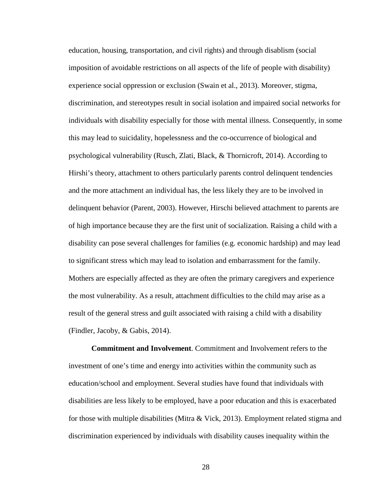education, housing, transportation, and civil rights) and through disablism (social imposition of avoidable restrictions on all aspects of the life of people with disability) experience social oppression or exclusion (Swain et al., 2013). Moreover, stigma, discrimination, and stereotypes result in social isolation and impaired social networks for individuals with disability especially for those with mental illness. Consequently, in some this may lead to suicidality, hopelessness and the co-occurrence of biological and psychological vulnerability (Rusch, Zlati, Black, & Thornicroft, 2014). According to Hirshi's theory, attachment to others particularly parents control delinquent tendencies and the more attachment an individual has, the less likely they are to be involved in delinquent behavior (Parent, 2003). However, Hirschi believed attachment to parents are of high importance because they are the first unit of socialization. Raising a child with a disability can pose several challenges for families (e.g. economic hardship) and may lead to significant stress which may lead to isolation and embarrassment for the family. Mothers are especially affected as they are often the primary caregivers and experience the most vulnerability. As a result, attachment difficulties to the child may arise as a result of the general stress and guilt associated with raising a child with a disability (Findler, Jacoby, & Gabis, 2014).

**Commitment and Involvement**. Commitment and Involvement refers to the investment of one's time and energy into activities within the community such as education/school and employment. Several studies have found that individuals with disabilities are less likely to be employed, have a poor education and this is exacerbated for those with multiple disabilities (Mitra & Vick, 2013). Employment related stigma and discrimination experienced by individuals with disability causes inequality within the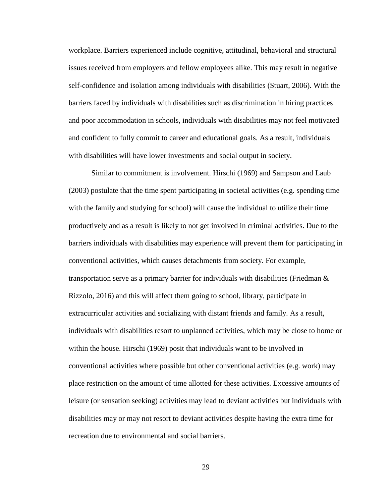workplace. Barriers experienced include cognitive, attitudinal, behavioral and structural issues received from employers and fellow employees alike. This may result in negative self-confidence and isolation among individuals with disabilities (Stuart, 2006). With the barriers faced by individuals with disabilities such as discrimination in hiring practices and poor accommodation in schools, individuals with disabilities may not feel motivated and confident to fully commit to career and educational goals. As a result, individuals with disabilities will have lower investments and social output in society.

Similar to commitment is involvement. Hirschi (1969) and Sampson and Laub (2003) postulate that the time spent participating in societal activities (e.g. spending time with the family and studying for school) will cause the individual to utilize their time productively and as a result is likely to not get involved in criminal activities. Due to the barriers individuals with disabilities may experience will prevent them for participating in conventional activities, which causes detachments from society. For example, transportation serve as a primary barrier for individuals with disabilities (Friedman & Rizzolo, 2016) and this will affect them going to school, library, participate in extracurricular activities and socializing with distant friends and family. As a result, individuals with disabilities resort to unplanned activities, which may be close to home or within the house. Hirschi (1969) posit that individuals want to be involved in conventional activities where possible but other conventional activities (e.g. work) may place restriction on the amount of time allotted for these activities. Excessive amounts of leisure (or sensation seeking) activities may lead to deviant activities but individuals with disabilities may or may not resort to deviant activities despite having the extra time for recreation due to environmental and social barriers.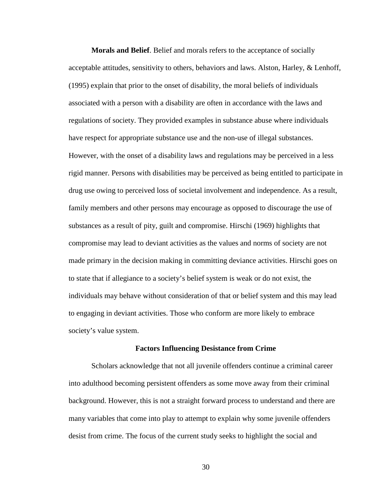**Morals and Belief**. Belief and morals refers to the acceptance of socially acceptable attitudes, sensitivity to others, behaviors and laws. Alston, Harley, & Lenhoff, (1995) explain that prior to the onset of disability, the moral beliefs of individuals associated with a person with a disability are often in accordance with the laws and regulations of society. They provided examples in substance abuse where individuals have respect for appropriate substance use and the non-use of illegal substances. However, with the onset of a disability laws and regulations may be perceived in a less rigid manner. Persons with disabilities may be perceived as being entitled to participate in drug use owing to perceived loss of societal involvement and independence. As a result, family members and other persons may encourage as opposed to discourage the use of substances as a result of pity, guilt and compromise. Hirschi (1969) highlights that compromise may lead to deviant activities as the values and norms of society are not made primary in the decision making in committing deviance activities. Hirschi goes on to state that if allegiance to a society's belief system is weak or do not exist, the individuals may behave without consideration of that or belief system and this may lead to engaging in deviant activities. Those who conform are more likely to embrace society's value system.

## **Factors Influencing Desistance from Crime**

Scholars acknowledge that not all juvenile offenders continue a criminal career into adulthood becoming persistent offenders as some move away from their criminal background. However, this is not a straight forward process to understand and there are many variables that come into play to attempt to explain why some juvenile offenders desist from crime. The focus of the current study seeks to highlight the social and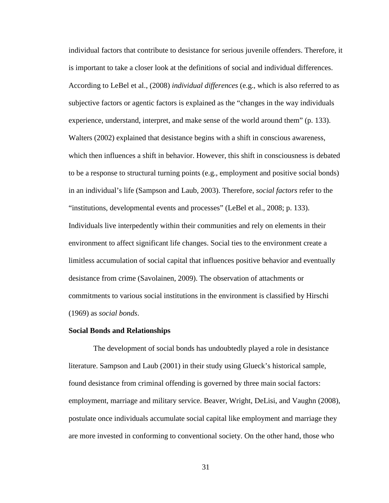individual factors that contribute to desistance for serious juvenile offenders. Therefore, it is important to take a closer look at the definitions of social and individual differences. According to LeBel et al., (2008) *individual differences* (e.g., which is also referred to as subjective factors or agentic factors is explained as the "changes in the way individuals experience, understand, interpret, and make sense of the world around them" (p. 133). Walters (2002) explained that desistance begins with a shift in conscious awareness, which then influences a shift in behavior. However, this shift in consciousness is debated to be a response to structural turning points (e.g., employment and positive social bonds) in an individual's life (Sampson and Laub, 2003). Therefore, *social factors* refer to the "institutions, developmental events and processes" (LeBel et al., 2008; p. 133). Individuals live interpedently within their communities and rely on elements in their environment to affect significant life changes. Social ties to the environment create a limitless accumulation of social capital that influences positive behavior and eventually desistance from crime (Savolainen, 2009). The observation of attachments or commitments to various social institutions in the environment is classified by Hirschi (1969) as *social bonds*.

#### **Social Bonds and Relationships**

The development of social bonds has undoubtedly played a role in desistance literature. Sampson and Laub (2001) in their study using Glueck's historical sample, found desistance from criminal offending is governed by three main social factors: employment, marriage and military service. Beaver, Wright, DeLisi, and Vaughn (2008), postulate once individuals accumulate social capital like employment and marriage they are more invested in conforming to conventional society. On the other hand, those who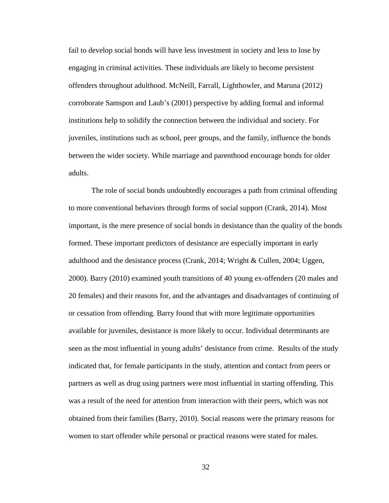fail to develop social bonds will have less investment in society and less to lose by engaging in criminal activities. These individuals are likely to become persistent offenders throughout adulthood. McNeill, Farrall, Lighthowler, and Maruna (2012) corroborate Samspon and Laub's (2001) perspective by adding formal and informal institutions help to solidify the connection between the individual and society. For juveniles, institutions such as school, peer groups, and the family, influence the bonds between the wider society. While marriage and parenthood encourage bonds for older adults.

The role of social bonds undoubtedly encourages a path from criminal offending to more conventional behaviors through forms of social support (Crank, 2014). Most important, is the mere presence of social bonds in desistance than the quality of the bonds formed. These important predictors of desistance are especially important in early adulthood and the desistance process (Crank, 2014; Wright & Cullen, 2004; Uggen, 2000). Barry (2010) examined youth transitions of 40 young ex-offenders (20 males and 20 females) and their reasons for, and the advantages and disadvantages of continuing of or cessation from offending. Barry found that with more legitimate opportunities available for juveniles, desistance is more likely to occur. Individual determinants are seen as the most influential in young adults' desistance from crime. Results of the study indicated that, for female participants in the study, attention and contact from peers or partners as well as drug using partners were most influential in starting offending. This was a result of the need for attention from interaction with their peers, which was not obtained from their families (Barry, 2010). Social reasons were the primary reasons for women to start offender while personal or practical reasons were stated for males.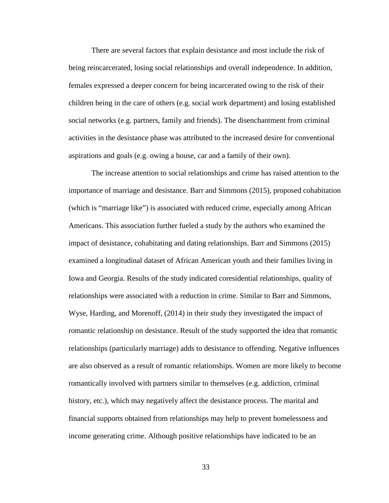There are several factors that explain desistance and most include the risk of being reincarcerated, losing social relationships and overall independence. In addition, females expressed a deeper concern for being incarcerated owing to the risk of their children being in the care of others (e.g. social work department) and losing established social networks (e.g. partners, family and friends). The disenchantment from criminal activities in the desistance phase was attributed to the increased desire for conventional aspirations and goals (e.g. owing a house, car and a family of their own).

The increase attention to social relationships and crime has raised attention to the importance of marriage and desistance. Barr and Simmons (2015), proposed cohabitation (which is "marriage like") is associated with reduced crime, especially among African Americans. This association further fueled a study by the authors who examined the impact of desistance, cohabitating and dating relationships. Barr and Simmons (2015) examined a longitudinal dataset of African American youth and their families living in Iowa and Georgia. Results of the study indicated coresidential relationships, quality of relationships were associated with a reduction in crime. Similar to Barr and Simmons, Wyse, Harding, and Morenoff, (2014) in their study they investigated the impact of romantic relationship on desistance. Result of the study supported the idea that romantic relationships (particularly marriage) adds to desistance to offending. Negative influences are also observed as a result of romantic relationships. Women are more likely to become romantically involved with partners similar to themselves (e.g. addiction, criminal history, etc.), which may negatively affect the desistance process. The marital and financial supports obtained from relationships may help to prevent homelessness and income generating crime. Although positive relationships have indicated to be an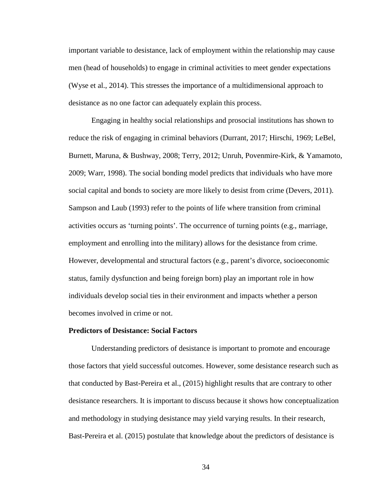important variable to desistance, lack of employment within the relationship may cause men (head of households) to engage in criminal activities to meet gender expectations (Wyse et al., 2014). This stresses the importance of a multidimensional approach to desistance as no one factor can adequately explain this process.

Engaging in healthy social relationships and prosocial institutions has shown to reduce the risk of engaging in criminal behaviors (Durrant, 2017; Hirschi, 1969; LeBel, Burnett, Maruna, & Bushway, 2008; Terry, 2012; Unruh, Povenmire-Kirk, & Yamamoto, 2009; Warr, 1998). The social bonding model predicts that individuals who have more social capital and bonds to society are more likely to desist from crime (Devers, 2011). Sampson and Laub (1993) refer to the points of life where transition from criminal activities occurs as 'turning points'. The occurrence of turning points (e.g., marriage, employment and enrolling into the military) allows for the desistance from crime. However, developmental and structural factors (e.g., parent's divorce, socioeconomic status, family dysfunction and being foreign born) play an important role in how individuals develop social ties in their environment and impacts whether a person becomes involved in crime or not.

## **Predictors of Desistance: Social Factors**

Understanding predictors of desistance is important to promote and encourage those factors that yield successful outcomes. However, some desistance research such as that conducted by Bast-Pereira et al., (2015) highlight results that are contrary to other desistance researchers. It is important to discuss because it shows how conceptualization and methodology in studying desistance may yield varying results. In their research, Bast-Pereira et al. (2015) postulate that knowledge about the predictors of desistance is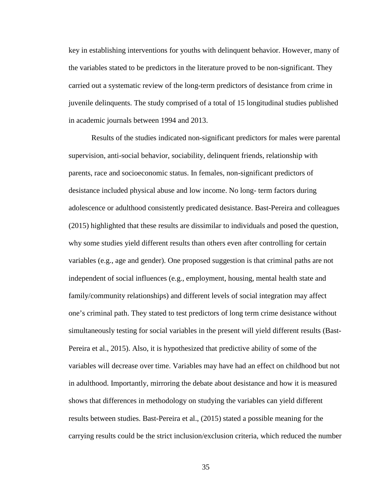key in establishing interventions for youths with delinquent behavior. However, many of the variables stated to be predictors in the literature proved to be non-significant. They carried out a systematic review of the long-term predictors of desistance from crime in juvenile delinquents. The study comprised of a total of 15 longitudinal studies published in academic journals between 1994 and 2013.

Results of the studies indicated non-significant predictors for males were parental supervision, anti-social behavior, sociability, delinquent friends, relationship with parents, race and socioeconomic status. In females, non-significant predictors of desistance included physical abuse and low income. No long- term factors during adolescence or adulthood consistently predicated desistance. Bast-Pereira and colleagues (2015) highlighted that these results are dissimilar to individuals and posed the question, why some studies yield different results than others even after controlling for certain variables (e.g., age and gender). One proposed suggestion is that criminal paths are not independent of social influences (e.g., employment, housing, mental health state and family/community relationships) and different levels of social integration may affect one's criminal path. They stated to test predictors of long term crime desistance without simultaneously testing for social variables in the present will yield different results (Bast-Pereira et al., 2015). Also, it is hypothesized that predictive ability of some of the variables will decrease over time. Variables may have had an effect on childhood but not in adulthood. Importantly, mirroring the debate about desistance and how it is measured shows that differences in methodology on studying the variables can yield different results between studies. Bast-Pereira et al., (2015) stated a possible meaning for the carrying results could be the strict inclusion/exclusion criteria, which reduced the number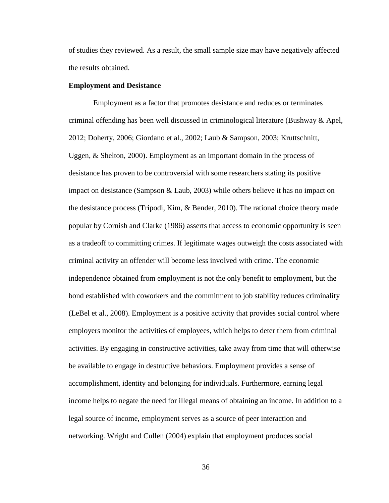of studies they reviewed. As a result, the small sample size may have negatively affected the results obtained.

## **Employment and Desistance**

Employment as a factor that promotes desistance and reduces or terminates criminal offending has been well discussed in criminological literature (Bushway & Apel, 2012; Doherty, 2006; Giordano et al., 2002; Laub & Sampson, 2003; Kruttschnitt, Uggen, & Shelton, 2000). Employment as an important domain in the process of desistance has proven to be controversial with some researchers stating its positive impact on desistance (Sampson & Laub, 2003) while others believe it has no impact on the desistance process (Tripodi, Kim, & Bender, 2010). The rational choice theory made popular by Cornish and Clarke (1986) asserts that access to economic opportunity is seen as a tradeoff to committing crimes. If legitimate wages outweigh the costs associated with criminal activity an offender will become less involved with crime. The economic independence obtained from employment is not the only benefit to employment, but the bond established with coworkers and the commitment to job stability reduces criminality (LeBel et al., 2008). Employment is a positive activity that provides social control where employers monitor the activities of employees, which helps to deter them from criminal activities. By engaging in constructive activities, take away from time that will otherwise be available to engage in destructive behaviors. Employment provides a sense of accomplishment, identity and belonging for individuals. Furthermore, earning legal income helps to negate the need for illegal means of obtaining an income. In addition to a legal source of income, employment serves as a source of peer interaction and networking. Wright and Cullen (2004) explain that employment produces social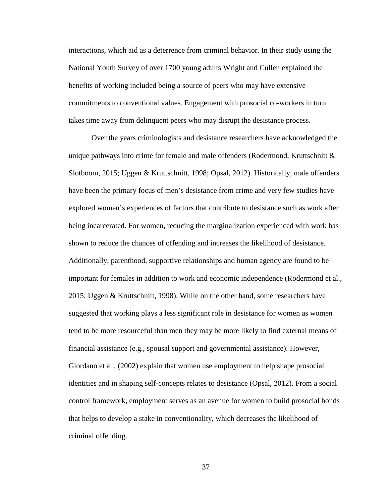interactions, which aid as a deterrence from criminal behavior. In their study using the National Youth Survey of over 1700 young adults Wright and Cullen explained the benefits of working included being a source of peers who may have extensive commitments to conventional values. Engagement with prosocial co-workers in turn takes time away from delinquent peers who may disrupt the desistance process.

Over the years criminologists and desistance researchers have acknowledged the unique pathways into crime for female and male offenders (Rodermond, Kruttschnitt  $\&$ Slotboom, 2015; Uggen & Kruttschnitt, 1998; Opsal, 2012). Historically, male offenders have been the primary focus of men's desistance from crime and very few studies have explored women's experiences of factors that contribute to desistance such as work after being incarcerated. For women, reducing the marginalization experienced with work has shown to reduce the chances of offending and increases the likelihood of desistance. Additionally, parenthood, supportive relationships and human agency are found to be important for females in addition to work and economic independence (Rodermond et al., 2015; Uggen & Kruttschnitt, 1998). While on the other hand, some researchers have suggested that working plays a less significant role in desistance for women as women tend to be more resourceful than men they may be more likely to find external means of financial assistance (e.g., spousal support and governmental assistance). However, Giordano et al., (2002) explain that women use employment to help shape prosocial identities and in shaping self-concepts relates to desistance (Opsal, 2012). From a social control framework, employment serves as an avenue for women to build prosocial bonds that helps to develop a stake in conventionality, which decreases the likelihood of criminal offending.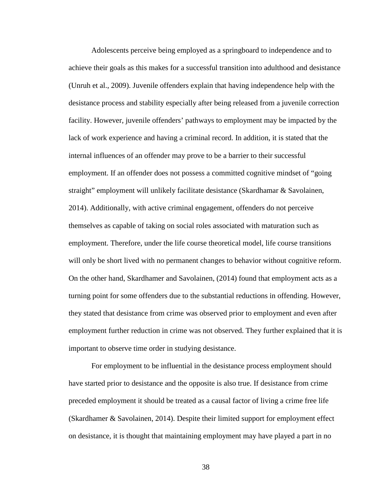Adolescents perceive being employed as a springboard to independence and to achieve their goals as this makes for a successful transition into adulthood and desistance (Unruh et al., 2009). Juvenile offenders explain that having independence help with the desistance process and stability especially after being released from a juvenile correction facility. However, juvenile offenders' pathways to employment may be impacted by the lack of work experience and having a criminal record. In addition, it is stated that the internal influences of an offender may prove to be a barrier to their successful employment. If an offender does not possess a committed cognitive mindset of "going straight" employment will unlikely facilitate desistance (Skardhamar & Savolainen, 2014). Additionally, with active criminal engagement, offenders do not perceive themselves as capable of taking on social roles associated with maturation such as employment. Therefore, under the life course theoretical model, life course transitions will only be short lived with no permanent changes to behavior without cognitive reform. On the other hand, Skardhamer and Savolainen, (2014) found that employment acts as a turning point for some offenders due to the substantial reductions in offending. However, they stated that desistance from crime was observed prior to employment and even after employment further reduction in crime was not observed. They further explained that it is important to observe time order in studying desistance.

For employment to be influential in the desistance process employment should have started prior to desistance and the opposite is also true. If desistance from crime preceded employment it should be treated as a causal factor of living a crime free life (Skardhamer & Savolainen, 2014). Despite their limited support for employment effect on desistance, it is thought that maintaining employment may have played a part in no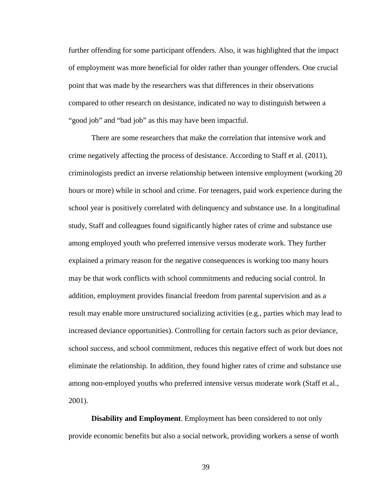further offending for some participant offenders. Also, it was highlighted that the impact of employment was more beneficial for older rather than younger offenders. One crucial point that was made by the researchers was that differences in their observations compared to other research on desistance, indicated no way to distinguish between a "good job" and "bad job" as this may have been impactful.

There are some researchers that make the correlation that intensive work and crime negatively affecting the process of desistance. According to Staff et al. (2011), criminologists predict an inverse relationship between intensive employment (working 20 hours or more) while in school and crime. For teenagers, paid work experience during the school year is positively correlated with delinquency and substance use. In a longitudinal study, Staff and colleagues found significantly higher rates of crime and substance use among employed youth who preferred intensive versus moderate work. They further explained a primary reason for the negative consequences is working too many hours may be that work conflicts with school commitments and reducing social control. In addition, employment provides financial freedom from parental supervision and as a result may enable more unstructured socializing activities (e.g., parties which may lead to increased deviance opportunities). Controlling for certain factors such as prior deviance, school success, and school commitment, reduces this negative effect of work but does not eliminate the relationship. In addition, they found higher rates of crime and substance use among non-employed youths who preferred intensive versus moderate work (Staff et al., 2001).

**Disability and Employment**. Employment has been considered to not only provide economic benefits but also a social network, providing workers a sense of worth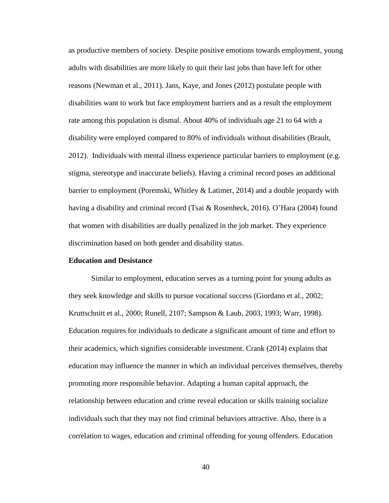as productive members of society. Despite positive emotions towards employment, young adults with disabilities are more likely to quit their last jobs than have left for other reasons (Newman et al., 2011). Jans, Kaye, and Jones (2012) postulate people with disabilities want to work but face employment barriers and as a result the employment rate among this population is dismal. About 40% of individuals age 21 to 64 with a disability were employed compared to 80% of individuals without disabilities (Brault, 2012). Individuals with mental illness experience particular barriers to employment (e.g. stigma, stereotype and inaccurate beliefs). Having a criminal record poses an additional barrier to employment (Poremski, Whitley & Latimer, 2014) and a double jeopardy with having a disability and criminal record (Tsai & Rosenheck, 2016). O'Hara (2004) found that women with disabilities are dually penalized in the job market. They experience discrimination based on both gender and disability status.

## **Education and Desistance**

Similar to employment, education serves as a turning point for young adults as they seek knowledge and skills to pursue vocational success (Giordano et al., 2002; Kruttschnitt et al., 2000; Runell, 2107; Sampson & Laub, 2003, 1993; Warr, 1998). Education requires for individuals to dedicate a significant amount of time and effort to their academics, which signifies considerable investment. Crank (2014) explains that education may influence the manner in which an individual perceives themselves, thereby promoting more responsible behavior. Adapting a human capital approach, the relationship between education and crime reveal education or skills training socialize individuals such that they may not find criminal behaviors attractive. Also, there is a correlation to wages, education and criminal offending for young offenders. Education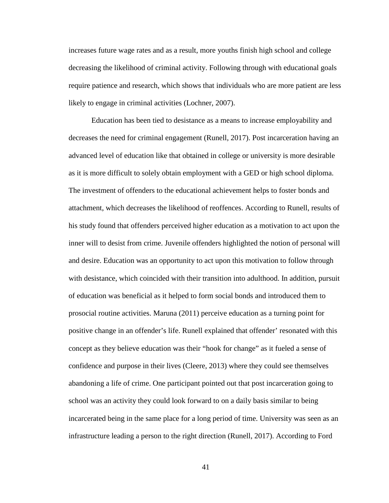increases future wage rates and as a result, more youths finish high school and college decreasing the likelihood of criminal activity. Following through with educational goals require patience and research, which shows that individuals who are more patient are less likely to engage in criminal activities (Lochner, 2007).

Education has been tied to desistance as a means to increase employability and decreases the need for criminal engagement (Runell, 2017). Post incarceration having an advanced level of education like that obtained in college or university is more desirable as it is more difficult to solely obtain employment with a GED or high school diploma. The investment of offenders to the educational achievement helps to foster bonds and attachment, which decreases the likelihood of reoffences. According to Runell, results of his study found that offenders perceived higher education as a motivation to act upon the inner will to desist from crime. Juvenile offenders highlighted the notion of personal will and desire. Education was an opportunity to act upon this motivation to follow through with desistance, which coincided with their transition into adulthood. In addition, pursuit of education was beneficial as it helped to form social bonds and introduced them to prosocial routine activities. Maruna (2011) perceive education as a turning point for positive change in an offender's life. Runell explained that offender' resonated with this concept as they believe education was their "hook for change" as it fueled a sense of confidence and purpose in their lives (Cleere, 2013) where they could see themselves abandoning a life of crime. One participant pointed out that post incarceration going to school was an activity they could look forward to on a daily basis similar to being incarcerated being in the same place for a long period of time. University was seen as an infrastructure leading a person to the right direction (Runell, 2017). According to Ford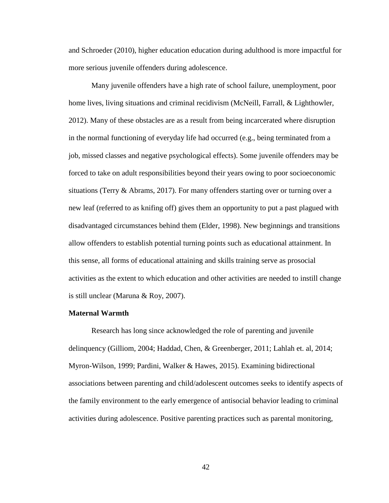and Schroeder (2010), higher education education during adulthood is more impactful for more serious juvenile offenders during adolescence.

Many juvenile offenders have a high rate of school failure, unemployment, poor home lives, living situations and criminal recidivism (McNeill, Farrall, & Lighthowler, 2012). Many of these obstacles are as a result from being incarcerated where disruption in the normal functioning of everyday life had occurred (e.g., being terminated from a job, missed classes and negative psychological effects). Some juvenile offenders may be forced to take on adult responsibilities beyond their years owing to poor socioeconomic situations (Terry & Abrams, 2017). For many offenders starting over or turning over a new leaf (referred to as knifing off) gives them an opportunity to put a past plagued with disadvantaged circumstances behind them (Elder, 1998). New beginnings and transitions allow offenders to establish potential turning points such as educational attainment. In this sense, all forms of educational attaining and skills training serve as prosocial activities as the extent to which education and other activities are needed to instill change is still unclear (Maruna & Roy, 2007).

# **Maternal Warmth**

Research has long since acknowledged the role of parenting and juvenile delinquency (Gilliom, 2004; Haddad, Chen, & Greenberger, 2011; Lahlah et. al, 2014; Myron-Wilson, 1999; Pardini, Walker & Hawes, 2015). Examining bidirectional associations between parenting and child/adolescent outcomes seeks to identify aspects of the family environment to the early emergence of antisocial behavior leading to criminal activities during adolescence. Positive parenting practices such as parental monitoring,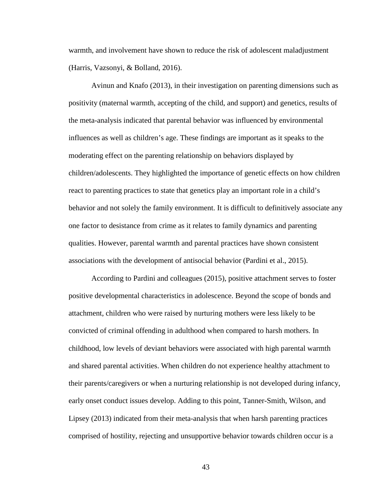warmth, and involvement have shown to reduce the risk of adolescent maladjustment (Harris, Vazsonyi, & Bolland, 2016).

Avinun and Knafo (2013), in their investigation on parenting dimensions such as positivity (maternal warmth, accepting of the child, and support) and genetics, results of the meta-analysis indicated that parental behavior was influenced by environmental influences as well as children's age. These findings are important as it speaks to the moderating effect on the parenting relationship on behaviors displayed by children/adolescents. They highlighted the importance of genetic effects on how children react to parenting practices to state that genetics play an important role in a child's behavior and not solely the family environment. It is difficult to definitively associate any one factor to desistance from crime as it relates to family dynamics and parenting qualities. However, parental warmth and parental practices have shown consistent associations with the development of antisocial behavior (Pardini et al., 2015).

According to Pardini and colleagues (2015), positive attachment serves to foster positive developmental characteristics in adolescence. Beyond the scope of bonds and attachment, children who were raised by nurturing mothers were less likely to be convicted of criminal offending in adulthood when compared to harsh mothers. In childhood, low levels of deviant behaviors were associated with high parental warmth and shared parental activities. When children do not experience healthy attachment to their parents/caregivers or when a nurturing relationship is not developed during infancy, early onset conduct issues develop. Adding to this point, Tanner-Smith, Wilson, and Lipsey (2013) indicated from their meta-analysis that when harsh parenting practices comprised of hostility, rejecting and unsupportive behavior towards children occur is a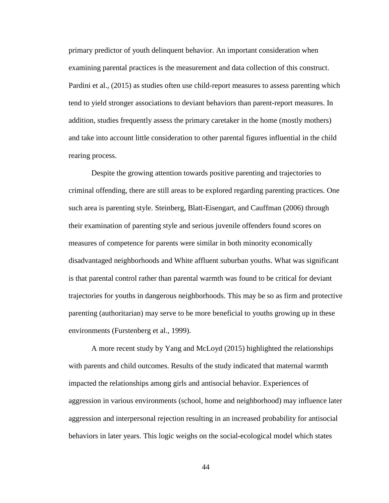primary predictor of youth delinquent behavior. An important consideration when examining parental practices is the measurement and data collection of this construct. Pardini et al., (2015) as studies often use child-report measures to assess parenting which tend to yield stronger associations to deviant behaviors than parent-report measures. In addition, studies frequently assess the primary caretaker in the home (mostly mothers) and take into account little consideration to other parental figures influential in the child rearing process.

Despite the growing attention towards positive parenting and trajectories to criminal offending, there are still areas to be explored regarding parenting practices. One such area is parenting style. Steinberg, Blatt-Eisengart, and Cauffman (2006) through their examination of parenting style and serious juvenile offenders found scores on measures of competence for parents were similar in both minority economically disadvantaged neighborhoods and White affluent suburban youths. What was significant is that parental control rather than parental warmth was found to be critical for deviant trajectories for youths in dangerous neighborhoods. This may be so as firm and protective parenting (authoritarian) may serve to be more beneficial to youths growing up in these environments (Furstenberg et al., 1999).

A more recent study by Yang and McLoyd (2015) highlighted the relationships with parents and child outcomes. Results of the study indicated that maternal warmth impacted the relationships among girls and antisocial behavior. Experiences of aggression in various environments (school, home and neighborhood) may influence later aggression and interpersonal rejection resulting in an increased probability for antisocial behaviors in later years. This logic weighs on the social-ecological model which states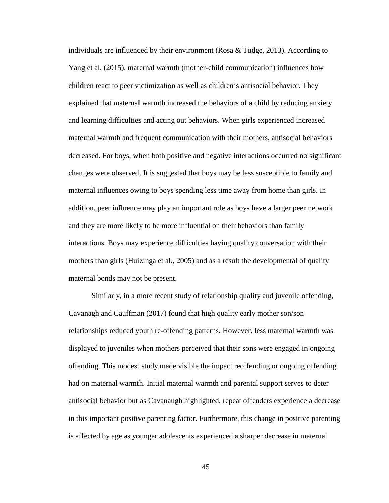individuals are influenced by their environment (Rosa & Tudge, 2013). According to Yang et al. (2015), maternal warmth (mother-child communication) influences how children react to peer victimization as well as children's antisocial behavior. They explained that maternal warmth increased the behaviors of a child by reducing anxiety and learning difficulties and acting out behaviors. When girls experienced increased maternal warmth and frequent communication with their mothers, antisocial behaviors decreased. For boys, when both positive and negative interactions occurred no significant changes were observed. It is suggested that boys may be less susceptible to family and maternal influences owing to boys spending less time away from home than girls. In addition, peer influence may play an important role as boys have a larger peer network and they are more likely to be more influential on their behaviors than family interactions. Boys may experience difficulties having quality conversation with their mothers than girls (Huizinga et al., 2005) and as a result the developmental of quality maternal bonds may not be present.

Similarly, in a more recent study of relationship quality and juvenile offending, Cavanagh and Cauffman (2017) found that high quality early mother son/son relationships reduced youth re-offending patterns. However, less maternal warmth was displayed to juveniles when mothers perceived that their sons were engaged in ongoing offending. This modest study made visible the impact reoffending or ongoing offending had on maternal warmth. Initial maternal warmth and parental support serves to deter antisocial behavior but as Cavanaugh highlighted, repeat offenders experience a decrease in this important positive parenting factor. Furthermore, this change in positive parenting is affected by age as younger adolescents experienced a sharper decrease in maternal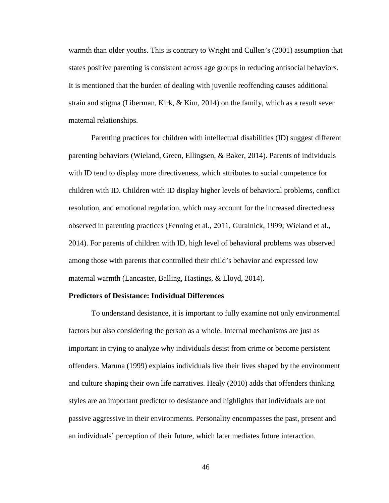warmth than older youths. This is contrary to Wright and Cullen's (2001) assumption that states positive parenting is consistent across age groups in reducing antisocial behaviors. It is mentioned that the burden of dealing with juvenile reoffending causes additional strain and stigma (Liberman, Kirk, & Kim, 2014) on the family, which as a result sever maternal relationships.

Parenting practices for children with intellectual disabilities (ID) suggest different parenting behaviors (Wieland, Green, Ellingsen, & Baker, 2014). Parents of individuals with ID tend to display more directiveness, which attributes to social competence for children with ID. Children with ID display higher levels of behavioral problems, conflict resolution, and emotional regulation, which may account for the increased directedness observed in parenting practices (Fenning et al., 2011, Guralnick, 1999; Wieland et al., 2014). For parents of children with ID, high level of behavioral problems was observed among those with parents that controlled their child's behavior and expressed low maternal warmth (Lancaster, Balling, Hastings, & Lloyd, 2014).

## **Predictors of Desistance: Individual Differences**

To understand desistance, it is important to fully examine not only environmental factors but also considering the person as a whole. Internal mechanisms are just as important in trying to analyze why individuals desist from crime or become persistent offenders. Maruna (1999) explains individuals live their lives shaped by the environment and culture shaping their own life narratives. Healy (2010) adds that offenders thinking styles are an important predictor to desistance and highlights that individuals are not passive aggressive in their environments. Personality encompasses the past, present and an individuals' perception of their future, which later mediates future interaction.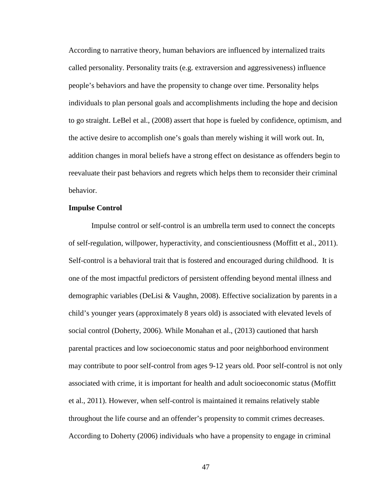According to narrative theory, human behaviors are influenced by internalized traits called personality. Personality traits (e.g. extraversion and aggressiveness) influence people's behaviors and have the propensity to change over time. Personality helps individuals to plan personal goals and accomplishments including the hope and decision to go straight. LeBel et al., (2008) assert that hope is fueled by confidence, optimism, and the active desire to accomplish one's goals than merely wishing it will work out. In, addition changes in moral beliefs have a strong effect on desistance as offenders begin to reevaluate their past behaviors and regrets which helps them to reconsider their criminal behavior.

## **Impulse Control**

Impulse control or self-control is an umbrella term used to connect the concepts of self-regulation, willpower, hyperactivity, and conscientiousness (Moffitt et al., 2011). Self-control is a behavioral trait that is fostered and encouraged during childhood. It is one of the most impactful predictors of persistent offending beyond mental illness and demographic variables (DeLisi & Vaughn, 2008). Effective socialization by parents in a child's younger years (approximately 8 years old) is associated with elevated levels of social control (Doherty, 2006). While Monahan et al., (2013) cautioned that harsh parental practices and low socioeconomic status and poor neighborhood environment may contribute to poor self-control from ages 9-12 years old. Poor self-control is not only associated with crime, it is important for health and adult socioeconomic status (Moffitt et al., 2011). However, when self-control is maintained it remains relatively stable throughout the life course and an offender's propensity to commit crimes decreases. According to Doherty (2006) individuals who have a propensity to engage in criminal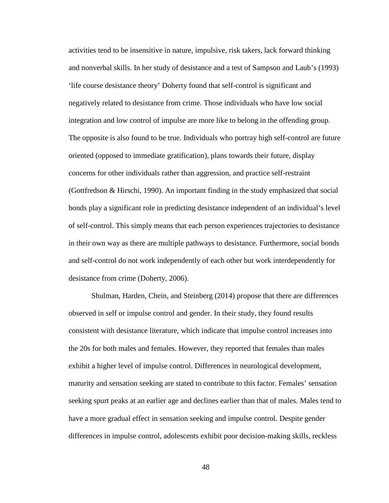activities tend to be insensitive in nature, impulsive, risk takers, lack forward thinking and nonverbal skills. In her study of desistance and a test of Sampson and Laub's (1993) 'life course desistance theory' Doherty found that self-control is significant and negatively related to desistance from crime. Those individuals who have low social integration and low control of impulse are more like to belong in the offending group. The opposite is also found to be true. Individuals who portray high self-control are future oriented (opposed to immediate gratification), plans towards their future, display concerns for other individuals rather than aggression, and practice self-restraint (Gottfredson & Hirschi, 1990). An important finding in the study emphasized that social bonds play a significant role in predicting desistance independent of an individual's level of self-control. This simply means that each person experiences trajectories to desistance in their own way as there are multiple pathways to desistance. Furthermore, social bonds and self-control do not work independently of each other but work interdependently for desistance from crime (Doherty, 2006).

Shulman, Harden, Chein, and Steinberg (2014) propose that there are differences observed in self or impulse control and gender. In their study, they found results consistent with desistance literature, which indicate that impulse control increases into the 20s for both males and females. However, they reported that females than males exhibit a higher level of impulse control. Differences in neurological development, maturity and sensation seeking are stated to contribute to this factor. Females' sensation seeking spurt peaks at an earlier age and declines earlier than that of males. Males tend to have a more gradual effect in sensation seeking and impulse control. Despite gender differences in impulse control, adolescents exhibit poor decision-making skills, reckless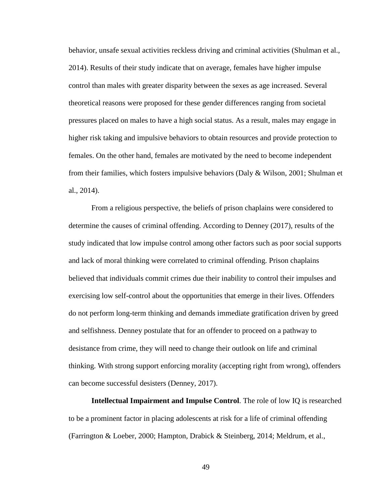behavior, unsafe sexual activities reckless driving and criminal activities (Shulman et al., 2014). Results of their study indicate that on average, females have higher impulse control than males with greater disparity between the sexes as age increased. Several theoretical reasons were proposed for these gender differences ranging from societal pressures placed on males to have a high social status. As a result, males may engage in higher risk taking and impulsive behaviors to obtain resources and provide protection to females. On the other hand, females are motivated by the need to become independent from their families, which fosters impulsive behaviors (Daly  $\&$  Wilson, 2001; Shulman et al., 2014).

From a religious perspective, the beliefs of prison chaplains were considered to determine the causes of criminal offending. According to Denney (2017), results of the study indicated that low impulse control among other factors such as poor social supports and lack of moral thinking were correlated to criminal offending. Prison chaplains believed that individuals commit crimes due their inability to control their impulses and exercising low self-control about the opportunities that emerge in their lives. Offenders do not perform long-term thinking and demands immediate gratification driven by greed and selfishness. Denney postulate that for an offender to proceed on a pathway to desistance from crime, they will need to change their outlook on life and criminal thinking. With strong support enforcing morality (accepting right from wrong), offenders can become successful desisters (Denney, 2017).

**Intellectual Impairment and Impulse Control**. The role of low IQ is researched to be a prominent factor in placing adolescents at risk for a life of criminal offending (Farrington & Loeber, 2000; Hampton, Drabick & Steinberg, 2014; Meldrum, et al.,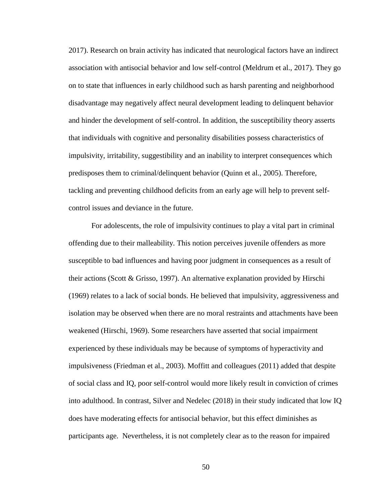2017). Research on brain activity has indicated that neurological factors have an indirect association with antisocial behavior and low self-control (Meldrum et al., 2017). They go on to state that influences in early childhood such as harsh parenting and neighborhood disadvantage may negatively affect neural development leading to delinquent behavior and hinder the development of self-control. In addition, the susceptibility theory asserts that individuals with cognitive and personality disabilities possess characteristics of impulsivity, irritability, suggestibility and an inability to interpret consequences which predisposes them to criminal/delinquent behavior (Quinn et al., 2005). Therefore, tackling and preventing childhood deficits from an early age will help to prevent selfcontrol issues and deviance in the future.

For adolescents, the role of impulsivity continues to play a vital part in criminal offending due to their malleability. This notion perceives juvenile offenders as more susceptible to bad influences and having poor judgment in consequences as a result of their actions (Scott & Grisso, 1997). An alternative explanation provided by Hirschi (1969) relates to a lack of social bonds. He believed that impulsivity, aggressiveness and isolation may be observed when there are no moral restraints and attachments have been weakened (Hirschi, 1969). Some researchers have asserted that social impairment experienced by these individuals may be because of symptoms of hyperactivity and impulsiveness (Friedman et al., 2003). Moffitt and colleagues (2011) added that despite of social class and IQ, poor self-control would more likely result in conviction of crimes into adulthood. In contrast, Silver and Nedelec (2018) in their study indicated that low IQ does have moderating effects for antisocial behavior, but this effect diminishes as participants age. Nevertheless, it is not completely clear as to the reason for impaired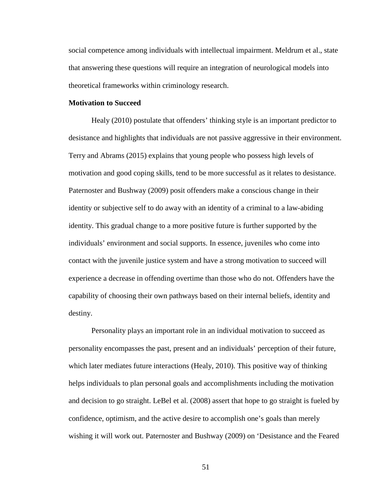social competence among individuals with intellectual impairment. Meldrum et al., state that answering these questions will require an integration of neurological models into theoretical frameworks within criminology research.

# **Motivation to Succeed**

Healy (2010) postulate that offenders' thinking style is an important predictor to desistance and highlights that individuals are not passive aggressive in their environment. Terry and Abrams (2015) explains that young people who possess high levels of motivation and good coping skills, tend to be more successful as it relates to desistance. Paternoster and Bushway (2009) posit offenders make a conscious change in their identity or subjective self to do away with an identity of a criminal to a law-abiding identity. This gradual change to a more positive future is further supported by the individuals' environment and social supports. In essence, juveniles who come into contact with the juvenile justice system and have a strong motivation to succeed will experience a decrease in offending overtime than those who do not. Offenders have the capability of choosing their own pathways based on their internal beliefs, identity and destiny.

Personality plays an important role in an individual motivation to succeed as personality encompasses the past, present and an individuals' perception of their future, which later mediates future interactions (Healy, 2010). This positive way of thinking helps individuals to plan personal goals and accomplishments including the motivation and decision to go straight. LeBel et al. (2008) assert that hope to go straight is fueled by confidence, optimism, and the active desire to accomplish one's goals than merely wishing it will work out. Paternoster and Bushway (2009) on 'Desistance and the Feared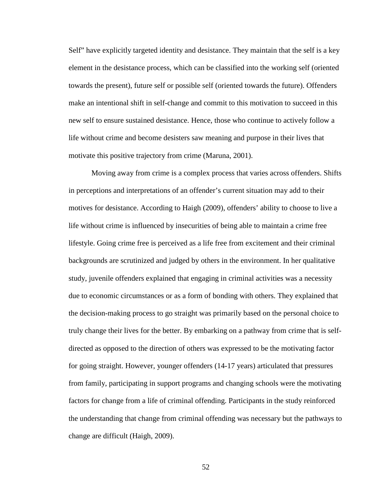Self" have explicitly targeted identity and desistance. They maintain that the self is a key element in the desistance process, which can be classified into the working self (oriented towards the present), future self or possible self (oriented towards the future). Offenders make an intentional shift in self-change and commit to this motivation to succeed in this new self to ensure sustained desistance. Hence, those who continue to actively follow a life without crime and become desisters saw meaning and purpose in their lives that motivate this positive trajectory from crime (Maruna, 2001).

Moving away from crime is a complex process that varies across offenders. Shifts in perceptions and interpretations of an offender's current situation may add to their motives for desistance. According to Haigh (2009), offenders' ability to choose to live a life without crime is influenced by insecurities of being able to maintain a crime free lifestyle. Going crime free is perceived as a life free from excitement and their criminal backgrounds are scrutinized and judged by others in the environment. In her qualitative study, juvenile offenders explained that engaging in criminal activities was a necessity due to economic circumstances or as a form of bonding with others. They explained that the decision-making process to go straight was primarily based on the personal choice to truly change their lives for the better. By embarking on a pathway from crime that is selfdirected as opposed to the direction of others was expressed to be the motivating factor for going straight. However, younger offenders (14-17 years) articulated that pressures from family, participating in support programs and changing schools were the motivating factors for change from a life of criminal offending. Participants in the study reinforced the understanding that change from criminal offending was necessary but the pathways to change are difficult (Haigh, 2009).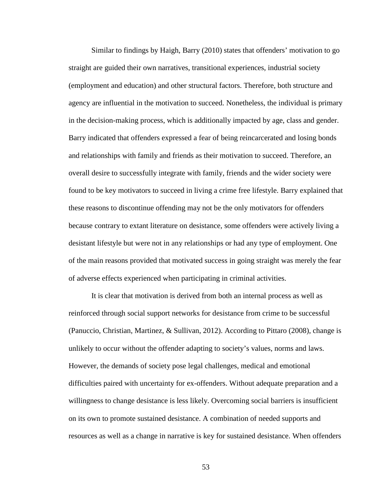Similar to findings by Haigh, Barry (2010) states that offenders' motivation to go straight are guided their own narratives, transitional experiences, industrial society (employment and education) and other structural factors. Therefore, both structure and agency are influential in the motivation to succeed. Nonetheless, the individual is primary in the decision-making process, which is additionally impacted by age, class and gender. Barry indicated that offenders expressed a fear of being reincarcerated and losing bonds and relationships with family and friends as their motivation to succeed. Therefore, an overall desire to successfully integrate with family, friends and the wider society were found to be key motivators to succeed in living a crime free lifestyle. Barry explained that these reasons to discontinue offending may not be the only motivators for offenders because contrary to extant literature on desistance, some offenders were actively living a desistant lifestyle but were not in any relationships or had any type of employment. One of the main reasons provided that motivated success in going straight was merely the fear of adverse effects experienced when participating in criminal activities.

It is clear that motivation is derived from both an internal process as well as reinforced through social support networks for desistance from crime to be successful (Panuccio, Christian, Martinez, & Sullivan, 2012). According to Pittaro (2008), change is unlikely to occur without the offender adapting to society's values, norms and laws. However, the demands of society pose legal challenges, medical and emotional difficulties paired with uncertainty for ex-offenders. Without adequate preparation and a willingness to change desistance is less likely. Overcoming social barriers is insufficient on its own to promote sustained desistance. A combination of needed supports and resources as well as a change in narrative is key for sustained desistance. When offenders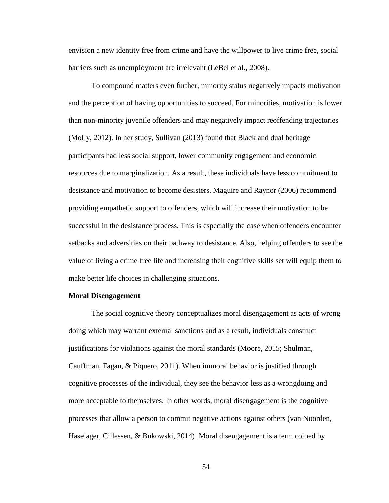envision a new identity free from crime and have the willpower to live crime free, social barriers such as unemployment are irrelevant (LeBel et al., 2008).

To compound matters even further, minority status negatively impacts motivation and the perception of having opportunities to succeed. For minorities, motivation is lower than non-minority juvenile offenders and may negatively impact reoffending trajectories (Molly, 2012). In her study, Sullivan (2013) found that Black and dual heritage participants had less social support, lower community engagement and economic resources due to marginalization. As a result, these individuals have less commitment to desistance and motivation to become desisters. Maguire and Raynor (2006) recommend providing empathetic support to offenders, which will increase their motivation to be successful in the desistance process. This is especially the case when offenders encounter setbacks and adversities on their pathway to desistance. Also, helping offenders to see the value of living a crime free life and increasing their cognitive skills set will equip them to make better life choices in challenging situations.

#### **Moral Disengagement**

The social cognitive theory conceptualizes moral disengagement as acts of wrong doing which may warrant external sanctions and as a result, individuals construct justifications for violations against the moral standards (Moore, 2015; Shulman, Cauffman, Fagan, & Piquero, 2011). When immoral behavior is justified through cognitive processes of the individual, they see the behavior less as a wrongdoing and more acceptable to themselves. In other words, moral disengagement is the cognitive processes that allow a person to commit negative actions against others (van Noorden, Haselager, Cillessen, & Bukowski, 2014). Moral disengagement is a term coined by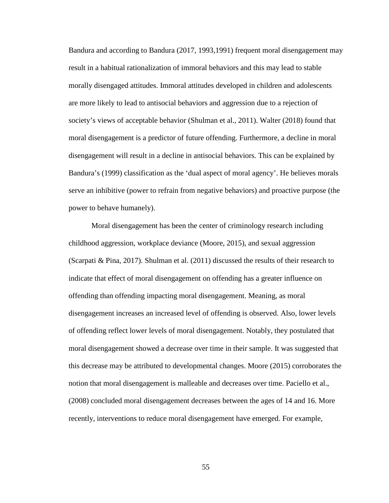Bandura and according to Bandura (2017, 1993,1991) frequent moral disengagement may result in a habitual rationalization of immoral behaviors and this may lead to stable morally disengaged attitudes. Immoral attitudes developed in children and adolescents are more likely to lead to antisocial behaviors and aggression due to a rejection of society's views of acceptable behavior (Shulman et al., 2011). Walter (2018) found that moral disengagement is a predictor of future offending. Furthermore, a decline in moral disengagement will result in a decline in antisocial behaviors. This can be explained by Bandura's (1999) classification as the 'dual aspect of moral agency'. He believes morals serve an inhibitive (power to refrain from negative behaviors) and proactive purpose (the power to behave humanely).

Moral disengagement has been the center of criminology research including childhood aggression, workplace deviance (Moore, 2015), and sexual aggression (Scarpati & Pina, 2017). Shulman et al. (2011) discussed the results of their research to indicate that effect of moral disengagement on offending has a greater influence on offending than offending impacting moral disengagement. Meaning, as moral disengagement increases an increased level of offending is observed. Also, lower levels of offending reflect lower levels of moral disengagement. Notably, they postulated that moral disengagement showed a decrease over time in their sample. It was suggested that this decrease may be attributed to developmental changes. Moore (2015) corroborates the notion that moral disengagement is malleable and decreases over time. Paciello et al., (2008) concluded moral disengagement decreases between the ages of 14 and 16. More recently, interventions to reduce moral disengagement have emerged. For example,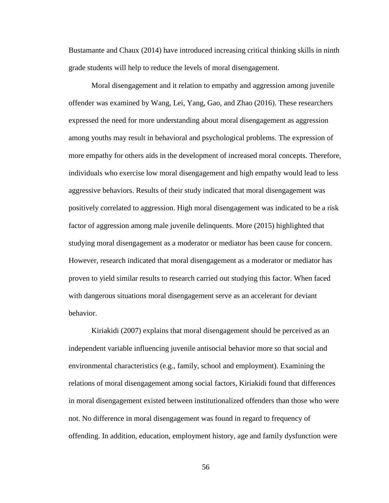Bustamante and Chaux (2014) have introduced increasing critical thinking skills in ninth grade students will help to reduce the levels of moral disengagement.

Moral disengagement and it relation to empathy and aggression among juvenile offender was examined by Wang, Lei, Yang, Gao, and Zhao (2016). These researchers expressed the need for more understanding about moral disengagement as aggression among youths may result in behavioral and psychological problems. The expression of more empathy for others aids in the development of increased moral concepts. Therefore, individuals who exercise low moral disengagement and high empathy would lead to less aggressive behaviors. Results of their study indicated that moral disengagement was positively correlated to aggression. High moral disengagement was indicated to be a risk factor of aggression among male juvenile delinquents. More (2015) highlighted that studying moral disengagement as a moderator or mediator has been cause for concern. However, research indicated that moral disengagement as a moderator or mediator has proven to yield similar results to research carried out studying this factor. When faced with dangerous situations moral disengagement serve as an accelerant for deviant behavior.

Kiriakidi (2007) explains that moral disengagement should be perceived as an independent variable influencing juvenile antisocial behavior more so that social and environmental characteristics (e.g., family, school and employment). Examining the relations of moral disengagement among social factors, Kiriakidi found that differences in moral disengagement existed between institutionalized offenders than those who were not. No difference in moral disengagement was found in regard to frequency of offending. In addition, education, employment history, age and family dysfunction were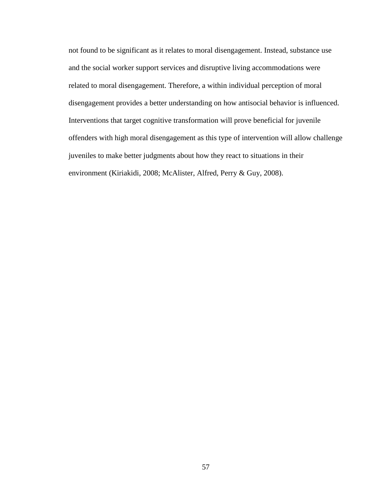not found to be significant as it relates to moral disengagement. Instead, substance use and the social worker support services and disruptive living accommodations were related to moral disengagement. Therefore, a within individual perception of moral disengagement provides a better understanding on how antisocial behavior is influenced. Interventions that target cognitive transformation will prove beneficial for juvenile offenders with high moral disengagement as this type of intervention will allow challenge juveniles to make better judgments about how they react to situations in their environment (Kiriakidi, 2008; McAlister, Alfred, Perry & Guy, 2008).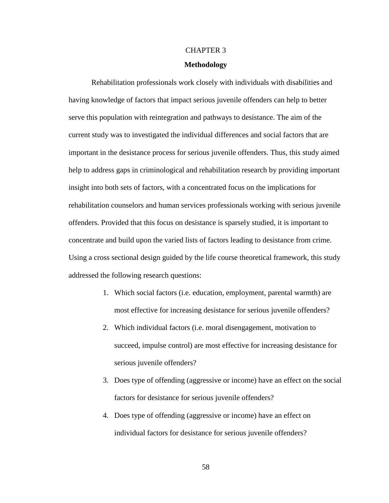# CHAPTER 3

# **Methodology**

Rehabilitation professionals work closely with individuals with disabilities and having knowledge of factors that impact serious juvenile offenders can help to better serve this population with reintegration and pathways to desistance. The aim of the current study was to investigated the individual differences and social factors that are important in the desistance process for serious juvenile offenders. Thus, this study aimed help to address gaps in criminological and rehabilitation research by providing important insight into both sets of factors, with a concentrated focus on the implications for rehabilitation counselors and human services professionals working with serious juvenile offenders. Provided that this focus on desistance is sparsely studied, it is important to concentrate and build upon the varied lists of factors leading to desistance from crime. Using a cross sectional design guided by the life course theoretical framework, this study addressed the following research questions:

- 1. Which social factors (i.e. education, employment, parental warmth) are most effective for increasing desistance for serious juvenile offenders?
- 2. Which individual factors (i.e. moral disengagement, motivation to succeed, impulse control) are most effective for increasing desistance for serious juvenile offenders?
- 3. Does type of offending (aggressive or income) have an effect on the social factors for desistance for serious juvenile offenders?
- 4. Does type of offending (aggressive or income) have an effect on individual factors for desistance for serious juvenile offenders?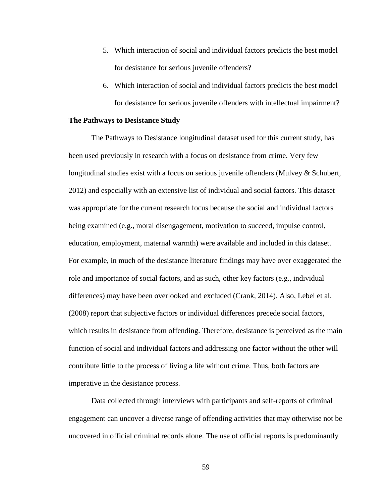- 5. Which interaction of social and individual factors predicts the best model for desistance for serious juvenile offenders?
- 6. Which interaction of social and individual factors predicts the best model for desistance for serious juvenile offenders with intellectual impairment?

## **The Pathways to Desistance Study**

The Pathways to Desistance longitudinal dataset used for this current study, has been used previously in research with a focus on desistance from crime. Very few longitudinal studies exist with a focus on serious juvenile offenders (Mulvey & Schubert, 2012) and especially with an extensive list of individual and social factors. This dataset was appropriate for the current research focus because the social and individual factors being examined (e.g., moral disengagement, motivation to succeed, impulse control, education, employment, maternal warmth) were available and included in this dataset. For example, in much of the desistance literature findings may have over exaggerated the role and importance of social factors, and as such, other key factors (e.g., individual differences) may have been overlooked and excluded (Crank, 2014). Also, Lebel et al. (2008) report that subjective factors or individual differences precede social factors, which results in desistance from offending. Therefore, desistance is perceived as the main function of social and individual factors and addressing one factor without the other will contribute little to the process of living a life without crime. Thus, both factors are imperative in the desistance process.

Data collected through interviews with participants and self-reports of criminal engagement can uncover a diverse range of offending activities that may otherwise not be uncovered in official criminal records alone. The use of official reports is predominantly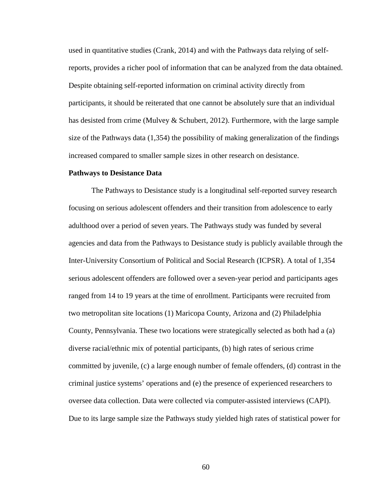used in quantitative studies (Crank, 2014) and with the Pathways data relying of selfreports, provides a richer pool of information that can be analyzed from the data obtained. Despite obtaining self-reported information on criminal activity directly from participants, it should be reiterated that one cannot be absolutely sure that an individual has desisted from crime (Mulvey & Schubert, 2012). Furthermore, with the large sample size of the Pathways data (1,354) the possibility of making generalization of the findings increased compared to smaller sample sizes in other research on desistance.

#### **Pathways to Desistance Data**

The Pathways to Desistance study is a longitudinal self-reported survey research focusing on serious adolescent offenders and their transition from adolescence to early adulthood over a period of seven years. The Pathways study was funded by several agencies and data from the Pathways to Desistance study is publicly available through the Inter-University Consortium of Political and Social Research (ICPSR). A total of 1,354 serious adolescent offenders are followed over a seven-year period and participants ages ranged from 14 to 19 years at the time of enrollment. Participants were recruited from two metropolitan site locations (1) Maricopa County, Arizona and (2) Philadelphia County, Pennsylvania. These two locations were strategically selected as both had a (a) diverse racial/ethnic mix of potential participants, (b) high rates of serious crime committed by juvenile, (c) a large enough number of female offenders, (d) contrast in the criminal justice systems' operations and (e) the presence of experienced researchers to oversee data collection. Data were collected via computer-assisted interviews (CAPI). Due to its large sample size the Pathways study yielded high rates of statistical power for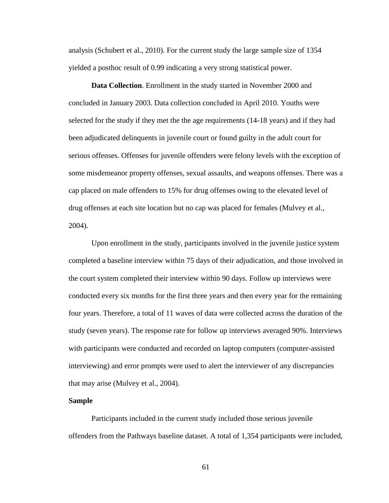analysis (Schubert et al., 2010). For the current study the large sample size of 1354 yielded a posthoc result of 0.99 indicating a very strong statistical power.

**Data Collection**. Enrollment in the study started in November 2000 and concluded in January 2003. Data collection concluded in April 2010. Youths were selected for the study if they met the the age requirements (14-18 years) and if they had been adjudicated delinquents in juvenile court or found guilty in the adult court for serious offenses. Offenses for juvenile offenders were felony levels with the exception of some misdemeanor property offenses, sexual assaults, and weapons offenses. There was a cap placed on male offenders to 15% for drug offenses owing to the elevated level of drug offenses at each site location but no cap was placed for females (Mulvey et al., 2004).

Upon enrollment in the study, participants involved in the juvenile justice system completed a baseline interview within 75 days of their adjudication, and those involved in the court system completed their interview within 90 days. Follow up interviews were conducted every six months for the first three years and then every year for the remaining four years. Therefore, a total of 11 waves of data were collected across the duration of the study (seven years). The response rate for follow up interviews averaged 90%. Interviews with participants were conducted and recorded on laptop computers (computer-assisted interviewing) and error prompts were used to alert the interviewer of any discrepancies that may arise (Mulvey et al., 2004).

# **Sample**

Participants included in the current study included those serious juvenile offenders from the Pathways baseline dataset. A total of 1,354 participants were included,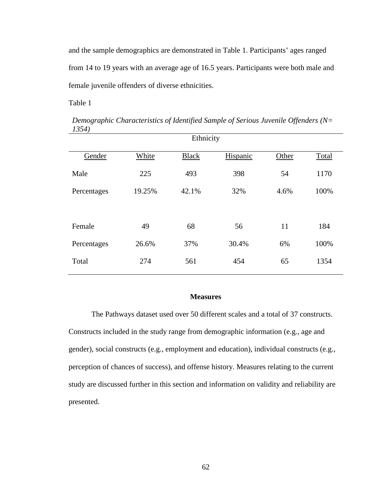and the sample demographics are demonstrated in Table 1. Participants' ages ranged from 14 to 19 years with an average age of 16.5 years. Participants were both male and female juvenile offenders of diverse ethnicities.

Table 1

| Ethnicity   |        |              |          |       |       |
|-------------|--------|--------------|----------|-------|-------|
| Gender      | White  | <b>Black</b> | Hispanic | Other | Total |
| Male        | 225    | 493          | 398      | 54    | 1170  |
| Percentages | 19.25% | 42.1%        | 32%      | 4.6%  | 100%  |
|             |        |              |          |       |       |
| Female      | 49     | 68           | 56       | 11    | 184   |
| Percentages | 26.6%  | 37%          | 30.4%    | 6%    | 100%  |
| Total       | 274    | 561          | 454      | 65    | 1354  |

*Demographic Characteristics of Identified Sample of Serious Juvenile Offenders (N= 1354)*

### **Measures**

The Pathways dataset used over 50 different scales and a total of 37 constructs. Constructs included in the study range from demographic information (e.g., age and gender), social constructs (e.g., employment and education), individual constructs (e.g., perception of chances of success), and offense history. Measures relating to the current study are discussed further in this section and information on validity and reliability are presented.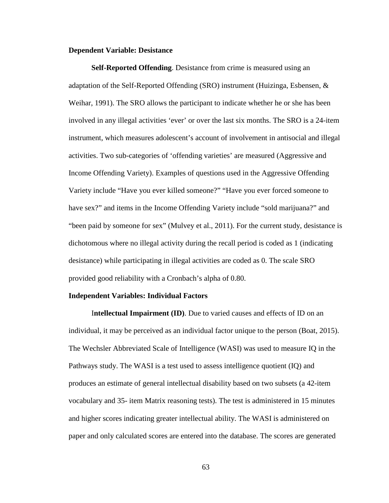#### **Dependent Variable: Desistance**

**Self-Reported Offending**. Desistance from crime is measured using an adaptation of the Self-Reported Offending (SRO) instrument (Huizinga, Esbensen, & Weihar, 1991). The SRO allows the participant to indicate whether he or she has been involved in any illegal activities 'ever' or over the last six months. The SRO is a 24-item instrument, which measures adolescent's account of involvement in antisocial and illegal activities. Two sub-categories of 'offending varieties' are measured (Aggressive and Income Offending Variety). Examples of questions used in the Aggressive Offending Variety include "Have you ever killed someone?" "Have you ever forced someone to have sex?" and items in the Income Offending Variety include "sold marijuana?" and "been paid by someone for sex" (Mulvey et al., 2011). For the current study, desistance is dichotomous where no illegal activity during the recall period is coded as 1 (indicating desistance) while participating in illegal activities are coded as 0. The scale SRO provided good reliability with a Cronbach's alpha of 0.80.

### **Independent Variables: Individual Factors**

I**ntellectual Impairment (ID)**. Due to varied causes and effects of ID on an individual, it may be perceived as an individual factor unique to the person (Boat, 2015). The Wechsler Abbreviated Scale of Intelligence (WASI) was used to measure IQ in the Pathways study. The WASI is a test used to assess intelligence quotient (IQ) and produces an estimate of general intellectual disability based on two subsets (a 42-item vocabulary and 35- item Matrix reasoning tests). The test is administered in 15 minutes and higher scores indicating greater intellectual ability. The WASI is administered on paper and only calculated scores are entered into the database. The scores are generated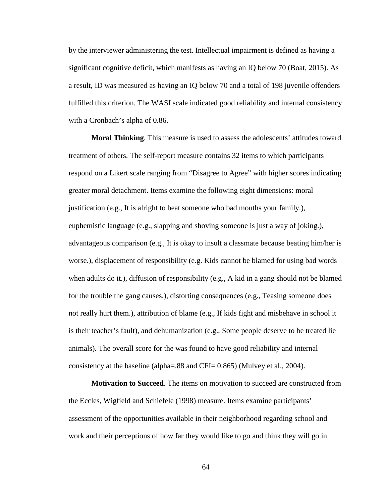by the interviewer administering the test. Intellectual impairment is defined as having a significant cognitive deficit, which manifests as having an IQ below 70 (Boat, 2015). As a result, ID was measured as having an IQ below 70 and a total of 198 juvenile offenders fulfilled this criterion. The WASI scale indicated good reliability and internal consistency with a Cronbach's alpha of 0.86.

**Moral Thinking**. This measure is used to assess the adolescents' attitudes toward treatment of others. The self-report measure contains 32 items to which participants respond on a Likert scale ranging from "Disagree to Agree" with higher scores indicating greater moral detachment. Items examine the following eight dimensions: moral justification (e.g., It is alright to beat someone who bad mouths your family.), euphemistic language (e.g., slapping and shoving someone is just a way of joking.), advantageous comparison (e.g., It is okay to insult a classmate because beating him/her is worse.), displacement of responsibility (e.g. Kids cannot be blamed for using bad words when adults do it.), diffusion of responsibility (e.g., A kid in a gang should not be blamed for the trouble the gang causes.), distorting consequences (e.g., Teasing someone does not really hurt them.), attribution of blame (e.g., If kids fight and misbehave in school it is their teacher's fault), and dehumanization (e.g., Some people deserve to be treated lie animals). The overall score for the was found to have good reliability and internal consistency at the baseline (alpha=.88 and CFI= 0.865) (Mulvey et al., 2004).

**Motivation to Succeed**. The items on motivation to succeed are constructed from the Eccles, Wigfield and Schiefele (1998) measure. Items examine participants' assessment of the opportunities available in their neighborhood regarding school and work and their perceptions of how far they would like to go and think they will go in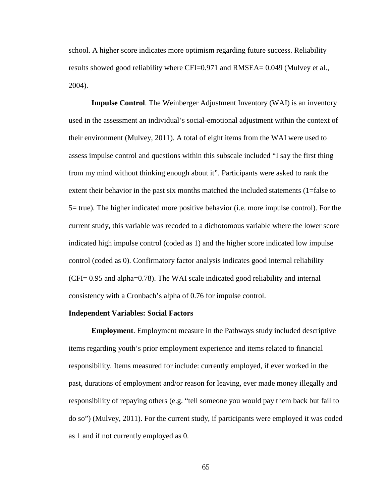school. A higher score indicates more optimism regarding future success. Reliability results showed good reliability where CFI=0.971 and RMSEA= 0.049 (Mulvey et al., 2004).

**Impulse Control**. The Weinberger Adjustment Inventory (WAI) is an inventory used in the assessment an individual's social-emotional adjustment within the context of their environment (Mulvey, 2011). A total of eight items from the WAI were used to assess impulse control and questions within this subscale included "I say the first thing from my mind without thinking enough about it". Participants were asked to rank the extent their behavior in the past six months matched the included statements (1=false to 5= true). The higher indicated more positive behavior (i.e. more impulse control). For the current study, this variable was recoded to a dichotomous variable where the lower score indicated high impulse control (coded as 1) and the higher score indicated low impulse control (coded as 0). Confirmatory factor analysis indicates good internal reliability (CFI= 0.95 and alpha=0.78). The WAI scale indicated good reliability and internal consistency with a Cronbach's alpha of 0.76 for impulse control.

### **Independent Variables: Social Factors**

**Employment**. Employment measure in the Pathways study included descriptive items regarding youth's prior employment experience and items related to financial responsibility. Items measured for include: currently employed, if ever worked in the past, durations of employment and/or reason for leaving, ever made money illegally and responsibility of repaying others (e.g. "tell someone you would pay them back but fail to do so") (Mulvey, 2011). For the current study, if participants were employed it was coded as 1 and if not currently employed as 0.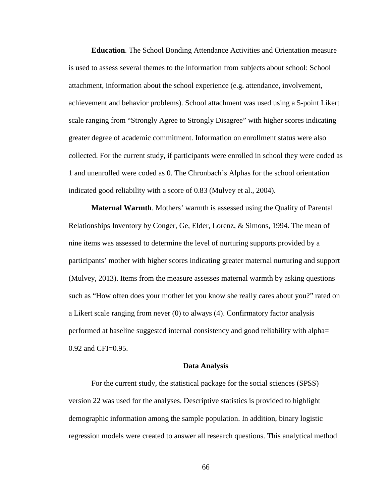**Education**. The School Bonding Attendance Activities and Orientation measure is used to assess several themes to the information from subjects about school: School attachment, information about the school experience (e.g. attendance, involvement, achievement and behavior problems). School attachment was used using a 5-point Likert scale ranging from "Strongly Agree to Strongly Disagree" with higher scores indicating greater degree of academic commitment. Information on enrollment status were also collected. For the current study, if participants were enrolled in school they were coded as 1 and unenrolled were coded as 0. The Chronbach's Alphas for the school orientation indicated good reliability with a score of 0.83 (Mulvey et al., 2004).

**Maternal Warmth**. Mothers' warmth is assessed using the Quality of Parental Relationships Inventory by Conger, Ge, Elder, Lorenz, & Simons, 1994. The mean of nine items was assessed to determine the level of nurturing supports provided by a participants' mother with higher scores indicating greater maternal nurturing and support (Mulvey, 2013). Items from the measure assesses maternal warmth by asking questions such as "How often does your mother let you know she really cares about you?" rated on a Likert scale ranging from never (0) to always (4). Confirmatory factor analysis performed at baseline suggested internal consistency and good reliability with alpha= 0.92 and CFI=0.95.

### **Data Analysis**

For the current study, the statistical package for the social sciences (SPSS) version 22 was used for the analyses. Descriptive statistics is provided to highlight demographic information among the sample population. In addition, binary logistic regression models were created to answer all research questions. This analytical method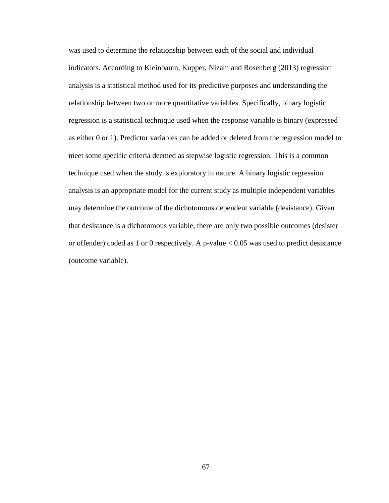was used to determine the relationship between each of the social and individual indicators. According to Kleinbaum, Kupper, Nizam and Rosenberg (2013) regression analysis is a statistical method used for its predictive purposes and understanding the relationship between two or more quantitative variables. Specifically, binary logistic regression is a statistical technique used when the response variable is binary (expressed as either 0 or 1). Predictor variables can be added or deleted from the regression model to meet some specific criteria deemed as stepwise logistic regression. This is a common technique used when the study is exploratory in nature. A binary logistic regression analysis is an appropriate model for the current study as multiple independent variables may determine the outcome of the dichotomous dependent variable (desistance). Given that desistance is a dichotomous variable, there are only two possible outcomes (desister or offender) coded as 1 or 0 respectively. A p-value  $< 0.05$  was used to predict desistance (outcome variable).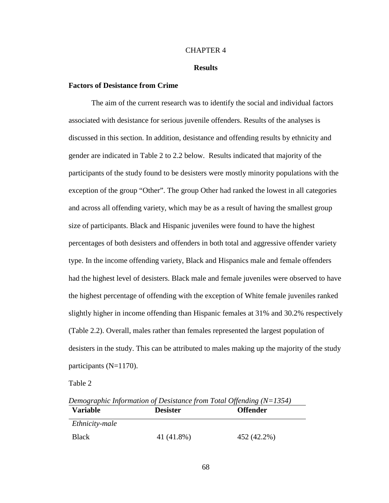### CHAPTER 4

### **Results**

# **Factors of Desistance from Crime**

The aim of the current research was to identify the social and individual factors associated with desistance for serious juvenile offenders. Results of the analyses is discussed in this section. In addition, desistance and offending results by ethnicity and gender are indicated in Table 2 to 2.2 below. Results indicated that majority of the participants of the study found to be desisters were mostly minority populations with the exception of the group "Other". The group Other had ranked the lowest in all categories and across all offending variety, which may be as a result of having the smallest group size of participants. Black and Hispanic juveniles were found to have the highest percentages of both desisters and offenders in both total and aggressive offender variety type. In the income offending variety, Black and Hispanics male and female offenders had the highest level of desisters. Black male and female juveniles were observed to have the highest percentage of offending with the exception of White female juveniles ranked slightly higher in income offending than Hispanic females at 31% and 30.2% respectively (Table 2.2). Overall, males rather than females represented the largest population of desisters in the study. This can be attributed to males making up the majority of the study participants (N=1170).

Table 2

| Demographic Information of Desistance from Total Offending $(N=1354)$ |                 |                 |  |  |  |
|-----------------------------------------------------------------------|-----------------|-----------------|--|--|--|
| <b>Variable</b>                                                       | <b>Desister</b> | <b>Offender</b> |  |  |  |
| <i>Ethnicity-male</i>                                                 |                 |                 |  |  |  |
| <b>Black</b>                                                          | 41 (41.8%)      | 452 (42.2%)     |  |  |  |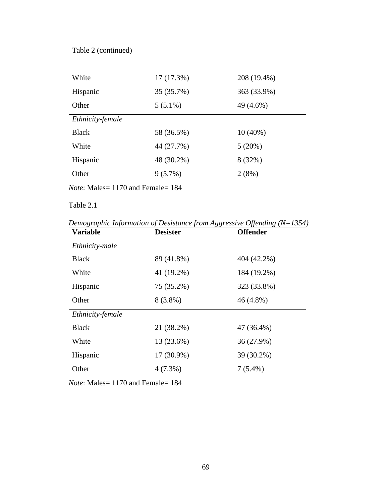# Table 2 (continued)

| White            | 17(17.3%)  | 208 (19.4%) |
|------------------|------------|-------------|
| Hispanic         | 35 (35.7%) | 363 (33.9%) |
| Other            | $5(5.1\%)$ | 49 (4.6%)   |
| Ethnicity-female |            |             |
| <b>Black</b>     | 58 (36.5%) | $10(40\%)$  |
| White            | 44 (27.7%) | 5(20%)      |
| Hispanic         | 48 (30.2%) | 8 (32%)     |
| Other            | $9(5.7\%)$ | 2(8%)       |

*Note*: Males= 1170 and Female= 184

# Table 2.1

*Demographic Information of Desistance from Aggressive Offending (N=1354)*

| <b>Variable</b>  | <b>Desister</b> | <b>Offender</b> |
|------------------|-----------------|-----------------|
| Ethnicity-male   |                 |                 |
| <b>Black</b>     | 89 (41.8%)      | 404 (42.2%)     |
| White            | 41 (19.2%)      | 184 (19.2%)     |
| Hispanic         | 75 (35.2%)      | 323 (33.8%)     |
| Other            | $8(3.8\%)$      | 46 (4.8%)       |
| Ethnicity-female |                 |                 |
| <b>Black</b>     | 21 (38.2%)      | 47 (36.4%)      |
| White            | 13 (23.6%)      | 36 (27.9%)      |
| Hispanic         | 17 (30.9%)      | 39 (30.2%)      |
| Other            | $4(7.3\%)$      | $7(5.4\%)$      |
|                  |                 |                 |

*Note*: Males= 1170 and Female= 184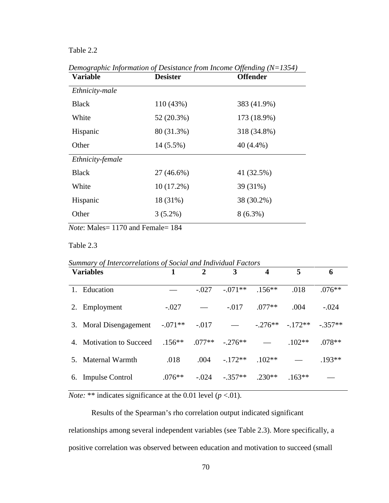# Table 2.2

| <b>Variable</b>  | <b>Desister</b> | <b>Offender</b> |
|------------------|-----------------|-----------------|
| Ethnicity-male   |                 |                 |
| <b>Black</b>     | 110 (43%)       | 383 (41.9%)     |
| White            | 52 (20.3%)      | 173 (18.9%)     |
| Hispanic         | 80 (31.3%)      | 318 (34.8%)     |
| Other            | 14 (5.5%)       | 40 (4.4%)       |
| Ethnicity-female |                 |                 |
| <b>Black</b>     | 27 (46.6%)      | 41 (32.5%)      |
| White            | $10(17.2\%)$    | 39 (31%)        |
| Hispanic         | 18 (31%)        | 38 (30.2%)      |
| Other            | $3(5.2\%)$      | $8(6.3\%)$      |
|                  |                 |                 |

*Demographic Information of Desistance from Income Offending (N=1354)*

*Note*: Males= 1170 and Female= 184

# Table 2.3

|    | <b>Variables</b>         |           | $\overline{2}$ | 3                  | 4         | 5        | 6        |
|----|--------------------------|-----------|----------------|--------------------|-----------|----------|----------|
| 1. | Education                |           | $-.027$        | $-.071**$          | $.156***$ | .018     | $.076**$ |
| 2. | Employment               | $-.027$   |                | $-.017$            | $.077**$  | .004     | $-.024$  |
|    | 3. Moral Disengagement   | $-.071**$ | $-.017$        |                    | $-.276**$ | $-172**$ | $-357**$ |
|    | 4. Motivation to Succeed | $.156***$ |                | $.077**$ $-.276**$ |           | $.102**$ | $.078**$ |
|    | Maternal Warmth          | .018      | .004           | $-172**$           | $.102**$  |          | $.193**$ |
|    | 6. Impulse Control       | $.076**$  | $-.024$        | $-.357**$          | $.230**$  | $.163**$ |          |

*Note:* \*\* indicates significance at the 0.01 level  $(p < .01)$ .

Results of the Spearman's rho correlation output indicated significant relationships among several independent variables (see Table 2.3). More specifically, a positive correlation was observed between education and motivation to succeed (small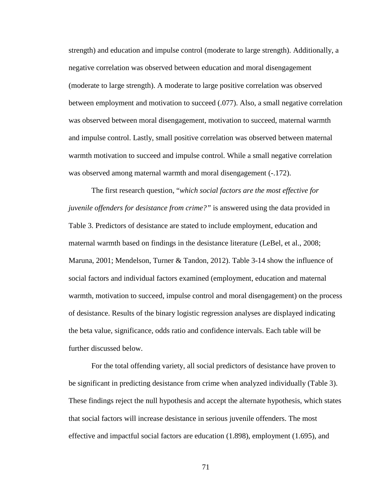strength) and education and impulse control (moderate to large strength). Additionally, a negative correlation was observed between education and moral disengagement (moderate to large strength). A moderate to large positive correlation was observed between employment and motivation to succeed (.077). Also, a small negative correlation was observed between moral disengagement, motivation to succeed, maternal warmth and impulse control. Lastly, small positive correlation was observed between maternal warmth motivation to succeed and impulse control. While a small negative correlation was observed among maternal warmth and moral disengagement  $(-.172)$ .

The first research question, "*which social factors are the most effective for juvenile offenders for desistance from crime?"* is answered using the data provided in Table 3. Predictors of desistance are stated to include employment, education and maternal warmth based on findings in the desistance literature (LeBel, et al., 2008; Maruna, 2001; Mendelson, Turner & Tandon, 2012). Table 3-14 show the influence of social factors and individual factors examined (employment, education and maternal warmth, motivation to succeed, impulse control and moral disengagement) on the process of desistance. Results of the binary logistic regression analyses are displayed indicating the beta value, significance, odds ratio and confidence intervals. Each table will be further discussed below.

For the total offending variety, all social predictors of desistance have proven to be significant in predicting desistance from crime when analyzed individually (Table 3). These findings reject the null hypothesis and accept the alternate hypothesis, which states that social factors will increase desistance in serious juvenile offenders. The most effective and impactful social factors are education (1.898), employment (1.695), and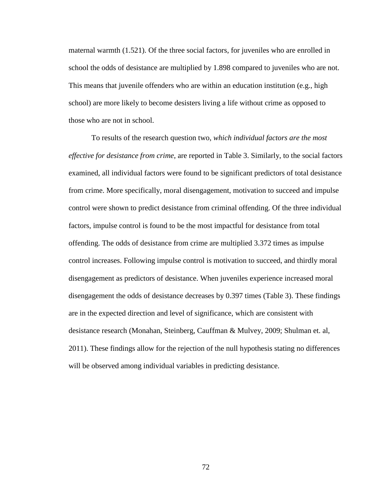maternal warmth (1.521). Of the three social factors, for juveniles who are enrolled in school the odds of desistance are multiplied by 1.898 compared to juveniles who are not. This means that juvenile offenders who are within an education institution (e.g., high school) are more likely to become desisters living a life without crime as opposed to those who are not in school.

To results of the research question two, *which individual factors are the most effective for desistance from crime*, are reported in Table 3. Similarly, to the social factors examined, all individual factors were found to be significant predictors of total desistance from crime. More specifically, moral disengagement, motivation to succeed and impulse control were shown to predict desistance from criminal offending. Of the three individual factors, impulse control is found to be the most impactful for desistance from total offending. The odds of desistance from crime are multiplied 3.372 times as impulse control increases. Following impulse control is motivation to succeed, and thirdly moral disengagement as predictors of desistance. When juveniles experience increased moral disengagement the odds of desistance decreases by 0.397 times (Table 3). These findings are in the expected direction and level of significance, which are consistent with desistance research (Monahan, Steinberg, Cauffman & Mulvey, 2009; Shulman et. al, 2011). These findings allow for the rejection of the null hypothesis stating no differences will be observed among individual variables in predicting desistance.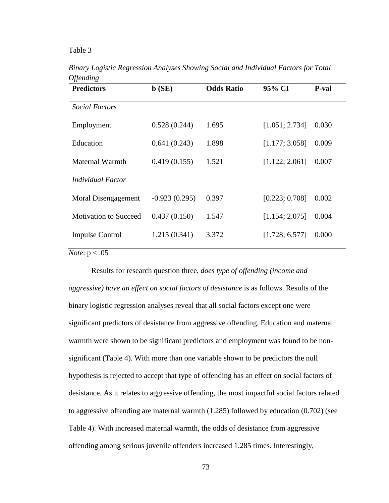### Table 3

| $\sim$ point $\sim$<br><b>Predictors</b> | $\mathbf{b}$ (SE) | <b>Odds Ratio</b> | 95% CI         | P-val |
|------------------------------------------|-------------------|-------------------|----------------|-------|
| <i>Social Factors</i>                    |                   |                   |                |       |
| Employment                               | 0.528(0.244)      | 1.695             | [1.051; 2.734] | 0.030 |
| Education                                | 0.641(0.243)      | 1.898             | [1.177; 3.058] | 0.009 |
| Maternal Warmth                          | 0.419(0.155)      | 1.521             | [1.122; 2.061] | 0.007 |
| Individual Factor                        |                   |                   |                |       |
| Moral Disengagement                      | $-0.923(0.295)$   | 0.397             | [0.223; 0.708] | 0.002 |
| <b>Motivation to Succeed</b>             | 0.437(0.150)      | 1.547             | [1.154; 2.075] | 0.004 |
| <b>Impulse Control</b>                   | 1.215(0.341)      | 3.372             | [1.728; 6.577] | 0.000 |

*Binary Logistic Regression Analyses Showing Social and Individual Factors for Total Offending* 

*Note*: p < .05

Results for research question three, *does type of offending (income and aggressive) have an effect on social factors of desistance is as follows. Results of the* binary logistic regression analyses reveal that all social factors except one were significant predictors of desistance from aggressive offending. Education and maternal warmth were shown to be significant predictors and employment was found to be nonsignificant (Table 4). With more than one variable shown to be predictors the null hypothesis is rejected to accept that type of offending has an effect on social factors of desistance. As it relates to aggressive offending, the most impactful social factors related to aggressive offending are maternal warmth (1.285) followed by education (0.702) (see Table 4). With increased maternal warmth, the odds of desistance from aggressive offending among serious juvenile offenders increased 1.285 times. Interestingly,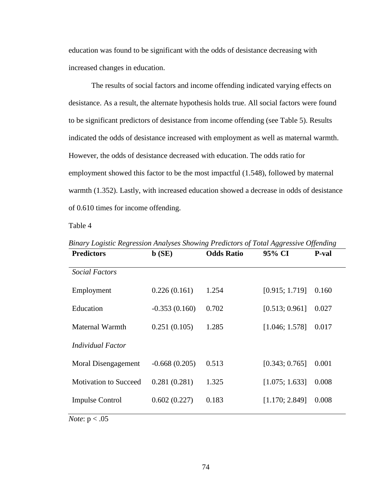education was found to be significant with the odds of desistance decreasing with increased changes in education.

The results of social factors and income offending indicated varying effects on desistance. As a result, the alternate hypothesis holds true. All social factors were found to be significant predictors of desistance from income offending (see Table 5). Results indicated the odds of desistance increased with employment as well as maternal warmth. However, the odds of desistance decreased with education. The odds ratio for employment showed this factor to be the most impactful (1.548), followed by maternal warmth (1.352). Lastly, with increased education showed a decrease in odds of desistance of 0.610 times for income offending.

Table 4

| <b>Predictors</b>            | $\mathbf{b}$ (SE) | <b>Odds Ratio</b> | 95% CI         | P-val |
|------------------------------|-------------------|-------------------|----------------|-------|
| <b>Social Factors</b>        |                   |                   |                |       |
| Employment                   | 0.226(0.161)      | 1.254             | [0.915; 1.719] | 0.160 |
| Education                    | $-0.353(0.160)$   | 0.702             | [0.513; 0.961] | 0.027 |
| Maternal Warmth              | 0.251(0.105)      | 1.285             | [1.046; 1.578] | 0.017 |
| <b>Individual Factor</b>     |                   |                   |                |       |
| Moral Disengagement          | $-0.668(0.205)$   | 0.513             | [0.343; 0.765] | 0.001 |
| <b>Motivation to Succeed</b> | 0.281(0.281)      | 1.325             | [1.075; 1.633] | 0.008 |
| <b>Impulse Control</b>       | 0.602(0.227)      | 0.183             | [1.170; 2.849] | 0.008 |
|                              |                   |                   |                |       |

*Binary Logistic Regression Analyses Showing Predictors of Total Aggressive Offending*

*Note*: p < .05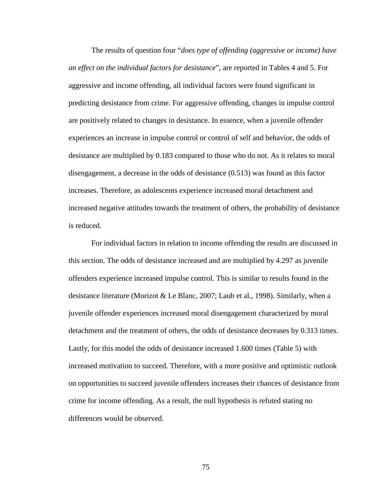The results of question four "*does type of offending (aggressive or income) have an effect on the individual factors for desistance*", are reported in Tables 4 and 5. For aggressive and income offending, all individual factors were found significant in predicting desistance from crime. For aggressive offending, changes in impulse control are positively related to changes in desistance. In essence, when a juvenile offender experiences an increase in impulse control or control of self and behavior, the odds of desistance are multiplied by 0.183 compared to those who do not. As it relates to moral disengagement, a decrease in the odds of desistance (0.513) was found as this factor increases. Therefore, as adolescents experience increased moral detachment and increased negative attitudes towards the treatment of others, the probability of desistance is reduced.

For individual factors in relation to income offending the results are discussed in this section. The odds of desistance increased and are multiplied by 4.297 as juvenile offenders experience increased impulse control. This is similar to results found in the desistance literature (Morizot & Le Blanc, 2007; Laub et al., 1998). Similarly, when a juvenile offender experiences increased moral disengagement characterized by moral detachment and the treatment of others, the odds of desistance decreases by 0.313 times. Lastly, for this model the odds of desistance increased 1.600 times (Table 5) with increased motivation to succeed. Therefore, with a more positive and optimistic outlook on opportunities to succeed juvenile offenders increases their chances of desistance from crime for income offending. As a result, the null hypothesis is refuted stating no differences would be observed.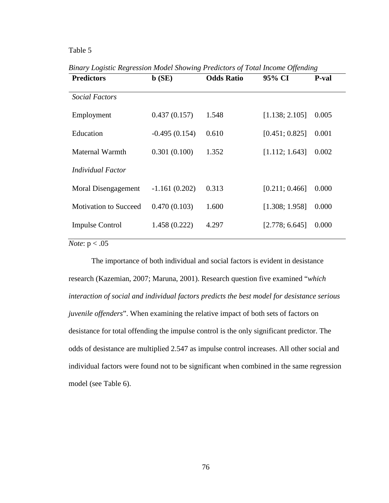# Table 5

| <b>Predictors</b>            | $\mathbf{b}$ (SE) | <b>Odds Ratio</b> | 95% CI         | P-val |
|------------------------------|-------------------|-------------------|----------------|-------|
| <b>Social Factors</b>        |                   |                   |                |       |
| Employment                   | 0.437(0.157)      | 1.548             | [1.138; 2.105] | 0.005 |
| Education                    | $-0.495(0.154)$   | 0.610             | [0.451; 0.825] | 0.001 |
| Maternal Warmth              | 0.301(0.100)      | 1.352             | [1.112; 1.643] | 0.002 |
| Individual Factor            |                   |                   |                |       |
| Moral Disengagement          | $-1.161(0.202)$   | 0.313             | [0.211; 0.466] | 0.000 |
| <b>Motivation to Succeed</b> | 0.470(0.103)      | 1.600             | [1.308; 1.958] | 0.000 |
| <b>Impulse Control</b>       | 1.458 (0.222)     | 4.297             | [2.778; 6.645] | 0.000 |
|                              |                   |                   |                |       |

*Binary Logistic Regression Model Showing Predictors of Total Income Offending*

*Note*:  $p < .05$ 

The importance of both individual and social factors is evident in desistance research (Kazemian, 2007; Maruna, 2001). Research question five examined "*which interaction of social and individual factors predicts the best model for desistance serious juvenile offenders*". When examining the relative impact of both sets of factors on desistance for total offending the impulse control is the only significant predictor. The odds of desistance are multiplied 2.547 as impulse control increases. All other social and individual factors were found not to be significant when combined in the same regression model (see Table 6).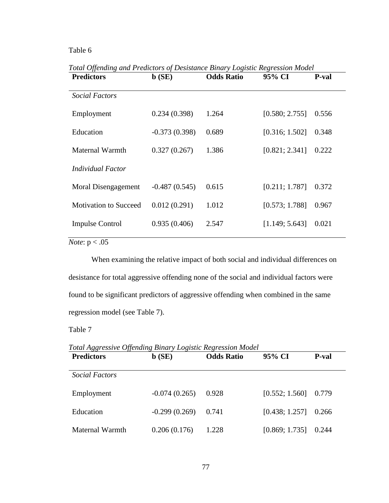# Table 6

| Four Offenang and Freuctors of Desistance Dinary Logistic Regression model<br><b>Predictors</b> | $\mathbf{b}$ (SE) | <b>Odds Ratio</b> | 95% CI         | <b>P</b> -val |
|-------------------------------------------------------------------------------------------------|-------------------|-------------------|----------------|---------------|
| <i>Social Factors</i>                                                                           |                   |                   |                |               |
| Employment                                                                                      | 0.234(0.398)      | 1.264             | [0.580; 2.755] | 0.556         |
| Education                                                                                       | $-0.373(0.398)$   | 0.689             | [0.316; 1.502] | 0.348         |
| Maternal Warmth                                                                                 | 0.327(0.267)      | 1.386             | [0.821; 2.341] | 0.222         |
| Individual Factor                                                                               |                   |                   |                |               |
| Moral Disengagement                                                                             | $-0.487(0.545)$   | 0.615             | [0.211; 1.787] | 0.372         |
| <b>Motivation to Succeed</b>                                                                    | 0.012(0.291)      | 1.012             | [0.573; 1.788] | 0.967         |
| <b>Impulse Control</b>                                                                          | 0.935(0.406)      | 2.547             | [1.149; 5.643] | 0.021         |

*Total Offending and Predictors of Desistance Binary Logistic Regression Model* 

*Note*:  $p < .05$ 

When examining the relative impact of both social and individual differences on desistance for total aggressive offending none of the social and individual factors were found to be significant predictors of aggressive offending when combined in the same regression model (see Table 7).

Table 7

**Predictors b (SE) Odds Ratio 95% CI P-val** *Social Factors* Employment -0.074 (0.265) 0.928 [0.552; 1.560] 0.779 Education -0.299 (0.269) 0.741 [0.438; 1.257] 0.266 Maternal Warmth 0.206 (0.176) 1.228 [0.869; 1.735] 0.244

*Total Aggressive Offending Binary Logistic Regression Model*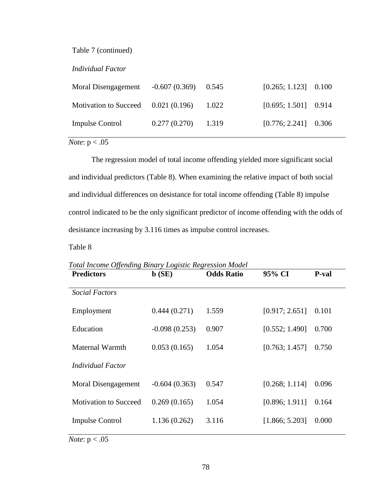Table 7 (continued)

*Individual Factor*

| Moral Disengagement                  | $-0.607(0.369)$ 0.545 |       | $[0.265; 1.123]$ 0.100 |  |
|--------------------------------------|-----------------------|-------|------------------------|--|
| Motivation to Succeed $0.021(0.196)$ |                       | 1.022 | $[0.695; 1.501]$ 0.914 |  |
| <b>Impulse Control</b>               | $0.277(0.270)$ 1.319  |       | $[0.776; 2.241]$ 0.306 |  |

*Note*:  $p < .05$ 

The regression model of total income offending yielded more significant social and individual predictors (Table 8). When examining the relative impact of both social and individual differences on desistance for total income offending (Table 8) impulse control indicated to be the only significant predictor of income offending with the odds of desistance increasing by 3.116 times as impulse control increases.

Table 8

| Foldt mcome Offenality Dinary Logistic Regression model<br><b>Predictors</b> | $\mathbf{b}$ (SE) | <b>Odds Ratio</b> | 95% CI         | P-val |
|------------------------------------------------------------------------------|-------------------|-------------------|----------------|-------|
| <b>Social Factors</b>                                                        |                   |                   |                |       |
| Employment                                                                   | 0.444(0.271)      | 1.559             | [0.917; 2.651] | 0.101 |
| Education                                                                    | $-0.098(0.253)$   | 0.907             | [0.552; 1.490] | 0.700 |
| Maternal Warmth                                                              | 0.053(0.165)      | 1.054             | [0.763; 1.457] | 0.750 |
| Individual Factor                                                            |                   |                   |                |       |
| Moral Disengagement                                                          | $-0.604(0.363)$   | 0.547             | [0.268; 1.114] | 0.096 |
| <b>Motivation to Succeed</b>                                                 | 0.269(0.165)      | 1.054             | [0.896; 1.911] | 0.164 |
| <b>Impulse Control</b>                                                       | 1.136(0.262)      | 3.116             | [1.866; 5.203] | 0.000 |
|                                                                              |                   |                   |                |       |

*Total Income Offending Binary Logistic Regression Model*

*Note*:  $p < .05$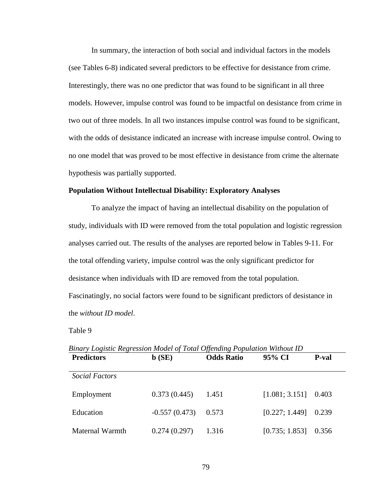In summary, the interaction of both social and individual factors in the models (see Tables 6-8) indicated several predictors to be effective for desistance from crime. Interestingly, there was no one predictor that was found to be significant in all three models. However, impulse control was found to be impactful on desistance from crime in two out of three models. In all two instances impulse control was found to be significant, with the odds of desistance indicated an increase with increase impulse control. Owing to no one model that was proved to be most effective in desistance from crime the alternate hypothesis was partially supported.

## **Population Without Intellectual Disability: Exploratory Analyses**

To analyze the impact of having an intellectual disability on the population of study, individuals with ID were removed from the total population and logistic regression analyses carried out. The results of the analyses are reported below in Tables 9-11. For the total offending variety, impulse control was the only significant predictor for desistance when individuals with ID are removed from the total population. Fascinatingly, no social factors were found to be significant predictors of desistance in the *without ID model*.

Table 9

| <b>Predictors</b>     | $\mathbf{b}$ (SE) | <b>Odds Ratio</b> | 95% CI         | <b>P</b> -val |
|-----------------------|-------------------|-------------------|----------------|---------------|
| <i>Social Factors</i> |                   |                   |                |               |
| Employment            | 0.373(0.445)      | 1.451             | [1.081; 3.151] | 0.403         |
| Education             | $-0.557(0.473)$   | 0.573             | [0.227; 1.449] | 0.239         |
| Maternal Warmth       | 0.274(0.297)      | 1.316             | [0.735; 1.853] | 0.356         |

*Binary Logistic Regression Model of Total Offending Population Without ID*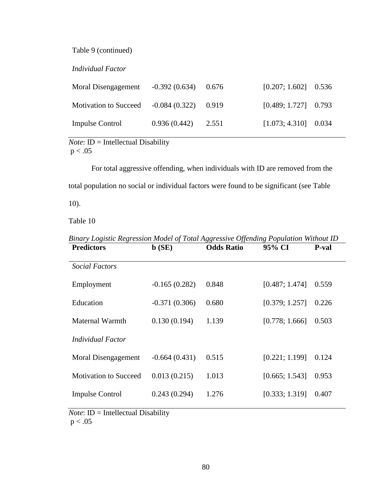Table 9 (continued)

*Individual Factor*

| Moral Disengagement          | $-0.392(0.634)$ 0.676 | $[0.207; 1.602]$ 0.536 |  |
|------------------------------|-----------------------|------------------------|--|
| <b>Motivation to Succeed</b> | $-0.084(0.322)$ 0.919 | $[0.489; 1.727]$ 0.793 |  |
| <b>Impulse Control</b>       | $0.936(0.442)$ 2.551  | $[1.073; 4.310]$ 0.034 |  |

*Note*: **ID** = **Intellectual Disability**  $p < .05$ 

For total aggressive offending, when individuals with ID are removed from the total population no social or individual factors were found to be significant (see Table 10).

Table 10

| <b>Predictors</b>            | $\mathbf{b}$ (SE) | <b>Odds Ratio</b> | 95% CI         | P-val |
|------------------------------|-------------------|-------------------|----------------|-------|
| <i>Social Factors</i>        |                   |                   |                |       |
| Employment                   | $-0.165(0.282)$   | 0.848             | [0.487; 1.474] | 0.559 |
| Education                    | $-0.371(0.306)$   | 0.680             | [0.379; 1.257] | 0.226 |
| Maternal Warmth              | 0.130(0.194)      | 1.139             | [0.778; 1.666] | 0.503 |
| Individual Factor            |                   |                   |                |       |
| Moral Disengagement          | $-0.664(0.431)$   | 0.515             | [0.221; 1.199] | 0.124 |
| <b>Motivation to Succeed</b> | 0.013(0.215)      | 1.013             | [0.665; 1.543] | 0.953 |
| <b>Impulse Control</b>       | 0.243(0.294)      | 1.276             | [0.333; 1.319] | 0.407 |

*Binary Logistic Regression Model of Total Aggressive Offending Population Without ID*

*Note*: **ID** = **Intellectual Disability**  $p < .05$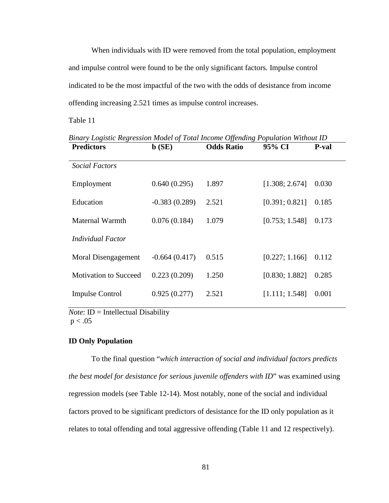When individuals with ID were removed from the total population, employment and impulse control were found to be the only significant factors. Impulse control indicated to be the most impactful of the two with the odds of desistance from income offending increasing 2.521 times as impulse control increases.

Table 11

| <b>Predictors</b>            | $\mathbf{b}$ (SE) | <b>Odds Ratio</b> | 95% CI         | <b>P-val</b> |
|------------------------------|-------------------|-------------------|----------------|--------------|
| <b>Social Factors</b>        |                   |                   |                |              |
| Employment                   | 0.640(0.295)      | 1.897             | [1.308; 2.674] | 0.030        |
| Education                    | $-0.383(0.289)$   | 2.521             | [0.391; 0.821] | 0.185        |
| Maternal Warmth              | 0.076(0.184)      | 1.079             | [0.753; 1.548] | 0.173        |
| Individual Factor            |                   |                   |                |              |
| Moral Disengagement          | $-0.664(0.417)$   | 0.515             | [0.227; 1.166] | 0.112        |
| <b>Motivation to Succeed</b> | 0.223(0.209)      | 1.250             | [0.830; 1.882] | 0.285        |
| <b>Impulse Control</b>       | 0.925(0.277)      | 2.521             | [1.111; 1.548] | 0.001        |

*Binary Logistic Regression Model of Total Income Offending Population Without ID*

*Note*: ID = Intellectual Disability  $p < .05$ 

### **ID Only Population**

To the final question "*which interaction of social and individual factors predicts the best model for desistance for serious juvenile offenders with ID*" was examined using regression models (see Table 12-14). Most notably, none of the social and individual factors proved to be significant predictors of desistance for the ID only population as it relates to total offending and total aggressive offending (Table 11 and 12 respectively).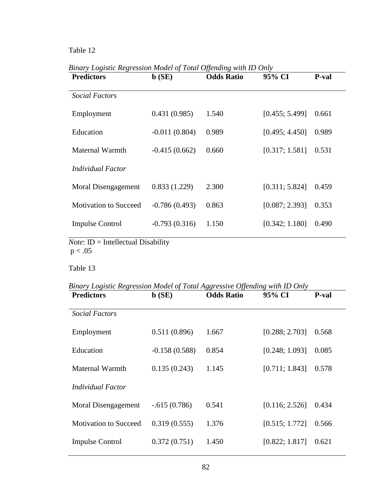# Table 12

| $\mathbf{b}$ (SE) | <b>Odds Ratio</b> | 95% CI         | P-val |
|-------------------|-------------------|----------------|-------|
|                   |                   |                |       |
| 0.431(0.985)      | 1.540             | [0.455; 5.499] | 0.661 |
| $-0.011(0.804)$   | 0.989             | [0.495; 4.450] | 0.989 |
| $-0.415(0.662)$   | 0.660             | [0.317; 1.581] | 0.531 |
|                   |                   |                |       |
| 0.833(1.229)      | 2.300             | [0.311; 5.824] | 0.459 |
| $-0.786(0.493)$   | 0.863             | [0.087; 2.393] | 0.353 |
| $-0.793(0.316)$   | 1.150             | [0.342; 1.180] | 0.490 |
|                   |                   |                |       |

*Binary Logistic Regression Model of Total Offending with ID Only*

 $p < 0.05$ 

Table 13

*Binary Logistic Regression Model of Total Aggressive Offending with ID Only*

| <b>Predictors</b>            | $\mathbf{b}$ (SE) | <b>Odds Ratio</b> | 95% CI         | P-val |
|------------------------------|-------------------|-------------------|----------------|-------|
| <i>Social Factors</i>        |                   |                   |                |       |
| Employment                   | 0.511(0.896)      | 1.667             | [0.288; 2.703] | 0.568 |
| Education                    | $-0.158(0.588)$   | 0.854             | [0.248; 1.093] | 0.085 |
| Maternal Warmth              | 0.135(0.243)      | 1.145             | [0.711; 1.843] | 0.578 |
| Individual Factor            |                   |                   |                |       |
| Moral Disengagement          | $-.615(0.786)$    | 0.541             | [0.116; 2.526] | 0.434 |
| <b>Motivation to Succeed</b> | 0.319(0.555)      | 1.376             | [0.515; 1.772] | 0.566 |
| <b>Impulse Control</b>       | 0.372(0.751)      | 1.450             | [0.822; 1.817] | 0.621 |
|                              |                   |                   |                |       |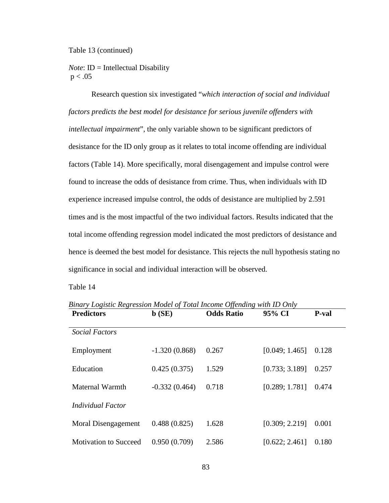### Table 13 (continued)

*Note*: **ID** = **Intellectual Disability**  $p < .05$ 

Research question six investigated "*which interaction of social and individual factors predicts the best model for desistance for serious juvenile offenders with intellectual impairment*", the only variable shown to be significant predictors of desistance for the ID only group as it relates to total income offending are individual factors (Table 14). More specifically, moral disengagement and impulse control were found to increase the odds of desistance from crime. Thus, when individuals with ID experience increased impulse control, the odds of desistance are multiplied by 2.591 times and is the most impactful of the two individual factors. Results indicated that the total income offending regression model indicated the most predictors of desistance and hence is deemed the best model for desistance. This rejects the null hypothesis stating no significance in social and individual interaction will be observed.

Table 14

*Binary Logistic Regression Model of Total Income Offending with ID Only*

| <b>Predictors</b>            | $\mathbf{b}$ (SE) | <b>Odds Ratio</b> | 95% CI         | <b>P</b> -val |
|------------------------------|-------------------|-------------------|----------------|---------------|
| <b>Social Factors</b>        |                   |                   |                |               |
| Employment                   | $-1.320(0.868)$   | 0.267             | [0.049; 1.465] | 0.128         |
| Education                    | 0.425(0.375)      | 1.529             | [0.733; 3.189] | 0.257         |
| Maternal Warmth              | $-0.332(0.464)$   | 0.718             | [0.289; 1.781] | 0.474         |
| Individual Factor            |                   |                   |                |               |
| Moral Disengagement          | 0.488(0.825)      | 1.628             | [0.309; 2.219] | 0.001         |
| <b>Motivation to Succeed</b> | 0.950(0.709)      | 2.586             | [0.622; 2.461] | 0.180         |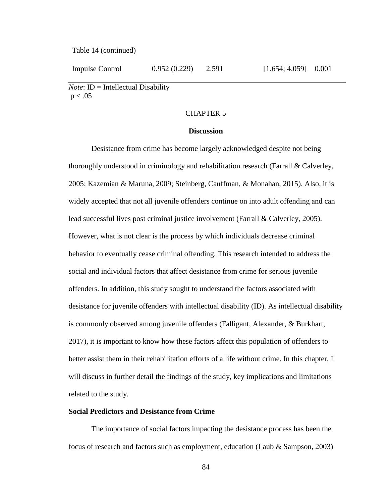Table 14 (continued)

Impulse Control  $0.952 (0.229)$   $2.591$  [1.654; 4.059] 0.001

*Note*: **ID** = Intellectual Disability  $p < .05$ 

## CHAPTER 5

### **Discussion**

Desistance from crime has become largely acknowledged despite not being thoroughly understood in criminology and rehabilitation research (Farrall & Calverley, 2005; Kazemian & Maruna, 2009; Steinberg, Cauffman, & Monahan, 2015). Also, it is widely accepted that not all juvenile offenders continue on into adult offending and can lead successful lives post criminal justice involvement (Farrall & Calverley, 2005). However, what is not clear is the process by which individuals decrease criminal behavior to eventually cease criminal offending. This research intended to address the social and individual factors that affect desistance from crime for serious juvenile offenders. In addition, this study sought to understand the factors associated with desistance for juvenile offenders with intellectual disability (ID). As intellectual disability is commonly observed among juvenile offenders (Falligant, Alexander, & Burkhart, 2017), it is important to know how these factors affect this population of offenders to better assist them in their rehabilitation efforts of a life without crime. In this chapter, I will discuss in further detail the findings of the study, key implications and limitations related to the study.

### **Social Predictors and Desistance from Crime**

The importance of social factors impacting the desistance process has been the focus of research and factors such as employment, education (Laub & Sampson, 2003)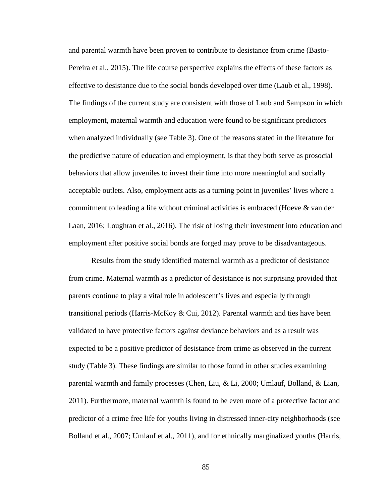and parental warmth have been proven to contribute to desistance from crime (Basto-Pereira et al., 2015). The life course perspective explains the effects of these factors as effective to desistance due to the social bonds developed over time (Laub et al., 1998). The findings of the current study are consistent with those of Laub and Sampson in which employment, maternal warmth and education were found to be significant predictors when analyzed individually (see Table 3). One of the reasons stated in the literature for the predictive nature of education and employment, is that they both serve as prosocial behaviors that allow juveniles to invest their time into more meaningful and socially acceptable outlets. Also, employment acts as a turning point in juveniles' lives where a commitment to leading a life without criminal activities is embraced (Hoeve & van der Laan, 2016; Loughran et al., 2016). The risk of losing their investment into education and employment after positive social bonds are forged may prove to be disadvantageous.

Results from the study identified maternal warmth as a predictor of desistance from crime. Maternal warmth as a predictor of desistance is not surprising provided that parents continue to play a vital role in adolescent's lives and especially through transitional periods (Harris-McKoy & Cui, 2012). Parental warmth and ties have been validated to have protective factors against deviance behaviors and as a result was expected to be a positive predictor of desistance from crime as observed in the current study (Table 3). These findings are similar to those found in other studies examining parental warmth and family processes (Chen, Liu, & Li, 2000; Umlauf, Bolland, & Lian, 2011). Furthermore, maternal warmth is found to be even more of a protective factor and predictor of a crime free life for youths living in distressed inner-city neighborhoods (see Bolland et al., 2007; Umlauf et al., 2011), and for ethnically marginalized youths (Harris,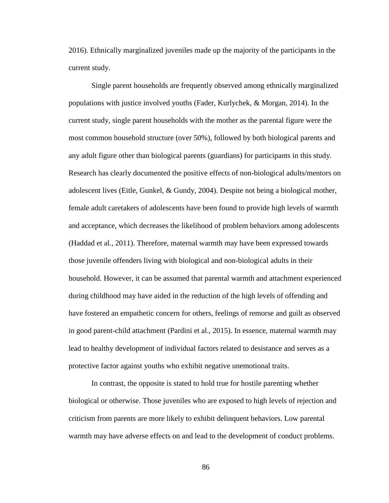2016). Ethnically marginalized juveniles made up the majority of the participants in the current study.

Single parent households are frequently observed among ethnically marginalized populations with justice involved youths (Fader, Kurlychek, & Morgan, 2014). In the current study, single parent households with the mother as the parental figure were the most common household structure (over 50%), followed by both biological parents and any adult figure other than biological parents (guardians) for participants in this study. Research has clearly documented the positive effects of non-biological adults/mentors on adolescent lives (Eitle, Gunkel, & Gundy, 2004). Despite not being a biological mother, female adult caretakers of adolescents have been found to provide high levels of warmth and acceptance, which decreases the likelihood of problem behaviors among adolescents (Haddad et al., 2011). Therefore, maternal warmth may have been expressed towards those juvenile offenders living with biological and non-biological adults in their household. However, it can be assumed that parental warmth and attachment experienced during childhood may have aided in the reduction of the high levels of offending and have fostered an empathetic concern for others, feelings of remorse and guilt as observed in good parent-child attachment (Pardini et al., 2015). In essence, maternal warmth may lead to healthy development of individual factors related to desistance and serves as a protective factor against youths who exhibit negative unemotional traits.

In contrast, the opposite is stated to hold true for hostile parenting whether biological or otherwise. Those juveniles who are exposed to high levels of rejection and criticism from parents are more likely to exhibit delinquent behaviors. Low parental warmth may have adverse effects on and lead to the development of conduct problems.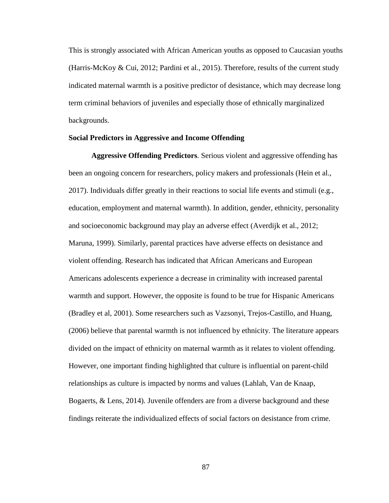This is strongly associated with African American youths as opposed to Caucasian youths (Harris-McKoy & Cui, 2012; Pardini et al., 2015). Therefore, results of the current study indicated maternal warmth is a positive predictor of desistance, which may decrease long term criminal behaviors of juveniles and especially those of ethnically marginalized backgrounds.

## **Social Predictors in Aggressive and Income Offending**

**Aggressive Offending Predictors**. Serious violent and aggressive offending has been an ongoing concern for researchers, policy makers and professionals (Hein et al., 2017). Individuals differ greatly in their reactions to social life events and stimuli (e.g., education, employment and maternal warmth). In addition, gender, ethnicity, personality and socioeconomic background may play an adverse effect (Averdijk et al., 2012; Maruna, 1999). Similarly, parental practices have adverse effects on desistance and violent offending. Research has indicated that African Americans and European Americans adolescents experience a decrease in criminality with increased parental warmth and support. However, the opposite is found to be true for Hispanic Americans (Bradley et al, 2001). Some researchers such as Vazsonyi, Trejos-Castillo, and Huang, (2006) believe that parental warmth is not influenced by ethnicity. The literature appears divided on the impact of ethnicity on maternal warmth as it relates to violent offending. However, one important finding highlighted that culture is influential on parent-child relationships as culture is impacted by norms and values (Lahlah, Van de Knaap, Bogaerts, & Lens, 2014). Juvenile offenders are from a diverse background and these findings reiterate the individualized effects of social factors on desistance from crime.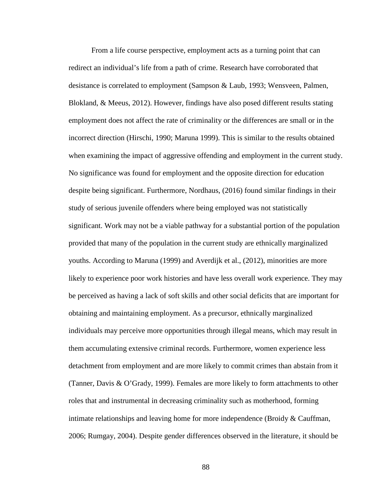From a life course perspective, employment acts as a turning point that can redirect an individual's life from a path of crime. Research have corroborated that desistance is correlated to employment (Sampson & Laub, 1993; Wensveen, Palmen, Blokland, & Meeus, 2012). However, findings have also posed different results stating employment does not affect the rate of criminality or the differences are small or in the incorrect direction (Hirschi, 1990; Maruna 1999). This is similar to the results obtained when examining the impact of aggressive offending and employment in the current study. No significance was found for employment and the opposite direction for education despite being significant. Furthermore, Nordhaus, (2016) found similar findings in their study of serious juvenile offenders where being employed was not statistically significant. Work may not be a viable pathway for a substantial portion of the population provided that many of the population in the current study are ethnically marginalized youths. According to Maruna (1999) and Averdijk et al., (2012), minorities are more likely to experience poor work histories and have less overall work experience. They may be perceived as having a lack of soft skills and other social deficits that are important for obtaining and maintaining employment. As a precursor, ethnically marginalized individuals may perceive more opportunities through illegal means, which may result in them accumulating extensive criminal records. Furthermore, women experience less detachment from employment and are more likely to commit crimes than abstain from it (Tanner, Davis & O'Grady, 1999). Females are more likely to form attachments to other roles that and instrumental in decreasing criminality such as motherhood, forming intimate relationships and leaving home for more independence (Broidy & Cauffman, 2006; Rumgay, 2004). Despite gender differences observed in the literature, it should be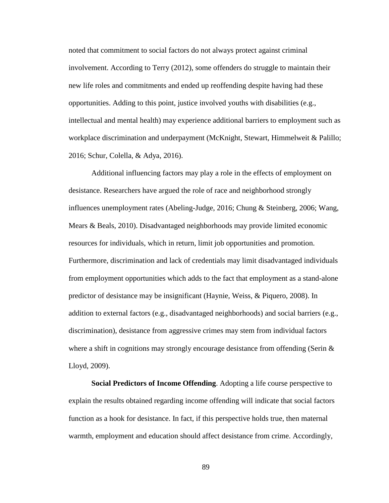noted that commitment to social factors do not always protect against criminal involvement. According to Terry (2012), some offenders do struggle to maintain their new life roles and commitments and ended up reoffending despite having had these opportunities. Adding to this point, justice involved youths with disabilities (e.g., intellectual and mental health) may experience additional barriers to employment such as workplace discrimination and underpayment (McKnight, Stewart, Himmelweit & Palillo; 2016; Schur, Colella, & Adya, 2016).

Additional influencing factors may play a role in the effects of employment on desistance. Researchers have argued the role of race and neighborhood strongly influences unemployment rates (Abeling-Judge, 2016; Chung & Steinberg, 2006; Wang, Mears & Beals, 2010). Disadvantaged neighborhoods may provide limited economic resources for individuals, which in return, limit job opportunities and promotion. Furthermore, discrimination and lack of credentials may limit disadvantaged individuals from employment opportunities which adds to the fact that employment as a stand-alone predictor of desistance may be insignificant (Haynie, Weiss, & Piquero, 2008). In addition to external factors (e.g., disadvantaged neighborhoods) and social barriers (e.g., discrimination), desistance from aggressive crimes may stem from individual factors where a shift in cognitions may strongly encourage desistance from offending (Serin  $\&$ Lloyd, 2009).

**Social Predictors of Income Offending**. Adopting a life course perspective to explain the results obtained regarding income offending will indicate that social factors function as a hook for desistance. In fact, if this perspective holds true, then maternal warmth, employment and education should affect desistance from crime. Accordingly,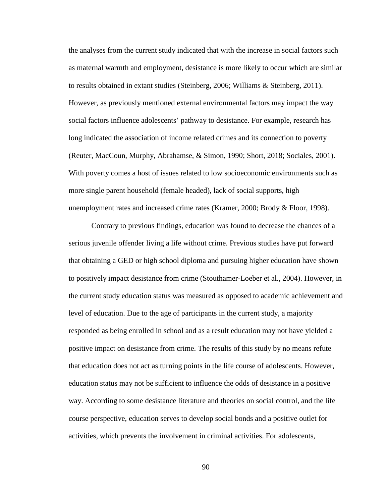the analyses from the current study indicated that with the increase in social factors such as maternal warmth and employment, desistance is more likely to occur which are similar to results obtained in extant studies (Steinberg, 2006; Williams & Steinberg, 2011). However, as previously mentioned external environmental factors may impact the way social factors influence adolescents' pathway to desistance. For example, research has long indicated the association of income related crimes and its connection to poverty (Reuter, MacCoun, Murphy, Abrahamse, & Simon, 1990; Short, 2018; Sociales, 2001). With poverty comes a host of issues related to low socioeconomic environments such as more single parent household (female headed), lack of social supports, high unemployment rates and increased crime rates (Kramer, 2000; Brody & Floor, 1998).

Contrary to previous findings, education was found to decrease the chances of a serious juvenile offender living a life without crime. Previous studies have put forward that obtaining a GED or high school diploma and pursuing higher education have shown to positively impact desistance from crime (Stouthamer-Loeber et al., 2004). However, in the current study education status was measured as opposed to academic achievement and level of education. Due to the age of participants in the current study, a majority responded as being enrolled in school and as a result education may not have yielded a positive impact on desistance from crime. The results of this study by no means refute that education does not act as turning points in the life course of adolescents. However, education status may not be sufficient to influence the odds of desistance in a positive way. According to some desistance literature and theories on social control, and the life course perspective, education serves to develop social bonds and a positive outlet for activities, which prevents the involvement in criminal activities. For adolescents,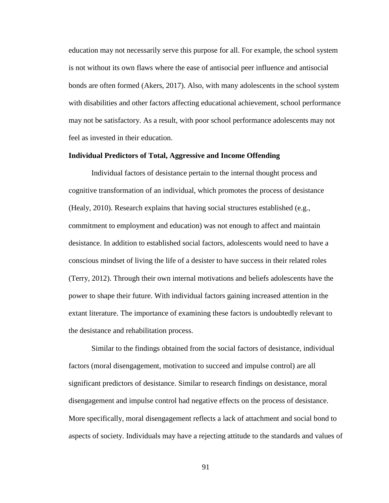education may not necessarily serve this purpose for all. For example, the school system is not without its own flaws where the ease of antisocial peer influence and antisocial bonds are often formed (Akers, 2017). Also, with many adolescents in the school system with disabilities and other factors affecting educational achievement, school performance may not be satisfactory. As a result, with poor school performance adolescents may not feel as invested in their education.

### **Individual Predictors of Total, Aggressive and Income Offending**

Individual factors of desistance pertain to the internal thought process and cognitive transformation of an individual, which promotes the process of desistance (Healy, 2010). Research explains that having social structures established (e.g., commitment to employment and education) was not enough to affect and maintain desistance. In addition to established social factors, adolescents would need to have a conscious mindset of living the life of a desister to have success in their related roles (Terry, 2012). Through their own internal motivations and beliefs adolescents have the power to shape their future. With individual factors gaining increased attention in the extant literature. The importance of examining these factors is undoubtedly relevant to the desistance and rehabilitation process.

Similar to the findings obtained from the social factors of desistance, individual factors (moral disengagement, motivation to succeed and impulse control) are all significant predictors of desistance. Similar to research findings on desistance, moral disengagement and impulse control had negative effects on the process of desistance. More specifically, moral disengagement reflects a lack of attachment and social bond to aspects of society. Individuals may have a rejecting attitude to the standards and values of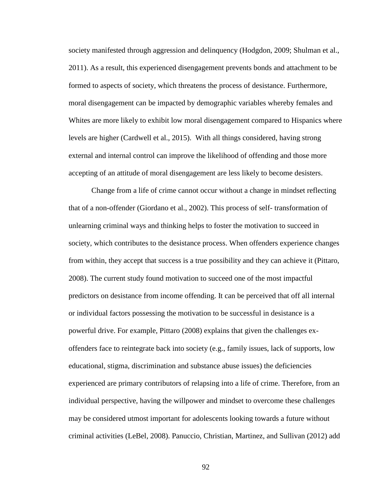society manifested through aggression and delinquency (Hodgdon, 2009; Shulman et al., 2011). As a result, this experienced disengagement prevents bonds and attachment to be formed to aspects of society, which threatens the process of desistance. Furthermore, moral disengagement can be impacted by demographic variables whereby females and Whites are more likely to exhibit low moral disengagement compared to Hispanics where levels are higher (Cardwell et al., 2015). With all things considered, having strong external and internal control can improve the likelihood of offending and those more accepting of an attitude of moral disengagement are less likely to become desisters.

Change from a life of crime cannot occur without a change in mindset reflecting that of a non-offender (Giordano et al., 2002). This process of self- transformation of unlearning criminal ways and thinking helps to foster the motivation to succeed in society, which contributes to the desistance process. When offenders experience changes from within, they accept that success is a true possibility and they can achieve it (Pittaro, 2008). The current study found motivation to succeed one of the most impactful predictors on desistance from income offending. It can be perceived that off all internal or individual factors possessing the motivation to be successful in desistance is a powerful drive. For example, Pittaro (2008) explains that given the challenges exoffenders face to reintegrate back into society (e.g., family issues, lack of supports, low educational, stigma, discrimination and substance abuse issues) the deficiencies experienced are primary contributors of relapsing into a life of crime. Therefore, from an individual perspective, having the willpower and mindset to overcome these challenges may be considered utmost important for adolescents looking towards a future without criminal activities (LeBel, 2008). Panuccio, Christian, Martinez, and Sullivan (2012) add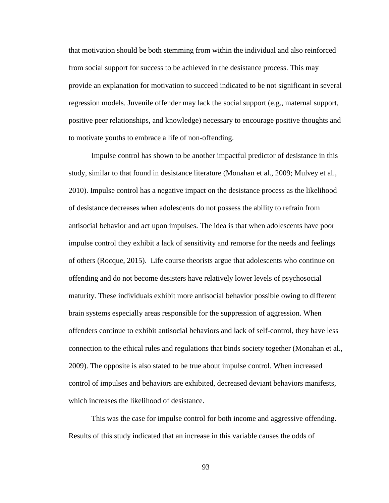that motivation should be both stemming from within the individual and also reinforced from social support for success to be achieved in the desistance process. This may provide an explanation for motivation to succeed indicated to be not significant in several regression models. Juvenile offender may lack the social support (e.g., maternal support, positive peer relationships, and knowledge) necessary to encourage positive thoughts and to motivate youths to embrace a life of non-offending.

Impulse control has shown to be another impactful predictor of desistance in this study, similar to that found in desistance literature (Monahan et al., 2009; Mulvey et al., 2010). Impulse control has a negative impact on the desistance process as the likelihood of desistance decreases when adolescents do not possess the ability to refrain from antisocial behavior and act upon impulses. The idea is that when adolescents have poor impulse control they exhibit a lack of sensitivity and remorse for the needs and feelings of others (Rocque, 2015). Life course theorists argue that adolescents who continue on offending and do not become desisters have relatively lower levels of psychosocial maturity. These individuals exhibit more antisocial behavior possible owing to different brain systems especially areas responsible for the suppression of aggression. When offenders continue to exhibit antisocial behaviors and lack of self-control, they have less connection to the ethical rules and regulations that binds society together (Monahan et al., 2009). The opposite is also stated to be true about impulse control. When increased control of impulses and behaviors are exhibited, decreased deviant behaviors manifests, which increases the likelihood of desistance.

This was the case for impulse control for both income and aggressive offending. Results of this study indicated that an increase in this variable causes the odds of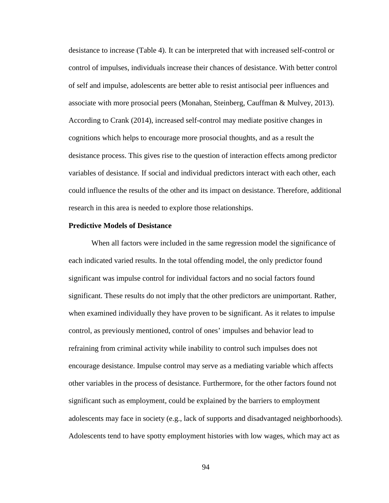desistance to increase (Table 4). It can be interpreted that with increased self-control or control of impulses, individuals increase their chances of desistance. With better control of self and impulse, adolescents are better able to resist antisocial peer influences and associate with more prosocial peers (Monahan, Steinberg, Cauffman & Mulvey, 2013). According to Crank (2014), increased self-control may mediate positive changes in cognitions which helps to encourage more prosocial thoughts, and as a result the desistance process. This gives rise to the question of interaction effects among predictor variables of desistance. If social and individual predictors interact with each other, each could influence the results of the other and its impact on desistance. Therefore, additional research in this area is needed to explore those relationships.

#### **Predictive Models of Desistance**

When all factors were included in the same regression model the significance of each indicated varied results. In the total offending model, the only predictor found significant was impulse control for individual factors and no social factors found significant. These results do not imply that the other predictors are unimportant. Rather, when examined individually they have proven to be significant. As it relates to impulse control, as previously mentioned, control of ones' impulses and behavior lead to refraining from criminal activity while inability to control such impulses does not encourage desistance. Impulse control may serve as a mediating variable which affects other variables in the process of desistance. Furthermore, for the other factors found not significant such as employment, could be explained by the barriers to employment adolescents may face in society (e.g., lack of supports and disadvantaged neighborhoods). Adolescents tend to have spotty employment histories with low wages, which may act as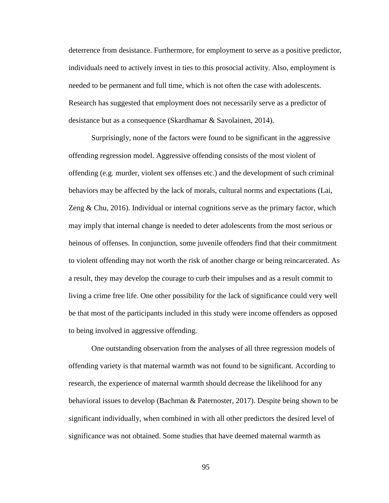deterrence from desistance. Furthermore, for employment to serve as a positive predictor, individuals need to actively invest in ties to this prosocial activity. Also, employment is needed to be permanent and full time, which is not often the case with adolescents. Research has suggested that employment does not necessarily serve as a predictor of desistance but as a consequence (Skardhamar & Savolainen, 2014).

Surprisingly, none of the factors were found to be significant in the aggressive offending regression model. Aggressive offending consists of the most violent of offending (e.g. murder, violent sex offenses etc.) and the development of such criminal behaviors may be affected by the lack of morals, cultural norms and expectations (Lai, Zeng  $& Chu, 2016$ ). Individual or internal cognitions serve as the primary factor, which may imply that internal change is needed to deter adolescents from the most serious or heinous of offenses. In conjunction, some juvenile offenders find that their commitment to violent offending may not worth the risk of another charge or being reincarcerated. As a result, they may develop the courage to curb their impulses and as a result commit to living a crime free life. One other possibility for the lack of significance could very well be that most of the participants included in this study were income offenders as opposed to being involved in aggressive offending.

One outstanding observation from the analyses of all three regression models of offending variety is that maternal warmth was not found to be significant. According to research, the experience of maternal warmth should decrease the likelihood for any behavioral issues to develop (Bachman & Paternoster, 2017). Despite being shown to be significant individually, when combined in with all other predictors the desired level of significance was not obtained. Some studies that have deemed maternal warmth as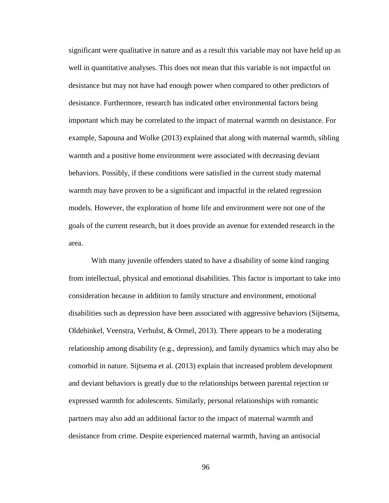significant were qualitative in nature and as a result this variable may not have held up as well in quantitative analyses. This does not mean that this variable is not impactful on desistance but may not have had enough power when compared to other predictors of desistance. Furthermore, research has indicated other environmental factors being important which may be correlated to the impact of maternal warmth on desistance. For example, Sapouna and Wolke (2013) explained that along with maternal warmth, sibling warmth and a positive home environment were associated with decreasing deviant behaviors. Possibly, if these conditions were satisfied in the current study maternal warmth may have proven to be a significant and impactful in the related regression models. However, the exploration of home life and environment were not one of the goals of the current research, but it does provide an avenue for extended research in the area.

With many juvenile offenders stated to have a disability of some kind ranging from intellectual, physical and emotional disabilities. This factor is important to take into consideration because in addition to family structure and environment, emotional disabilities such as depression have been associated with aggressive behaviors (Sijtsema, Oldehinkel, Veenstra, Verhulst, & Ormel, 2013). There appears to be a moderating relationship among disability (e.g., depression), and family dynamics which may also be comorbid in nature. Sijtsema et al. (2013) explain that increased problem development and deviant behaviors is greatly due to the relationships between parental rejection or expressed warmth for adolescents. Similarly, personal relationships with romantic partners may also add an additional factor to the impact of maternal warmth and desistance from crime. Despite experienced maternal warmth, having an antisocial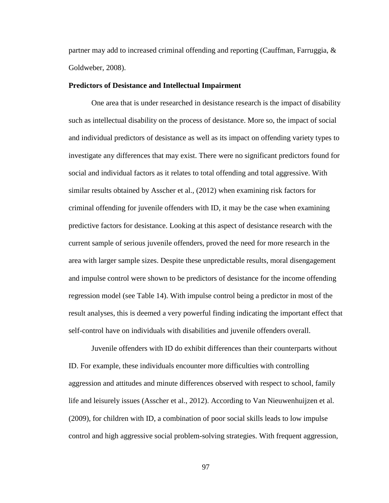partner may add to increased criminal offending and reporting (Cauffman, Farruggia, & Goldweber, 2008).

#### **Predictors of Desistance and Intellectual Impairment**

One area that is under researched in desistance research is the impact of disability such as intellectual disability on the process of desistance. More so, the impact of social and individual predictors of desistance as well as its impact on offending variety types to investigate any differences that may exist. There were no significant predictors found for social and individual factors as it relates to total offending and total aggressive. With similar results obtained by Asscher et al., (2012) when examining risk factors for criminal offending for juvenile offenders with ID, it may be the case when examining predictive factors for desistance. Looking at this aspect of desistance research with the current sample of serious juvenile offenders, proved the need for more research in the area with larger sample sizes. Despite these unpredictable results, moral disengagement and impulse control were shown to be predictors of desistance for the income offending regression model (see Table 14). With impulse control being a predictor in most of the result analyses, this is deemed a very powerful finding indicating the important effect that self-control have on individuals with disabilities and juvenile offenders overall.

Juvenile offenders with ID do exhibit differences than their counterparts without ID. For example, these individuals encounter more difficulties with controlling aggression and attitudes and minute differences observed with respect to school, family life and leisurely issues (Asscher et al., 2012). According to Van Nieuwenhuijzen et al. (2009), for children with ID, a combination of poor social skills leads to low impulse control and high aggressive social problem-solving strategies. With frequent aggression,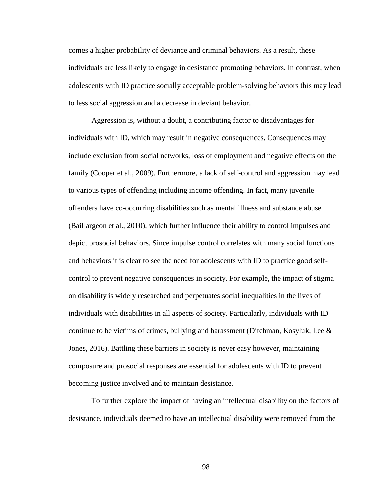comes a higher probability of deviance and criminal behaviors. As a result, these individuals are less likely to engage in desistance promoting behaviors. In contrast, when adolescents with ID practice socially acceptable problem-solving behaviors this may lead to less social aggression and a decrease in deviant behavior.

Aggression is, without a doubt, a contributing factor to disadvantages for individuals with ID, which may result in negative consequences. Consequences may include exclusion from social networks, loss of employment and negative effects on the family (Cooper et al., 2009). Furthermore, a lack of self-control and aggression may lead to various types of offending including income offending. In fact, many juvenile offenders have co-occurring disabilities such as mental illness and substance abuse (Baillargeon et al., 2010), which further influence their ability to control impulses and depict prosocial behaviors. Since impulse control correlates with many social functions and behaviors it is clear to see the need for adolescents with ID to practice good selfcontrol to prevent negative consequences in society. For example, the impact of stigma on disability is widely researched and perpetuates social inequalities in the lives of individuals with disabilities in all aspects of society. Particularly, individuals with ID continue to be victims of crimes, bullying and harassment (Ditchman, Kosyluk, Lee & Jones, 2016). Battling these barriers in society is never easy however, maintaining composure and prosocial responses are essential for adolescents with ID to prevent becoming justice involved and to maintain desistance.

To further explore the impact of having an intellectual disability on the factors of desistance, individuals deemed to have an intellectual disability were removed from the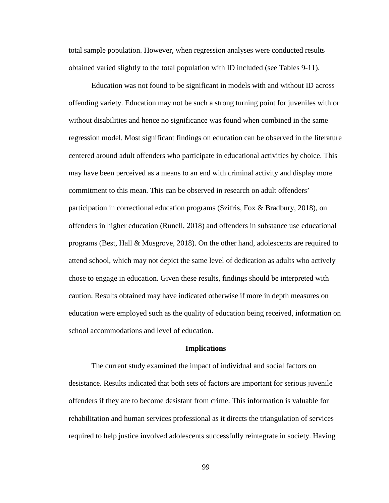total sample population. However, when regression analyses were conducted results obtained varied slightly to the total population with ID included (see Tables 9-11).

Education was not found to be significant in models with and without ID across offending variety. Education may not be such a strong turning point for juveniles with or without disabilities and hence no significance was found when combined in the same regression model. Most significant findings on education can be observed in the literature centered around adult offenders who participate in educational activities by choice. This may have been perceived as a means to an end with criminal activity and display more commitment to this mean. This can be observed in research on adult offenders' participation in correctional education programs (Szifris, Fox & Bradbury, 2018), on offenders in higher education (Runell, 2018) and offenders in substance use educational programs (Best, Hall & Musgrove, 2018). On the other hand, adolescents are required to attend school, which may not depict the same level of dedication as adults who actively chose to engage in education. Given these results, findings should be interpreted with caution. Results obtained may have indicated otherwise if more in depth measures on education were employed such as the quality of education being received, information on school accommodations and level of education.

#### **Implications**

The current study examined the impact of individual and social factors on desistance. Results indicated that both sets of factors are important for serious juvenile offenders if they are to become desistant from crime. This information is valuable for rehabilitation and human services professional as it directs the triangulation of services required to help justice involved adolescents successfully reintegrate in society. Having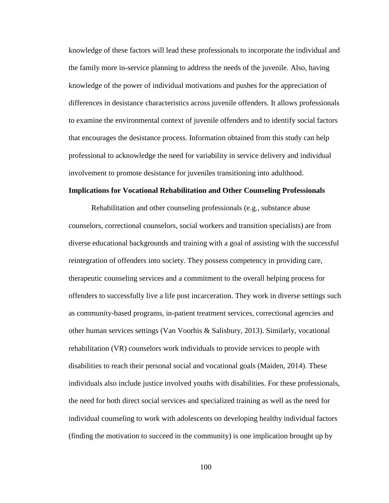knowledge of these factors will lead these professionals to incorporate the individual and the family more in-service planning to address the needs of the juvenile. Also, having knowledge of the power of individual motivations and pushes for the appreciation of differences in desistance characteristics across juvenile offenders. It allows professionals to examine the environmental context of juvenile offenders and to identify social factors that encourages the desistance process. Information obtained from this study can help professional to acknowledge the need for variability in service delivery and individual involvement to promote desistance for juveniles transitioning into adulthood.

## **Implications for Vocational Rehabilitation and Other Counseling Professionals**

Rehabilitation and other counseling professionals (e.g., substance abuse counselors, correctional counselors, social workers and transition specialists) are from diverse educational backgrounds and training with a goal of assisting with the successful reintegration of offenders into society. They possess competency in providing care, therapeutic counseling services and a commitment to the overall helping process for offenders to successfully live a life post incarceration. They work in diverse settings such as community-based programs, in-patient treatment services, correctional agencies and other human services settings (Van Voorhis & Salisbury, 2013). Similarly, vocational rehabilitation (VR) counselors work individuals to provide services to people with disabilities to reach their personal social and vocational goals (Maiden, 2014). These individuals also include justice involved youths with disabilities. For these professionals, the need for both direct social services and specialized training as well as the need for individual counseling to work with adolescents on developing healthy individual factors (finding the motivation to succeed in the community) is one implication brought up by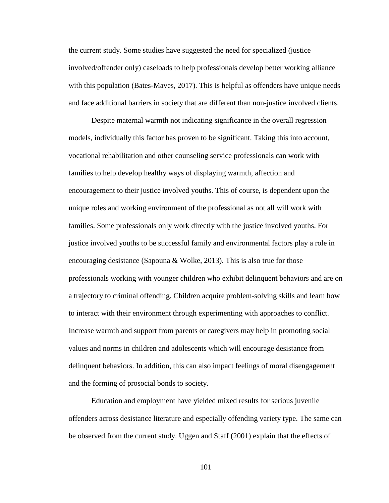the current study. Some studies have suggested the need for specialized (justice involved/offender only) caseloads to help professionals develop better working alliance with this population (Bates-Maves, 2017). This is helpful as offenders have unique needs and face additional barriers in society that are different than non-justice involved clients.

Despite maternal warmth not indicating significance in the overall regression models, individually this factor has proven to be significant. Taking this into account, vocational rehabilitation and other counseling service professionals can work with families to help develop healthy ways of displaying warmth, affection and encouragement to their justice involved youths. This of course, is dependent upon the unique roles and working environment of the professional as not all will work with families. Some professionals only work directly with the justice involved youths. For justice involved youths to be successful family and environmental factors play a role in encouraging desistance (Sapouna & Wolke, 2013). This is also true for those professionals working with younger children who exhibit delinquent behaviors and are on a trajectory to criminal offending. Children acquire problem-solving skills and learn how to interact with their environment through experimenting with approaches to conflict. Increase warmth and support from parents or caregivers may help in promoting social values and norms in children and adolescents which will encourage desistance from delinquent behaviors. In addition, this can also impact feelings of moral disengagement and the forming of prosocial bonds to society.

Education and employment have yielded mixed results for serious juvenile offenders across desistance literature and especially offending variety type. The same can be observed from the current study. Uggen and Staff (2001) explain that the effects of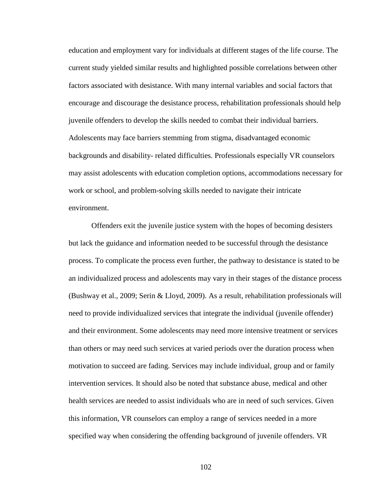education and employment vary for individuals at different stages of the life course. The current study yielded similar results and highlighted possible correlations between other factors associated with desistance. With many internal variables and social factors that encourage and discourage the desistance process, rehabilitation professionals should help juvenile offenders to develop the skills needed to combat their individual barriers. Adolescents may face barriers stemming from stigma, disadvantaged economic backgrounds and disability- related difficulties. Professionals especially VR counselors may assist adolescents with education completion options, accommodations necessary for work or school, and problem-solving skills needed to navigate their intricate environment.

Offenders exit the juvenile justice system with the hopes of becoming desisters but lack the guidance and information needed to be successful through the desistance process. To complicate the process even further, the pathway to desistance is stated to be an individualized process and adolescents may vary in their stages of the distance process (Bushway et al., 2009; Serin & Lloyd, 2009). As a result, rehabilitation professionals will need to provide individualized services that integrate the individual (juvenile offender) and their environment. Some adolescents may need more intensive treatment or services than others or may need such services at varied periods over the duration process when motivation to succeed are fading. Services may include individual, group and or family intervention services. It should also be noted that substance abuse, medical and other health services are needed to assist individuals who are in need of such services. Given this information, VR counselors can employ a range of services needed in a more specified way when considering the offending background of juvenile offenders. VR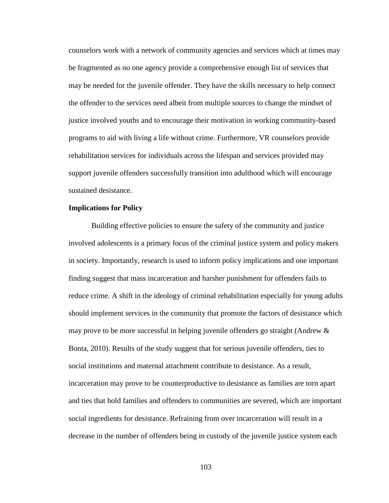counselors work with a network of community agencies and services which at times may be fragmented as no one agency provide a comprehensive enough list of services that may be needed for the juvenile offender. They have the skills necessary to help connect the offender to the services need albeit from multiple sources to change the mindset of justice involved youths and to encourage their motivation in working community-based programs to aid with living a life without crime. Furthermore, VR counselors provide rehabilitation services for individuals across the lifespan and services provided may support juvenile offenders successfully transition into adulthood which will encourage sustained desistance.

# **Implications for Policy**

Building effective policies to ensure the safety of the community and justice involved adolescents is a primary focus of the criminal justice system and policy makers in society. Importantly, research is used to inform policy implications and one important finding suggest that mass incarceration and harsher punishment for offenders fails to reduce crime. A shift in the ideology of criminal rehabilitation especially for young adults should implement services in the community that promote the factors of desistance which may prove to be more successful in helping juvenile offenders go straight (Andrew  $\&$ Bonta, 2010). Results of the study suggest that for serious juvenile offenders, ties to social institutions and maternal attachment contribute to desistance. As a result, incarceration may prove to be counterproductive to desistance as families are torn apart and ties that hold families and offenders to communities are severed, which are important social ingredients for desistance. Refraining from over incarceration will result in a decrease in the number of offenders being in custody of the juvenile justice system each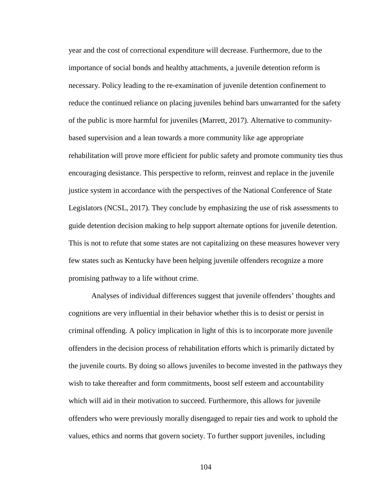year and the cost of correctional expenditure will decrease. Furthermore, due to the importance of social bonds and healthy attachments, a juvenile detention reform is necessary. Policy leading to the re-examination of juvenile detention confinement to reduce the continued reliance on placing juveniles behind bars unwarranted for the safety of the public is more harmful for juveniles (Marrett, 2017). Alternative to communitybased supervision and a lean towards a more community like age appropriate rehabilitation will prove more efficient for public safety and promote community ties thus encouraging desistance. This perspective to reform, reinvest and replace in the juvenile justice system in accordance with the perspectives of the National Conference of State Legislators (NCSL, 2017). They conclude by emphasizing the use of risk assessments to guide detention decision making to help support alternate options for juvenile detention. This is not to refute that some states are not capitalizing on these measures however very few states such as Kentucky have been helping juvenile offenders recognize a more promising pathway to a life without crime.

Analyses of individual differences suggest that juvenile offenders' thoughts and cognitions are very influential in their behavior whether this is to desist or persist in criminal offending. A policy implication in light of this is to incorporate more juvenile offenders in the decision process of rehabilitation efforts which is primarily dictated by the juvenile courts. By doing so allows juveniles to become invested in the pathways they wish to take thereafter and form commitments, boost self esteem and accountability which will aid in their motivation to succeed. Furthermore, this allows for juvenile offenders who were previously morally disengaged to repair ties and work to uphold the values, ethics and norms that govern society. To further support juveniles, including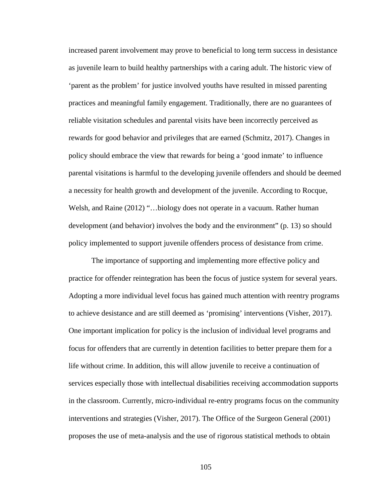increased parent involvement may prove to beneficial to long term success in desistance as juvenile learn to build healthy partnerships with a caring adult. The historic view of 'parent as the problem' for justice involved youths have resulted in missed parenting practices and meaningful family engagement. Traditionally, there are no guarantees of reliable visitation schedules and parental visits have been incorrectly perceived as rewards for good behavior and privileges that are earned (Schmitz, 2017). Changes in policy should embrace the view that rewards for being a 'good inmate' to influence parental visitations is harmful to the developing juvenile offenders and should be deemed a necessity for health growth and development of the juvenile. According to Rocque, Welsh, and Raine (2012) "…biology does not operate in a vacuum. Rather human development (and behavior) involves the body and the environment" (p. 13) so should policy implemented to support juvenile offenders process of desistance from crime.

The importance of supporting and implementing more effective policy and practice for offender reintegration has been the focus of justice system for several years. Adopting a more individual level focus has gained much attention with reentry programs to achieve desistance and are still deemed as 'promising' interventions (Visher, 2017). One important implication for policy is the inclusion of individual level programs and focus for offenders that are currently in detention facilities to better prepare them for a life without crime. In addition, this will allow juvenile to receive a continuation of services especially those with intellectual disabilities receiving accommodation supports in the classroom. Currently, micro-individual re-entry programs focus on the community interventions and strategies (Visher, 2017). The Office of the Surgeon General (2001) proposes the use of meta-analysis and the use of rigorous statistical methods to obtain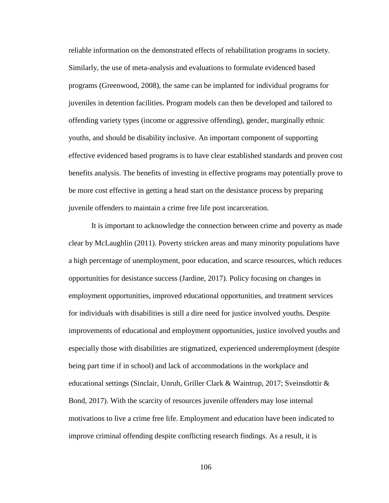reliable information on the demonstrated effects of rehabilitation programs in society. Similarly, the use of meta-analysis and evaluations to formulate evidenced based programs (Greenwood, 2008), the same can be implanted for individual programs for juveniles in detention facilities. Program models can then be developed and tailored to offending variety types (income or aggressive offending), gender, marginally ethnic youths, and should be disability inclusive. An important component of supporting effective evidenced based programs is to have clear established standards and proven cost benefits analysis. The benefits of investing in effective programs may potentially prove to be more cost effective in getting a head start on the desistance process by preparing juvenile offenders to maintain a crime free life post incarceration.

It is important to acknowledge the connection between crime and poverty as made clear by McLaughlin (2011). Poverty stricken areas and many minority populations have a high percentage of unemployment, poor education, and scarce resources, which reduces opportunities for desistance success (Jardine, 2017). Policy focusing on changes in employment opportunities, improved educational opportunities, and treatment services for individuals with disabilities is still a dire need for justice involved youths. Despite improvements of educational and employment opportunities, justice involved youths and especially those with disabilities are stigmatized, experienced underemployment (despite being part time if in school) and lack of accommodations in the workplace and educational settings (Sinclair, Unruh, Griller Clark & Waintrup, 2017; Sveinsdottir & Bond, 2017). With the scarcity of resources juvenile offenders may lose internal motivations to live a crime free life. Employment and education have been indicated to improve criminal offending despite conflicting research findings. As a result, it is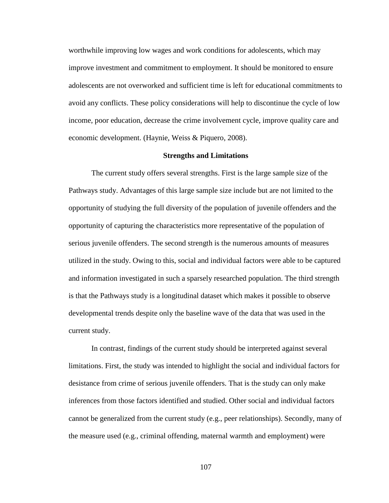worthwhile improving low wages and work conditions for adolescents, which may improve investment and commitment to employment. It should be monitored to ensure adolescents are not overworked and sufficient time is left for educational commitments to avoid any conflicts. These policy considerations will help to discontinue the cycle of low income, poor education, decrease the crime involvement cycle, improve quality care and economic development. (Haynie, Weiss & Piquero, 2008).

# **Strengths and Limitations**

The current study offers several strengths. First is the large sample size of the Pathways study. Advantages of this large sample size include but are not limited to the opportunity of studying the full diversity of the population of juvenile offenders and the opportunity of capturing the characteristics more representative of the population of serious juvenile offenders. The second strength is the numerous amounts of measures utilized in the study. Owing to this, social and individual factors were able to be captured and information investigated in such a sparsely researched population. The third strength is that the Pathways study is a longitudinal dataset which makes it possible to observe developmental trends despite only the baseline wave of the data that was used in the current study.

In contrast, findings of the current study should be interpreted against several limitations. First, the study was intended to highlight the social and individual factors for desistance from crime of serious juvenile offenders. That is the study can only make inferences from those factors identified and studied. Other social and individual factors cannot be generalized from the current study (e.g., peer relationships). Secondly, many of the measure used (e.g., criminal offending, maternal warmth and employment) were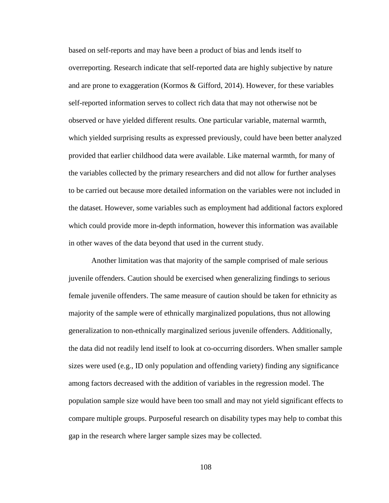based on self-reports and may have been a product of bias and lends itself to overreporting. Research indicate that self-reported data are highly subjective by nature and are prone to exaggeration (Kormos & Gifford, 2014). However, for these variables self-reported information serves to collect rich data that may not otherwise not be observed or have yielded different results. One particular variable, maternal warmth, which yielded surprising results as expressed previously, could have been better analyzed provided that earlier childhood data were available. Like maternal warmth, for many of the variables collected by the primary researchers and did not allow for further analyses to be carried out because more detailed information on the variables were not included in the dataset. However, some variables such as employment had additional factors explored which could provide more in-depth information, however this information was available in other waves of the data beyond that used in the current study.

Another limitation was that majority of the sample comprised of male serious juvenile offenders. Caution should be exercised when generalizing findings to serious female juvenile offenders. The same measure of caution should be taken for ethnicity as majority of the sample were of ethnically marginalized populations, thus not allowing generalization to non-ethnically marginalized serious juvenile offenders. Additionally, the data did not readily lend itself to look at co-occurring disorders. When smaller sample sizes were used (e.g., ID only population and offending variety) finding any significance among factors decreased with the addition of variables in the regression model. The population sample size would have been too small and may not yield significant effects to compare multiple groups. Purposeful research on disability types may help to combat this gap in the research where larger sample sizes may be collected.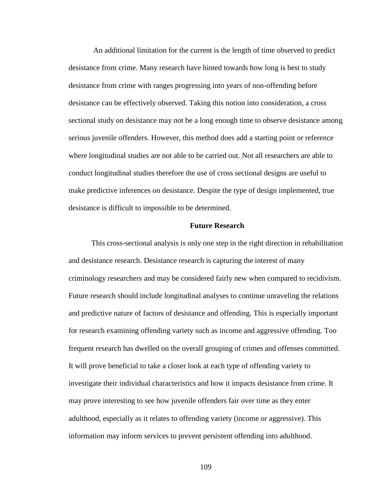An additional limitation for the current is the length of time observed to predict desistance from crime. Many research have hinted towards how long is best to study desistance from crime with ranges progressing into years of non-offending before desistance can be effectively observed. Taking this notion into consideration, a cross sectional study on desistance may not be a long enough time to observe desistance among serious juvenile offenders. However, this method does add a starting point or reference where longitudinal studies are not able to be carried out. Not all researchers are able to conduct longitudinal studies therefore the use of cross sectional designs are useful to make predictive inferences on desistance. Despite the type of design implemented, true desistance is difficult to impossible to be determined.

# **Future Research**

This cross-sectional analysis is only one step in the right direction in rehabilitation and desistance research. Desistance research is capturing the interest of many criminology researchers and may be considered fairly new when compared to recidivism. Future research should include longitudinal analyses to continue unraveling the relations and predictive nature of factors of desistance and offending. This is especially important for research examining offending variety such as income and aggressive offending. Too frequent research has dwelled on the overall grouping of crimes and offenses committed. It will prove beneficial to take a closer look at each type of offending variety to investigate their individual characteristics and how it impacts desistance from crime. It may prove interesting to see how juvenile offenders fair over time as they enter adulthood, especially as it relates to offending variety (income or aggressive). This information may inform services to prevent persistent offending into adulthood.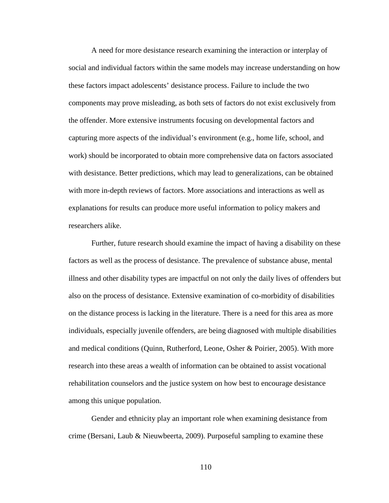A need for more desistance research examining the interaction or interplay of social and individual factors within the same models may increase understanding on how these factors impact adolescents' desistance process. Failure to include the two components may prove misleading, as both sets of factors do not exist exclusively from the offender. More extensive instruments focusing on developmental factors and capturing more aspects of the individual's environment (e.g., home life, school, and work) should be incorporated to obtain more comprehensive data on factors associated with desistance. Better predictions, which may lead to generalizations, can be obtained with more in-depth reviews of factors. More associations and interactions as well as explanations for results can produce more useful information to policy makers and researchers alike.

Further, future research should examine the impact of having a disability on these factors as well as the process of desistance. The prevalence of substance abuse, mental illness and other disability types are impactful on not only the daily lives of offenders but also on the process of desistance. Extensive examination of co-morbidity of disabilities on the distance process is lacking in the literature. There is a need for this area as more individuals, especially juvenile offenders, are being diagnosed with multiple disabilities and medical conditions (Quinn, Rutherford, Leone, Osher & Poirier, 2005). With more research into these areas a wealth of information can be obtained to assist vocational rehabilitation counselors and the justice system on how best to encourage desistance among this unique population.

Gender and ethnicity play an important role when examining desistance from crime (Bersani, Laub & Nieuwbeerta, 2009). Purposeful sampling to examine these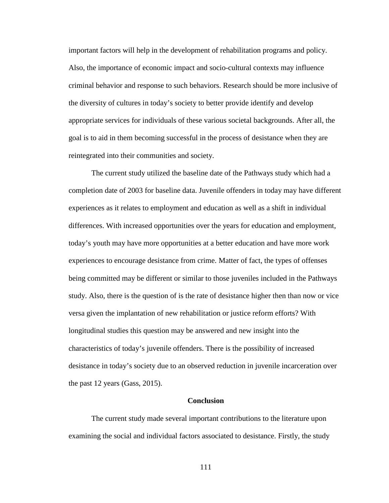important factors will help in the development of rehabilitation programs and policy. Also, the importance of economic impact and socio-cultural contexts may influence criminal behavior and response to such behaviors. Research should be more inclusive of the diversity of cultures in today's society to better provide identify and develop appropriate services for individuals of these various societal backgrounds. After all, the goal is to aid in them becoming successful in the process of desistance when they are reintegrated into their communities and society.

The current study utilized the baseline date of the Pathways study which had a completion date of 2003 for baseline data. Juvenile offenders in today may have different experiences as it relates to employment and education as well as a shift in individual differences. With increased opportunities over the years for education and employment, today's youth may have more opportunities at a better education and have more work experiences to encourage desistance from crime. Matter of fact, the types of offenses being committed may be different or similar to those juveniles included in the Pathways study. Also, there is the question of is the rate of desistance higher then than now or vice versa given the implantation of new rehabilitation or justice reform efforts? With longitudinal studies this question may be answered and new insight into the characteristics of today's juvenile offenders. There is the possibility of increased desistance in today's society due to an observed reduction in juvenile incarceration over the past 12 years (Gass, 2015).

### **Conclusion**

The current study made several important contributions to the literature upon examining the social and individual factors associated to desistance. Firstly, the study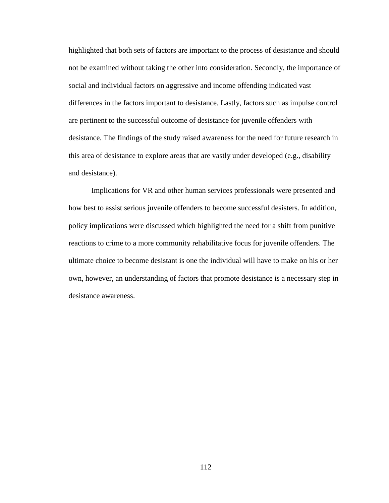highlighted that both sets of factors are important to the process of desistance and should not be examined without taking the other into consideration. Secondly, the importance of social and individual factors on aggressive and income offending indicated vast differences in the factors important to desistance. Lastly, factors such as impulse control are pertinent to the successful outcome of desistance for juvenile offenders with desistance. The findings of the study raised awareness for the need for future research in this area of desistance to explore areas that are vastly under developed (e.g., disability and desistance).

Implications for VR and other human services professionals were presented and how best to assist serious juvenile offenders to become successful desisters. In addition, policy implications were discussed which highlighted the need for a shift from punitive reactions to crime to a more community rehabilitative focus for juvenile offenders. The ultimate choice to become desistant is one the individual will have to make on his or her own, however, an understanding of factors that promote desistance is a necessary step in desistance awareness.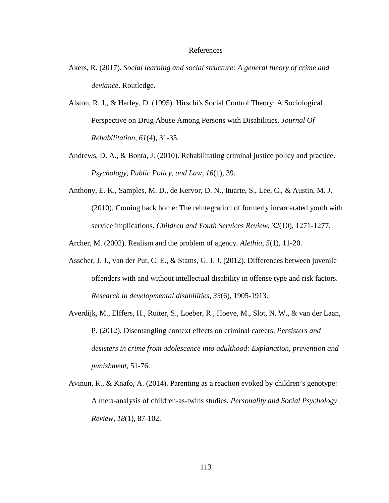# References

- Akers, R. (2017). *Social learning and social structure: A general theory of crime and deviance*. Routledge.
- Alston, R. J., & Harley, D. (1995). Hirschi's Social Control Theory: A Sociological Perspective on Drug Abuse Among Persons with Disabilities. *Journal Of Rehabilitation*, *61*(4), 31-35.
- Andrews, D. A., & Bonta, J. (2010). Rehabilitating criminal justice policy and practice. *Psychology, Public Policy, and Law*, *16*(1), 39.
- Anthony, E. K., Samples, M. D., de Kervor, D. N., Ituarte, S., Lee, C., & Austin, M. J. (2010). Coming back home: The reintegration of formerly incarcerated youth with service implications. *Children and Youth Services Review*, *32*(10), 1271-1277.

Archer, M. (2002). Realism and the problem of agency. *Alethia*, *5*(1), 11-20.

- Asscher, J. J., van der Put, C. E., & Stams, G. J. J. (2012). Differences between juvenile offenders with and without intellectual disability in offense type and risk factors. *Research in developmental disabilities*, *33*(6), 1905-1913.
- Averdijk, M., Elffers, H., Ruiter, S., Loeber, R., Hoeve, M., Slot, N. W., & van der Laan, P. (2012). Disentangling context effects on criminal careers. *Persisters and desisters in crime from adolescence into adulthood: Explanation, prevention and punishment*, 51-76.
- Avinun, R., & Knafo, A. (2014). Parenting as a reaction evoked by children's genotype: A meta-analysis of children-as-twins studies. *Personality and Social Psychology Review*, *18*(1), 87-102.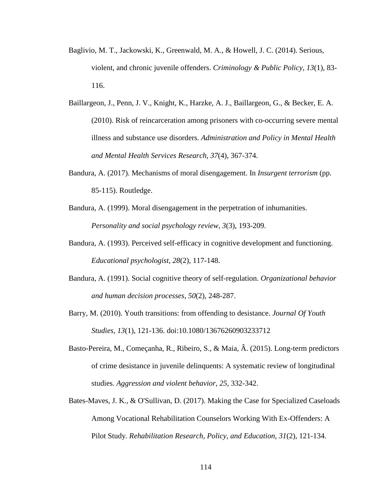- Baglivio, M. T., Jackowski, K., Greenwald, M. A., & Howell, J. C. (2014). Serious, violent, and chronic juvenile offenders. *Criminology & Public Policy*, *13*(1), 83- 116.
- Baillargeon, J., Penn, J. V., Knight, K., Harzke, A. J., Baillargeon, G., & Becker, E. A. (2010). Risk of reincarceration among prisoners with co-occurring severe mental illness and substance use disorders. *Administration and Policy in Mental Health and Mental Health Services Research*, *37*(4), 367-374.
- Bandura, A. (2017). Mechanisms of moral disengagement. In *Insurgent terrorism* (pp. 85-115). Routledge.
- Bandura, A. (1999). Moral disengagement in the perpetration of inhumanities. *Personality and social psychology review*, *3*(3), 193-209.
- Bandura, A. (1993). Perceived self-efficacy in cognitive development and functioning. *Educational psychologist*, *28*(2), 117-148.
- Bandura, A. (1991). Social cognitive theory of self-regulation. *Organizational behavior and human decision processes*, *50*(2), 248-287.
- Barry, M. (2010). Youth transitions: from offending to desistance. *Journal Of Youth Studies*, *13*(1), 121-136. doi:10.1080/13676260903233712
- Basto-Pereira, M., Começanha, R., Ribeiro, S., & Maia, Â. (2015). Long-term predictors of crime desistance in juvenile delinquents: A systematic review of longitudinal studies. *Aggression and violent behavior*, *25*, 332-342.
- Bates-Maves, J. K., & O'Sullivan, D. (2017). Making the Case for Specialized Caseloads Among Vocational Rehabilitation Counselors Working With Ex-Offenders: A Pilot Study. *Rehabilitation Research, Policy, and Education*, *31*(2), 121-134.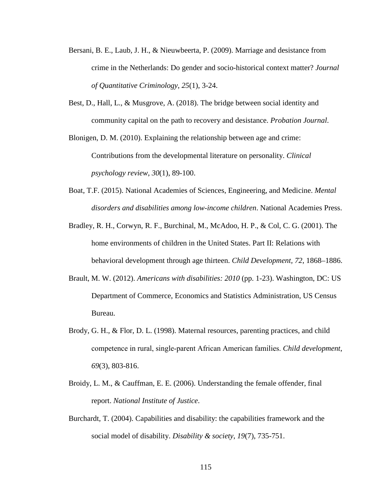- Bersani, B. E., Laub, J. H., & Nieuwbeerta, P. (2009). Marriage and desistance from crime in the Netherlands: Do gender and socio-historical context matter? *Journal of Quantitative Criminology*, *25*(1), 3-24.
- Best, D., Hall, L., & Musgrove, A. (2018). The bridge between social identity and community capital on the path to recovery and desistance. *Probation Journal*.

Blonigen, D. M. (2010). Explaining the relationship between age and crime: Contributions from the developmental literature on personality. *Clinical psychology review*, *30*(1), 89-100.

- Boat, T.F. (2015). National Academies of Sciences, Engineering, and Medicine. *Mental disorders and disabilities among low-income children*. National Academies Press.
- Bradley, R. H., Corwyn, R. F., Burchinal, M., McAdoo, H. P., & Col, C. G. (2001). The home environments of children in the United States. Part II: Relations with behavioral development through age thirteen. *Child Development, 72*, 1868–1886.
- Brault, M. W. (2012). *Americans with disabilities: 2010* (pp. 1-23). Washington, DC: US Department of Commerce, Economics and Statistics Administration, US Census Bureau.
- Brody, G. H., & Flor, D. L. (1998). Maternal resources, parenting practices, and child competence in rural, single‐parent African American families. *Child development*, *69*(3), 803-816.
- Broidy, L. M., & Cauffman, E. E. (2006). Understanding the female offender, final report. *National Institute of Justice*.
- Burchardt, T. (2004). Capabilities and disability: the capabilities framework and the social model of disability. *Disability & society*, *19*(7), 735-751.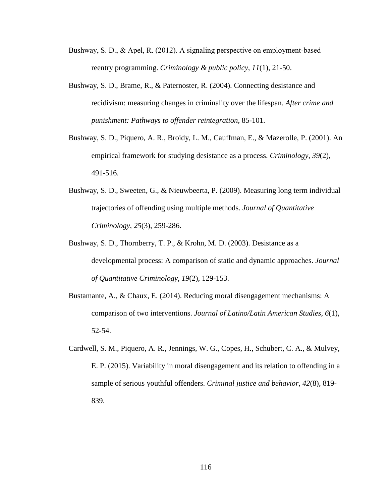- Bushway, S. D., & Apel, R. (2012). A signaling perspective on employment-based reentry programming. *Criminology & public policy*, *11*(1), 21-50.
- Bushway, S. D., Brame, R., & Paternoster, R. (2004). Connecting desistance and recidivism: measuring changes in criminality over the lifespan. *After crime and punishment: Pathways to offender reintegration*, 85-101.
- Bushway, S. D., Piquero, A. R., Broidy, L. M., Cauffman, E., & Mazerolle, P. (2001). An empirical framework for studying desistance as a process. *Criminology*, *39*(2), 491-516.
- Bushway, S. D., Sweeten, G., & Nieuwbeerta, P. (2009). Measuring long term individual trajectories of offending using multiple methods. *Journal of Quantitative Criminology*, *25*(3), 259-286.
- Bushway, S. D., Thornberry, T. P., & Krohn, M. D. (2003). Desistance as a developmental process: A comparison of static and dynamic approaches. *Journal of Quantitative Criminology*, *19*(2), 129-153.
- Bustamante, A., & Chaux, E. (2014). Reducing moral disengagement mechanisms: A comparison of two interventions. *Journal of Latino/Latin American Studies*, *6*(1), 52-54.
- Cardwell, S. M., Piquero, A. R., Jennings, W. G., Copes, H., Schubert, C. A., & Mulvey, E. P. (2015). Variability in moral disengagement and its relation to offending in a sample of serious youthful offenders. *Criminal justice and behavior*, *42*(8), 819- 839.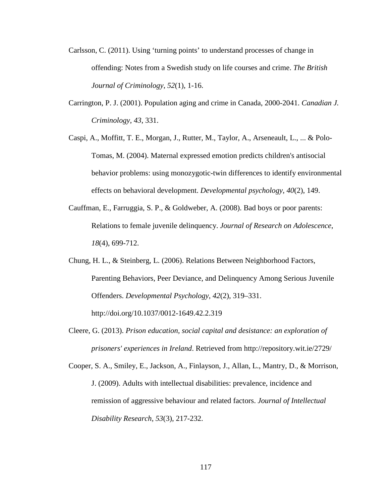- Carlsson, C. (2011). Using 'turning points' to understand processes of change in offending: Notes from a Swedish study on life courses and crime. *The British Journal of Criminology*, *52*(1), 1-16.
- Carrington, P. J. (2001). Population aging and crime in Canada, 2000-2041. *Canadian J. Criminology*, *43*, 331.
- Caspi, A., Moffitt, T. E., Morgan, J., Rutter, M., Taylor, A., Arseneault, L., ... & Polo-Tomas, M. (2004). Maternal expressed emotion predicts children's antisocial behavior problems: using monozygotic-twin differences to identify environmental effects on behavioral development. *Developmental psychology*, *40*(2), 149.
- Cauffman, E., Farruggia, S. P., & Goldweber, A. (2008). Bad boys or poor parents: Relations to female juvenile delinquency. *Journal of Research on Adolescence*, *18*(4), 699-712.
- Chung, H. L., & Steinberg, L. (2006). Relations Between Neighborhood Factors, Parenting Behaviors, Peer Deviance, and Delinquency Among Serious Juvenile Offenders. *Developmental Psychology*, *42*(2), 319–331. http://doi.org/10.1037/0012-1649.42.2.319
- Cleere, G. (2013). *Prison education, social capital and desistance: an exploration of prisoners' experiences in Ireland*. Retrieved from http://repository.wit.ie/2729/

Cooper, S. A., Smiley, E., Jackson, A., Finlayson, J., Allan, L., Mantry, D., & Morrison, J. (2009). Adults with intellectual disabilities: prevalence, incidence and remission of aggressive behaviour and related factors. *Journal of Intellectual Disability Research*, *53*(3), 217-232.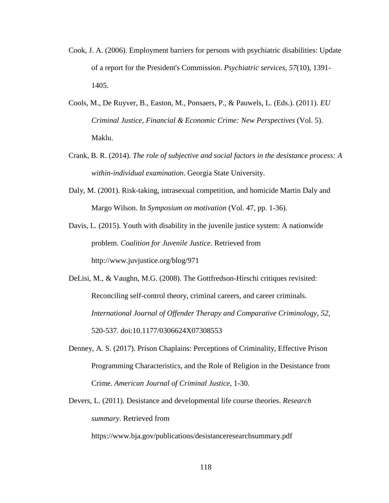- Cook, J. A. (2006). Employment barriers for persons with psychiatric disabilities: Update of a report for the President's Commission. *Psychiatric services*, *57*(10), 1391- 1405.
- Cools, M., De Ruyver, B., Easton, M., Ponsaers, P., & Pauwels, L. (Eds.). (2011). *EU Criminal Justice, Financial & Economic Crime: New Perspectives* (Vol. 5). Maklu.
- Crank, B. R. (2014). *The role of subjective and social factors in the desistance process: A within-individual examination*. Georgia State University.
- Daly, M. (2001). Risk-taking, intrasexual competition, and homicide Martin Daly and Margo Wilson. In *Symposium on motivation* (Vol. 47, pp. 1-36).
- Davis, L. (2015). Youth with disability in the juvenile justice system: A nationwide problem. *Coalition for Juvenile Justice*. Retrieved from http://www.juvjustice.org/blog/971
- DeLisi, M., & Vaughn, M.G. (2008). The Gottfredson-Hirschi critiques revisited: Reconciling self-control theory, criminal careers, and career criminals. *International Journal of Offender Therapy and Comparative Criminology, 52*, 520-537. doi:10.1177/0306624X07308553
- Denney, A. S. (2017). Prison Chaplains: Perceptions of Criminality, Effective Prison Programming Characteristics, and the Role of Religion in the Desistance from Crime. *American Journal of Criminal Justice*, 1-30.
- Devers, L. (2011). Desistance and developmental life course theories. *Research summary*. Retrieved from

https://www.bja.gov/publications/desistanceresearchsummary.pdf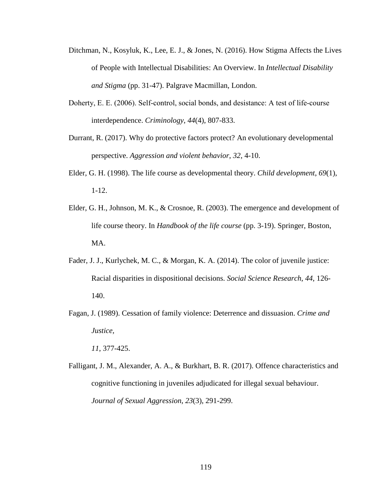- Ditchman, N., Kosyluk, K., Lee, E. J., & Jones, N. (2016). How Stigma Affects the Lives of People with Intellectual Disabilities: An Overview. In *Intellectual Disability and Stigma* (pp. 31-47). Palgrave Macmillan, London.
- Doherty, E. E. (2006). Self-control, social bonds, and desistance: A test of life-course interdependence. *Criminology*, *44*(4), 807-833.
- Durrant, R. (2017). Why do protective factors protect? An evolutionary developmental perspective. *Aggression and violent behavior*, *32*, 4-10.
- Elder, G. H. (1998). The life course as developmental theory. *Child development*, *69*(1), 1-12.
- Elder, G. H., Johnson, M. K., & Crosnoe, R. (2003). The emergence and development of life course theory. In *Handbook of the life course* (pp. 3-19). Springer, Boston, MA.
- Fader, J. J., Kurlychek, M. C., & Morgan, K. A. (2014). The color of juvenile justice: Racial disparities in dispositional decisions. *Social Science Research*, *44*, 126- 140.
- Fagan, J. (1989). Cessation of family violence: Deterrence and dissuasion. *Crime and Justice,*

*11*, 377-425.

Falligant, J. M., Alexander, A. A., & Burkhart, B. R. (2017). Offence characteristics and cognitive functioning in juveniles adjudicated for illegal sexual behaviour. *Journal of Sexual Aggression*, *23*(3), 291-299.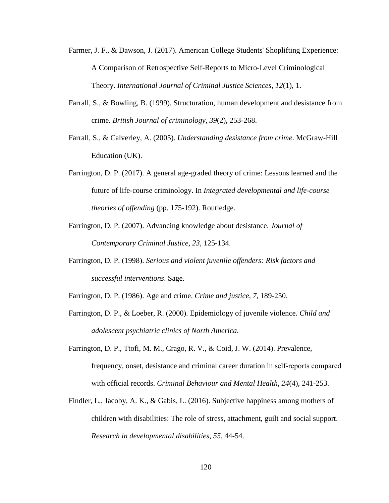- Farmer, J. F., & Dawson, J. (2017). American College Students' Shoplifting Experience: A Comparison of Retrospective Self-Reports to Micro-Level Criminological Theory. *International Journal of Criminal Justice Sciences*, *12*(1), 1.
- Farrall, S., & Bowling, B. (1999). Structuration, human development and desistance from crime. *British Journal of criminology*, *39*(2), 253-268.
- Farrall, S., & Calverley, A. (2005). *Understanding desistance from crime*. McGraw-Hill Education (UK).
- Farrington, D. P. (2017). A general age-graded theory of crime: Lessons learned and the future of life-course criminology. In *Integrated developmental and life-course theories of offending* (pp. 175-192). Routledge.
- Farrington, D. P. (2007). Advancing knowledge about desistance. *Journal of Contemporary Criminal Justice, 23,* 125-134.
- Farrington, D. P. (1998). *Serious and violent juvenile offenders: Risk factors and successful interventions*. Sage.
- Farrington, D. P. (1986). Age and crime. *Crime and justice*, *7*, 189-250.
- Farrington, D. P., & Loeber, R. (2000). Epidemiology of juvenile violence. *Child and adolescent psychiatric clinics of North America*.
- Farrington, D. P., Ttofi, M. M., Crago, R. V., & Coid, J. W. (2014). Prevalence, frequency, onset, desistance and criminal career duration in self‐reports compared with official records. *Criminal Behaviour and Mental Health*, *24*(4), 241-253.
- Findler, L., Jacoby, A. K., & Gabis, L. (2016). Subjective happiness among mothers of children with disabilities: The role of stress, attachment, guilt and social support. *Research in developmental disabilities*, *55*, 44-54.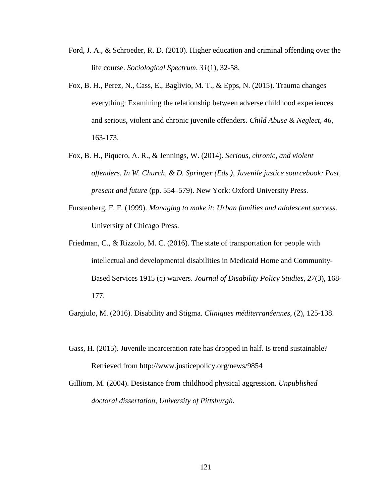- Ford, J. A., & Schroeder, R. D. (2010). Higher education and criminal offending over the life course. *Sociological Spectrum*, *31*(1), 32-58.
- Fox, B. H., Perez, N., Cass, E., Baglivio, M. T., & Epps, N. (2015). Trauma changes everything: Examining the relationship between adverse childhood experiences and serious, violent and chronic juvenile offenders. *Child Abuse & Neglect*, *46*, 163-173.
- Fox, B. H., Piquero, A. R., & Jennings, W. (2014). *Serious, chronic, and violent offenders. In W. Church, & D. Springer (Eds.), Juvenile justice sourcebook: Past, present and future* (pp. 554–579). New York: Oxford University Press.
- Furstenberg, F. F. (1999). *Managing to make it: Urban families and adolescent success*. University of Chicago Press.
- Friedman, C., & Rizzolo, M. C. (2016). The state of transportation for people with intellectual and developmental disabilities in Medicaid Home and Community-Based Services 1915 (c) waivers. *Journal of Disability Policy Studies*, *27*(3), 168- 177.

Gargiulo, M. (2016). Disability and Stigma. *Cliniques méditerranéennes*, (2), 125-138.

- Gass, H. (2015). Juvenile incarceration rate has dropped in half. Is trend sustainable? Retrieved from http://www.justicepolicy.org/news/9854
- Gilliom, M. (2004). Desistance from childhood physical aggression. *Unpublished doctoral dissertation, University of Pittsburgh*.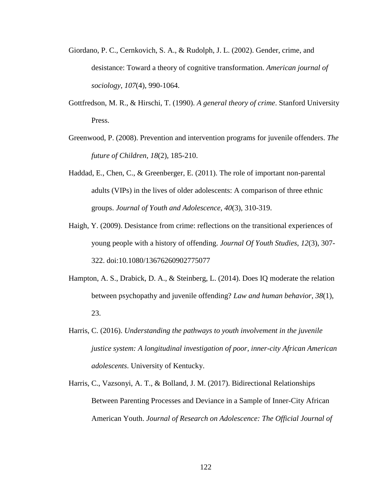- Giordano, P. C., Cernkovich, S. A., & Rudolph, J. L. (2002). Gender, crime, and desistance: Toward a theory of cognitive transformation. *American journal of sociology*, *107*(4), 990-1064.
- Gottfredson, M. R., & Hirschi, T. (1990). *A general theory of crime*. Stanford University Press.
- Greenwood, P. (2008). Prevention and intervention programs for juvenile offenders. *The future of Children*, *18*(2), 185-210.
- Haddad, E., Chen, C., & Greenberger, E. (2011). The role of important non-parental adults (VIPs) in the lives of older adolescents: A comparison of three ethnic groups. *Journal of Youth and Adolescence*, *40*(3), 310-319.
- Haigh, Y. (2009). Desistance from crime: reflections on the transitional experiences of young people with a history of offending. *Journal Of Youth Studies*, *12*(3), 307- 322. doi:10.1080/13676260902775077
- Hampton, A. S., Drabick, D. A., & Steinberg, L. (2014). Does IQ moderate the relation between psychopathy and juvenile offending? *Law and human behavior*, *38*(1), 23.
- Harris, C. (2016). *Understanding the pathways to youth involvement in the juvenile justice system: A longitudinal investigation of poor, inner-city African American adolescents*. University of Kentucky.
- Harris, C., Vazsonyi, A. T., & Bolland, J. M. (2017). Bidirectional Relationships Between Parenting Processes and Deviance in a Sample of Inner-City African American Youth. *Journal of Research on Adolescence: The Official Journal of*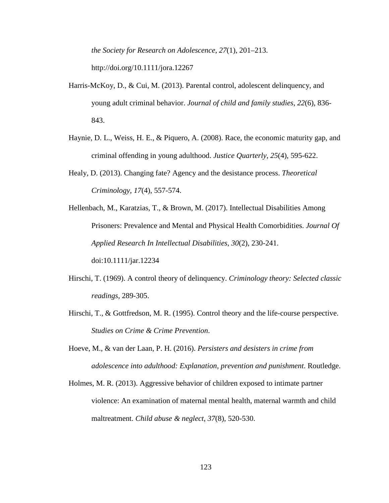*the Society for Research on Adolescence*, *27*(1), 201–213.

http://doi.org/10.1111/jora.12267

- Harris-McKoy, D., & Cui, M. (2013). Parental control, adolescent delinquency, and young adult criminal behavior. *Journal of child and family studies*, *22*(6), 836- 843.
- Haynie, D. L., Weiss, H. E., & Piquero, A. (2008). Race, the economic maturity gap, and criminal offending in young adulthood. *Justice Quarterly*, *25*(4), 595-622.
- Healy, D. (2013). Changing fate? Agency and the desistance process. *Theoretical Criminology*, *17*(4), 557-574.
- Hellenbach, M., Karatzias, T., & Brown, M. (2017). Intellectual Disabilities Among Prisoners: Prevalence and Mental and Physical Health Comorbidities. *Journal Of Applied Research In Intellectual Disabilities*, *30*(2), 230-241. doi:10.1111/jar.12234
- Hirschi, T. (1969). A control theory of delinquency. *Criminology theory: Selected classic readings*, 289-305.
- Hirschi, T., & Gottfredson, M. R. (1995). Control theory and the life-course perspective. *Studies on Crime & Crime Prevention*.
- Hoeve, M., & van der Laan, P. H. (2016). *Persisters and desisters in crime from adolescence into adulthood: Explanation, prevention and punishment*. Routledge.
- Holmes, M. R. (2013). Aggressive behavior of children exposed to intimate partner violence: An examination of maternal mental health, maternal warmth and child maltreatment. *Child abuse & neglect*, *37*(8), 520-530.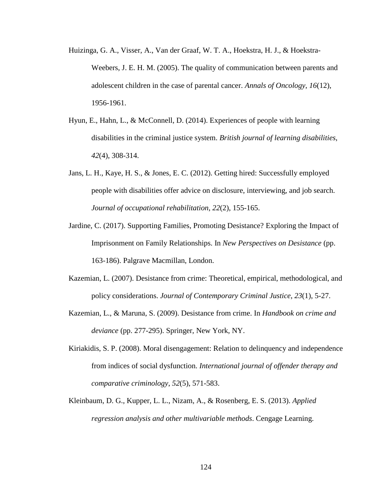- Huizinga, G. A., Visser, A., Van der Graaf, W. T. A., Hoekstra, H. J., & Hoekstra-Weebers, J. E. H. M. (2005). The quality of communication between parents and adolescent children in the case of parental cancer. *Annals of Oncology*, *16*(12), 1956-1961.
- Hyun, E., Hahn, L., & McConnell, D. (2014). Experiences of people with learning disabilities in the criminal justice system. *British journal of learning disabilities*, *42*(4), 308-314.
- Jans, L. H., Kaye, H. S., & Jones, E. C. (2012). Getting hired: Successfully employed people with disabilities offer advice on disclosure, interviewing, and job search. *Journal of occupational rehabilitation*, *22*(2), 155-165.
- Jardine, C. (2017). Supporting Families, Promoting Desistance? Exploring the Impact of Imprisonment on Family Relationships. In *New Perspectives on Desistance* (pp. 163-186). Palgrave Macmillan, London.
- Kazemian, L. (2007). Desistance from crime: Theoretical, empirical, methodological, and policy considerations. *Journal of Contemporary Criminal Justice*, *23*(1), 5-27.
- Kazemian, L., & Maruna, S. (2009). Desistance from crime. In *Handbook on crime and deviance* (pp. 277-295). Springer, New York, NY.
- Kiriakidis, S. P. (2008). Moral disengagement: Relation to delinquency and independence from indices of social dysfunction. *International journal of offender therapy and comparative criminology*, *52*(5), 571-583.
- Kleinbaum, D. G., Kupper, L. L., Nizam, A., & Rosenberg, E. S. (2013). *Applied regression analysis and other multivariable methods*. Cengage Learning.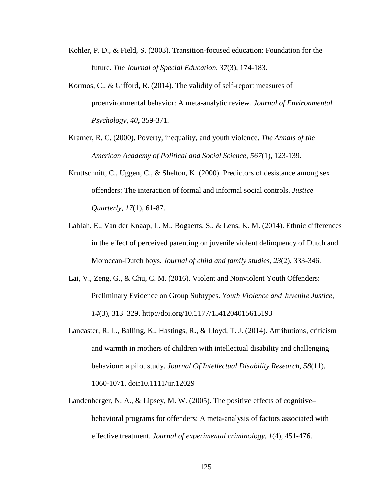- Kohler, P. D., & Field, S. (2003). Transition-focused education: Foundation for the future. *The Journal of Special Education*, *37*(3), 174-183.
- Kormos, C., & Gifford, R. (2014). The validity of self-report measures of proenvironmental behavior: A meta-analytic review. *Journal of Environmental Psychology*, *40*, 359-371.
- Kramer, R. C. (2000). Poverty, inequality, and youth violence. *The Annals of the American Academy of Political and Social Science*, *567*(1), 123-139.
- Kruttschnitt, C., Uggen, C., & Shelton, K. (2000). Predictors of desistance among sex offenders: The interaction of formal and informal social controls. *Justice Quarterly*, *17*(1), 61-87.
- Lahlah, E., Van der Knaap, L. M., Bogaerts, S., & Lens, K. M. (2014). Ethnic differences in the effect of perceived parenting on juvenile violent delinquency of Dutch and Moroccan-Dutch boys. *Journal of child and family studies*, *23*(2), 333-346.
- Lai, V., Zeng, G., & Chu, C. M. (2016). Violent and Nonviolent Youth Offenders: Preliminary Evidence on Group Subtypes. *Youth Violence and Juvenile Justice*, *14*(3), 313–329. http://doi.org/10.1177/1541204015615193
- Lancaster, R. L., Balling, K., Hastings, R., & Lloyd, T. J. (2014). Attributions, criticism and warmth in mothers of children with intellectual disability and challenging behaviour: a pilot study. *Journal Of Intellectual Disability Research*, *58*(11), 1060-1071. doi:10.1111/jir.12029
- Landenberger, N. A., & Lipsey, M. W. (2005). The positive effects of cognitive– behavioral programs for offenders: A meta-analysis of factors associated with effective treatment. *Journal of experimental criminology*, *1*(4), 451-476.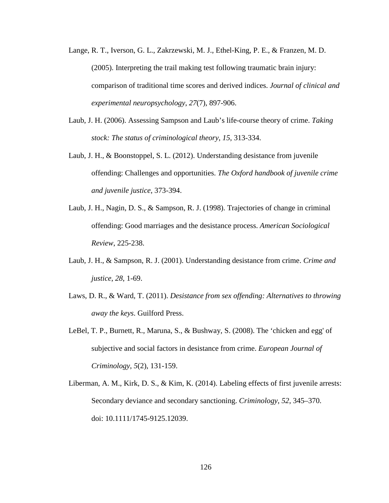- Lange, R. T., Iverson, G. L., Zakrzewski, M. J., Ethel-King, P. E., & Franzen, M. D. (2005). Interpreting the trail making test following traumatic brain injury: comparison of traditional time scores and derived indices. *Journal of clinical and experimental neuropsychology*, *27*(7), 897-906.
- Laub, J. H. (2006). Assessing Sampson and Laub's life-course theory of crime. *Taking stock: The status of criminological theory*, *15*, 313-334.
- Laub, J. H., & Boonstoppel, S. L. (2012). Understanding desistance from juvenile offending: Challenges and opportunities. *The Oxford handbook of juvenile crime and juvenile justice*, 373-394.
- Laub, J. H., Nagin, D. S., & Sampson, R. J. (1998). Trajectories of change in criminal offending: Good marriages and the desistance process. *American Sociological Review*, 225-238.
- Laub, J. H., & Sampson, R. J. (2001). Understanding desistance from crime. *Crime and justice*, *28*, 1-69.
- Laws, D. R., & Ward, T. (2011). *Desistance from sex offending: Alternatives to throwing away the keys*. Guilford Press.
- LeBel, T. P., Burnett, R., Maruna, S., & Bushway, S. (2008). The 'chicken and egg' of subjective and social factors in desistance from crime. *European Journal of Criminology*, *5*(2), 131-159.
- Liberman, A. M., Kirk, D. S., & Kim, K. (2014). Labeling effects of first juvenile arrests: Secondary deviance and secondary sanctioning. *Criminology*, *52*, 345–370. doi: 10.1111/1745-9125.12039.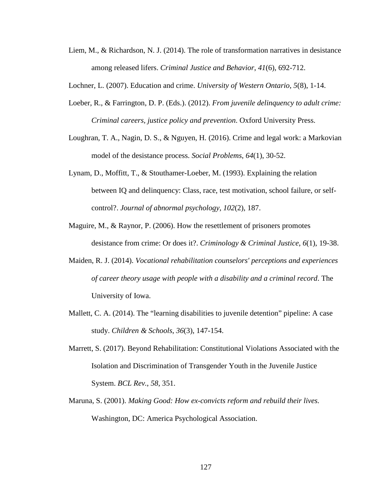- Liem, M., & Richardson, N. J. (2014). The role of transformation narratives in desistance among released lifers. *Criminal Justice and Behavior*, *41*(6), 692-712.
- Lochner, L. (2007). Education and crime. *University of Western Ontario*, *5*(8), 1-14.
- Loeber, R., & Farrington, D. P. (Eds.). (2012). *From juvenile delinquency to adult crime: Criminal careers, justice policy and prevention*. Oxford University Press.
- Loughran, T. A., Nagin, D. S., & Nguyen, H. (2016). Crime and legal work: a Markovian model of the desistance process. *Social Problems*, *64*(1), 30-52.
- Lynam, D., Moffitt, T., & Stouthamer-Loeber, M. (1993). Explaining the relation between IQ and delinquency: Class, race, test motivation, school failure, or selfcontrol?. *Journal of abnormal psychology*, *102*(2), 187.
- Maguire, M., & Raynor, P. (2006). How the resettlement of prisoners promotes desistance from crime: Or does it?. *Criminology & Criminal Justice*, *6*(1), 19-38.
- Maiden, R. J. (2014). *Vocational rehabilitation counselors' perceptions and experiences of career theory usage with people with a disability and a criminal record*. The University of Iowa.
- Mallett, C. A. (2014). The "learning disabilities to juvenile detention" pipeline: A case study. *Children & Schools*, *36*(3), 147-154.
- Marrett, S. (2017). Beyond Rehabilitation: Constitutional Violations Associated with the Isolation and Discrimination of Transgender Youth in the Juvenile Justice System. *BCL Rev.*, *58*, 351.
- Maruna, S. (2001). *Making Good: How ex-convicts reform and rebuild their lives.* Washington, DC: America Psychological Association.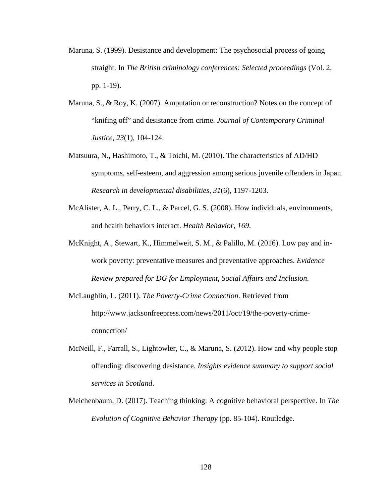- Maruna, S. (1999). Desistance and development: The psychosocial process of going straight. In *The British criminology conferences: Selected proceedings* (Vol. 2, pp. 1-19).
- Maruna, S., & Roy, K. (2007). Amputation or reconstruction? Notes on the concept of "knifing off" and desistance from crime. *Journal of Contemporary Criminal Justice*, *23*(1), 104-124.
- Matsuura, N., Hashimoto, T., & Toichi, M. (2010). The characteristics of AD/HD symptoms, self-esteem, and aggression among serious juvenile offenders in Japan. *Research in developmental disabilities*, *31*(6), 1197-1203.
- McAlister, A. L., Perry, C. L., & Parcel, G. S. (2008). How individuals, environments, and health behaviors interact. *Health Behavior*, *169*.
- McKnight, A., Stewart, K., Himmelweit, S. M., & Palillo, M. (2016). Low pay and inwork poverty: preventative measures and preventative approaches. *Evidence Review prepared for DG for Employment, Social Affairs and Inclusion*.
- McLaughlin, L. (2011). *The Poverty-Crime Connection*. Retrieved from http://www.jacksonfreepress.com/news/2011/oct/19/the-poverty-crimeconnection/
- McNeill, F., Farrall, S., Lightowler, C., & Maruna, S. (2012). How and why people stop offending: discovering desistance. *Insights evidence summary to support social services in Scotland*.
- Meichenbaum, D. (2017). Teaching thinking: A cognitive behavioral perspective. In *The Evolution of Cognitive Behavior Therapy* (pp. 85-104). Routledge.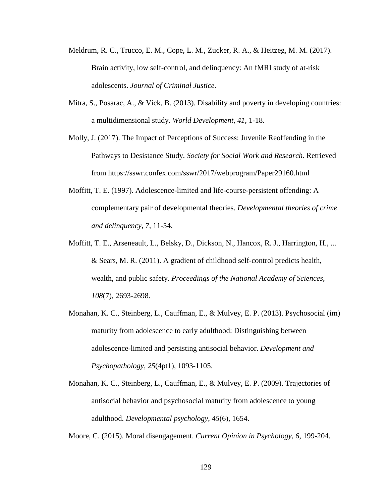- Meldrum, R. C., Trucco, E. M., Cope, L. M., Zucker, R. A., & Heitzeg, M. M. (2017). Brain activity, low self-control, and delinquency: An fMRI study of at-risk adolescents. *Journal of Criminal Justice*.
- Mitra, S., Posarac, A., & Vick, B. (2013). Disability and poverty in developing countries: a multidimensional study. *World Development*, *41*, 1-18.
- Molly, J. (2017). The Impact of Perceptions of Success: Juvenile Reoffending in the Pathways to Desistance Study. *Society for Social Work and Research*. Retrieved from https://sswr.confex.com/sswr/2017/webprogram/Paper29160.html
- Moffitt, T. E. (1997). Adolescence-limited and life-course-persistent offending: A complementary pair of developmental theories. *Developmental theories of crime and delinquency*, *7*, 11-54.
- Moffitt, T. E., Arseneault, L., Belsky, D., Dickson, N., Hancox, R. J., Harrington, H., ... & Sears, M. R. (2011). A gradient of childhood self-control predicts health, wealth, and public safety. *Proceedings of the National Academy of Sciences*, *108*(7), 2693-2698.
- Monahan, K. C., Steinberg, L., Cauffman, E., & Mulvey, E. P. (2013). Psychosocial (im) maturity from adolescence to early adulthood: Distinguishing between adolescence-limited and persisting antisocial behavior. *Development and Psychopathology*, *25*(4pt1), 1093-1105.
- Monahan, K. C., Steinberg, L., Cauffman, E., & Mulvey, E. P. (2009). Trajectories of antisocial behavior and psychosocial maturity from adolescence to young adulthood. *Developmental psychology*, *45*(6), 1654.

Moore, C. (2015). Moral disengagement. *Current Opinion in Psychology*, *6*, 199-204.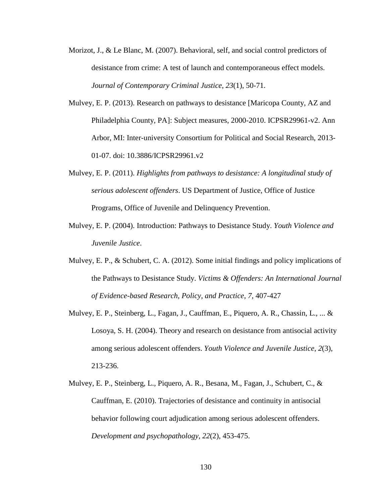- Morizot, J., & Le Blanc, M. (2007). Behavioral, self, and social control predictors of desistance from crime: A test of launch and contemporaneous effect models. *Journal of Contemporary Criminal Justice*, *23*(1), 50-71.
- Mulvey, E. P. (2013). Research on pathways to desistance [Maricopa County, AZ and Philadelphia County, PA]: Subject measures, 2000-2010. ICPSR29961-v2. Ann Arbor, MI: Inter-university Consortium for Political and Social Research, 2013- 01-07. doi: 10.3886/ICPSR29961.v2
- Mulvey, E. P. (2011). *Highlights from pathways to desistance: A longitudinal study of serious adolescent offenders*. US Department of Justice, Office of Justice Programs, Office of Juvenile and Delinquency Prevention.
- Mulvey, E. P. (2004). Introduction: Pathways to Desistance Study. *Youth Violence and Juvenile Justice*.
- Mulvey, E. P., & Schubert, C. A. (2012). Some initial findings and policy implications of the Pathways to Desistance Study. *Victims & Offenders: An International Journal of Evidence-based Research, Policy, and Practice, 7,* 407-427
- Mulvey, E. P., Steinberg, L., Fagan, J., Cauffman, E., Piquero, A. R., Chassin, L., ... & Losoya, S. H. (2004). Theory and research on desistance from antisocial activity among serious adolescent offenders. *Youth Violence and Juvenile Justice*, *2*(3), 213-236.
- Mulvey, E. P., Steinberg, L., Piquero, A. R., Besana, M., Fagan, J., Schubert, C., & Cauffman, E. (2010). Trajectories of desistance and continuity in antisocial behavior following court adjudication among serious adolescent offenders. *Development and psychopathology*, *22*(2), 453-475.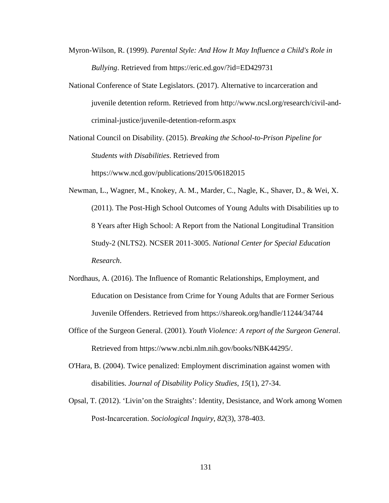- Myron-Wilson, R. (1999). *Parental Style: And How It May Influence a Child's Role in Bullying*. Retrieved from https://eric.ed.gov/?id=ED429731
- National Conference of State Legislators. (2017). Alternative to incarceration and juvenile detention reform. Retrieved from http://www.ncsl.org/research/civil-andcriminal-justice/juvenile-detention-reform.aspx

National Council on Disability. (2015). *Breaking the School-to-Prison Pipeline for Students with Disabilities*. Retrieved from https://www.ncd.gov/publications/2015/06182015

Newman, L., Wagner, M., Knokey, A. M., Marder, C., Nagle, K., Shaver, D., & Wei, X. (2011). The Post-High School Outcomes of Young Adults with Disabilities up to 8 Years after High School: A Report from the National Longitudinal Transition Study-2 (NLTS2). NCSER 2011-3005. *National Center for Special Education Research*.

- Nordhaus, A. (2016). The Influence of Romantic Relationships, Employment, and Education on Desistance from Crime for Young Adults that are Former Serious Juvenile Offenders. Retrieved from https://shareok.org/handle/11244/34744
- Office of the Surgeon General. (2001). *Youth Violence: A report of the Surgeon General*. Retrieved from https://www.ncbi.nlm.nih.gov/books/NBK44295/.
- O'Hara, B. (2004). Twice penalized: Employment discrimination against women with disabilities. *Journal of Disability Policy Studies*, *15*(1), 27-34.
- Opsal, T. (2012). 'Livin'on the Straights': Identity, Desistance, and Work among Women Post‐Incarceration. *Sociological Inquiry*, *82*(3), 378-403.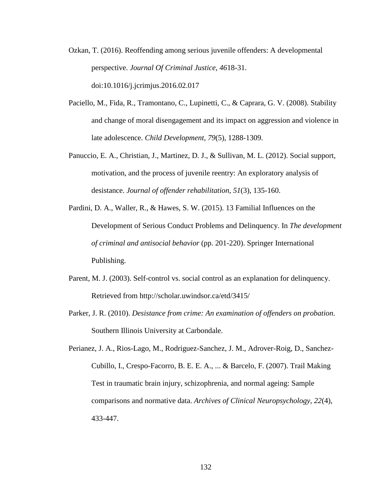- Ozkan, T. (2016). Reoffending among serious juvenile offenders: A developmental perspective. *Journal Of Criminal Justice*, *46*18-31. doi:10.1016/j.jcrimjus.2016.02.017
- Paciello, M., Fida, R., Tramontano, C., Lupinetti, C., & Caprara, G. V. (2008). Stability and change of moral disengagement and its impact on aggression and violence in late adolescence. *Child Development*, *79*(5), 1288-1309.
- Panuccio, E. A., Christian, J., Martinez, D. J., & Sullivan, M. L. (2012). Social support, motivation, and the process of juvenile reentry: An exploratory analysis of desistance. *Journal of offender rehabilitation*, *51*(3), 135-160.
- Pardini, D. A., Waller, R., & Hawes, S. W. (2015). 13 Familial Influences on the Development of Serious Conduct Problems and Delinquency. In *The development of criminal and antisocial behavior* (pp. 201-220). Springer International Publishing.
- Parent, M. J. (2003). Self-control vs. social control as an explanation for delinquency. Retrieved from http://scholar.uwindsor.ca/etd/3415/
- Parker, J. R. (2010). *Desistance from crime: An examination of offenders on probation*. Southern Illinois University at Carbondale.
- Perianez, J. A., Rios-Lago, M., Rodriguez-Sanchez, J. M., Adrover-Roig, D., Sanchez-Cubillo, I., Crespo-Facorro, B. E. E. A., ... & Barcelo, F. (2007). Trail Making Test in traumatic brain injury, schizophrenia, and normal ageing: Sample comparisons and normative data. *Archives of Clinical Neuropsychology*, *22*(4), 433-447.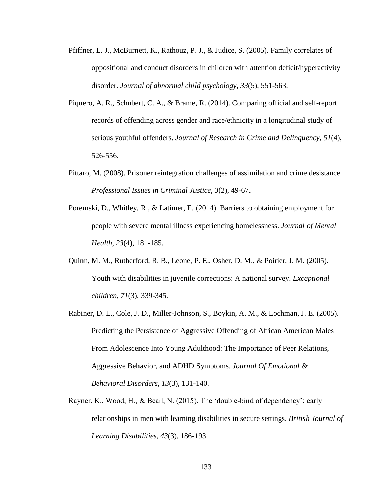- Pfiffner, L. J., McBurnett, K., Rathouz, P. J., & Judice, S. (2005). Family correlates of oppositional and conduct disorders in children with attention deficit/hyperactivity disorder. *Journal of abnormal child psychology*, *33*(5), 551-563.
- Piquero, A. R., Schubert, C. A., & Brame, R. (2014). Comparing official and self-report records of offending across gender and race/ethnicity in a longitudinal study of serious youthful offenders. *Journal of Research in Crime and Delinquency*, *51*(4), 526-556.
- Pittaro, M. (2008). Prisoner reintegration challenges of assimilation and crime desistance. *Professional Issues in Criminal Justice*, *3*(2), 49-67.
- Poremski, D., Whitley, R., & Latimer, E. (2014). Barriers to obtaining employment for people with severe mental illness experiencing homelessness. *Journal of Mental Health*, *23*(4), 181-185.
- Quinn, M. M., Rutherford, R. B., Leone, P. E., Osher, D. M., & Poirier, J. M. (2005). Youth with disabilities in juvenile corrections: A national survey. *Exceptional children*, *71*(3), 339-345.
- Rabiner, D. L., Cole, J. D., Miller-Johnson, S., Boykin, A. M., & Lochman, J. E. (2005). Predicting the Persistence of Aggressive Offending of African American Males From Adolescence Into Young Adulthood: The Importance of Peer Relations, Aggressive Behavior, and ADHD Symptoms. *Journal Of Emotional & Behavioral Disorders*, *13*(3), 131-140.
- Rayner, K., Wood, H., & Beail, N. (2015). The 'double‐bind of dependency': early relationships in men with learning disabilities in secure settings. *British Journal of Learning Disabilities*, *43*(3), 186-193.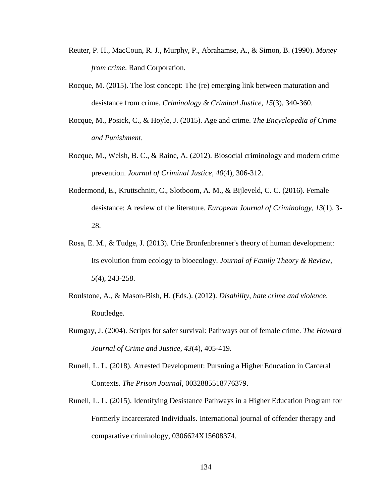- Reuter, P. H., MacCoun, R. J., Murphy, P., Abrahamse, A., & Simon, B. (1990). *Money from crime*. Rand Corporation.
- Rocque, M. (2015). The lost concept: The (re) emerging link between maturation and desistance from crime. *Criminology & Criminal Justice*, *15*(3), 340-360.
- Rocque, M., Posick, C., & Hoyle, J. (2015). Age and crime. *The Encyclopedia of Crime and Punishment*.
- Rocque, M., Welsh, B. C., & Raine, A. (2012). Biosocial criminology and modern crime prevention. *Journal of Criminal Justice*, *40*(4), 306-312.
- Rodermond, E., Kruttschnitt, C., Slotboom, A. M., & Bijleveld, C. C. (2016). Female desistance: A review of the literature. *European Journal of Criminology*, *13*(1), 3- 28.
- Rosa, E. M., & Tudge, J. (2013). Urie Bronfenbrenner's theory of human development: Its evolution from ecology to bioecology. *Journal of Family Theory & Review*, *5*(4), 243-258.
- Roulstone, A., & Mason-Bish, H. (Eds.). (2012). *Disability, hate crime and violence*. Routledge.
- Rumgay, J. (2004). Scripts for safer survival: Pathways out of female crime. *The Howard Journal of Crime and Justice*, *43*(4), 405-419.
- Runell, L. L. (2018). Arrested Development: Pursuing a Higher Education in Carceral Contexts. *The Prison Journal*, 0032885518776379.
- Runell, L. L. (2015). Identifying Desistance Pathways in a Higher Education Program for Formerly Incarcerated Individuals. International journal of offender therapy and comparative criminology, 0306624X15608374.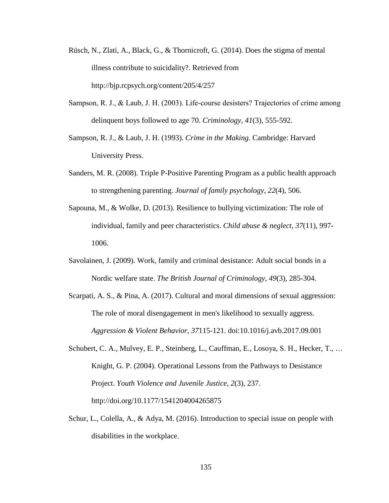- Rüsch, N., Zlati, A., Black, G., & Thornicroft, G. (2014). Does the stigma of mental illness contribute to suicidality?. Retrieved from http://bjp.rcpsych.org/content/205/4/257
- Sampson, R. J., & Laub, J. H. (2003). Life-course desisters? Trajectories of crime among delinquent boys followed to age 70. *Criminology*, *41*(3), 555-592.
- Sampson, R. J., & Laub, J. H. (1993). *Crime in the Making.* Cambridge: Harvard University Press.
- Sanders, M. R. (2008). Triple P-Positive Parenting Program as a public health approach to strengthening parenting. *Journal of family psychology*, *22*(4), 506.
- Sapouna, M., & Wolke, D. (2013). Resilience to bullying victimization: The role of individual, family and peer characteristics. *Child abuse & neglect*, *37*(11), 997- 1006.
- Savolainen, J. (2009). Work, family and criminal desistance: Adult social bonds in a Nordic welfare state. *The British Journal of Criminology*, *49*(3), 285-304.
- Scarpati, A. S., & Pina, A. (2017). Cultural and moral dimensions of sexual aggression: The role of moral disengagement in men's likelihood to sexually aggress. *Aggression & Violent Behavior*, *37*115-121. doi:10.1016/j.avb.2017.09.001
- Schubert, C. A., Mulvey, E. P., Steinberg, L., Cauffman, E., Losoya, S. H., Hecker, T., … Knight, G. P. (2004). Operational Lessons from the Pathways to Desistance Project. *Youth Violence and Juvenile Justice*, *2*(3), 237. http://doi.org/10.1177/1541204004265875
- Schur, L., Colella, A., & Adya, M. (2016). Introduction to special issue on people with disabilities in the workplace.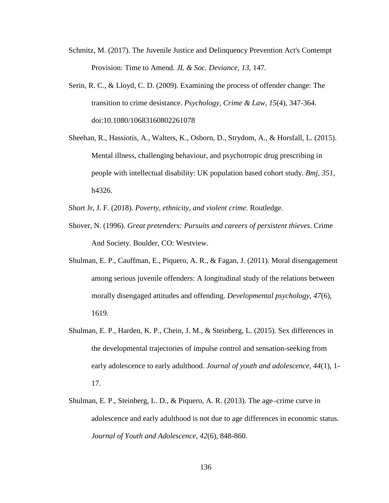- Schmitz, M. (2017). The Juvenile Justice and Delinquency Prevention Act's Contempt Provision: Time to Amend. *JL & Soc. Deviance*, *13*, 147.
- Serin, R. C., & Lloyd, C. D. (2009). Examining the process of offender change: The transition to crime desistance. *Psychology, Crime & Law*, *15*(4), 347-364. doi:10.1080/10683160802261078
- Sheehan, R., Hassiotis, A., Walters, K., Osborn, D., Strydom, A., & Horsfall, L. (2015). Mental illness, challenging behaviour, and psychotropic drug prescribing in people with intellectual disability: UK population based cohort study. *Bmj*, *351*, h4326.
- Short Jr, J. F. (2018). *Poverty, ethnicity, and violent crime*. Routledge.
- Shover, N. (1996). *Great pretenders: Pursuits and careers of persistent thieves*. Crime And Society. Boulder, CO: Westview.
- Shulman, E. P., Cauffman, E., Piquero, A. R., & Fagan, J. (2011). Moral disengagement among serious juvenile offenders: A longitudinal study of the relations between morally disengaged attitudes and offending. *Developmental psychology*, *47*(6), 1619.
- Shulman, E. P., Harden, K. P., Chein, J. M., & Steinberg, L. (2015). Sex differences in the developmental trajectories of impulse control and sensation-seeking from early adolescence to early adulthood. *Journal of youth and adolescence*, *44*(1), 1- 17.
- Shulman, E. P., Steinberg, L. D., & Piquero, A. R. (2013). The age–crime curve in adolescence and early adulthood is not due to age differences in economic status. *Journal of Youth and Adolescence*, *42*(6), 848-860.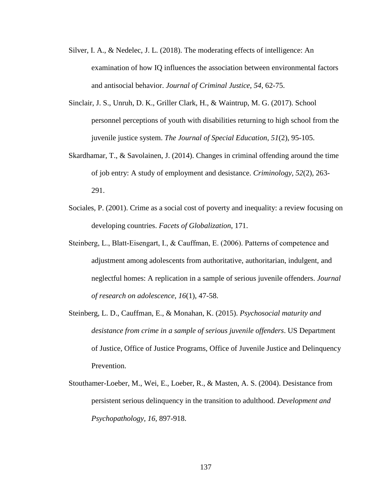- Silver, I. A., & Nedelec, J. L. (2018). The moderating effects of intelligence: An examination of how IQ influences the association between environmental factors and antisocial behavior. *Journal of Criminal Justice*, *54*, 62-75.
- Sinclair, J. S., Unruh, D. K., Griller Clark, H., & Waintrup, M. G. (2017). School personnel perceptions of youth with disabilities returning to high school from the juvenile justice system. *The Journal of Special Education*, *51*(2), 95-105.
- Skardhamar, T., & Savolainen, J. (2014). Changes in criminal offending around the time of job entry: A study of employment and desistance. *Criminology*, *52*(2), 263- 291.
- Sociales, P. (2001). Crime as a social cost of poverty and inequality: a review focusing on developing countries. *Facets of Globalization*, 171.
- Steinberg, L., Blatt-Eisengart, I., & Cauffman, E. (2006). Patterns of competence and adjustment among adolescents from authoritative, authoritarian, indulgent, and neglectful homes: A replication in a sample of serious juvenile offenders. *Journal of research on adolescence*, *16*(1), 47-58.
- Steinberg, L. D., Cauffman, E., & Monahan, K. (2015). *Psychosocial maturity and desistance from crime in a sample of serious juvenile offenders*. US Department of Justice, Office of Justice Programs, Office of Juvenile Justice and Delinquency Prevention.
- Stouthamer-Loeber, M., Wei, E., Loeber, R., & Masten, A. S. (2004). Desistance from persistent serious delinquency in the transition to adulthood. *Development and Psychopathology, 16,* 897-918.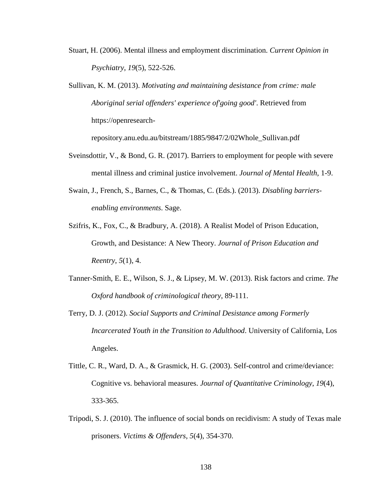- Stuart, H. (2006). Mental illness and employment discrimination. *Current Opinion in Psychiatry*, *19*(5), 522-526.
- Sullivan, K. M. (2013). *Motivating and maintaining desistance from crime: male Aboriginal serial offenders' experience of'going good'*. Retrieved from https://openresearch-

repository.anu.edu.au/bitstream/1885/9847/2/02Whole\_Sullivan.pdf

- Sveinsdottir, V., & Bond, G. R. (2017). Barriers to employment for people with severe mental illness and criminal justice involvement. *Journal of Mental Health*, 1-9.
- Swain, J., French, S., Barnes, C., & Thomas, C. (Eds.). (2013). *Disabling barriersenabling environments*. Sage.
- Szifris, K., Fox, C., & Bradbury, A. (2018). A Realist Model of Prison Education, Growth, and Desistance: A New Theory. *Journal of Prison Education and Reentry*, *5*(1), 4.
- Tanner-Smith, E. E., Wilson, S. J., & Lipsey, M. W. (2013). Risk factors and crime. *The Oxford handbook of criminological theory*, 89-111.
- Terry, D. J. (2012). *Social Supports and Criminal Desistance among Formerly Incarcerated Youth in the Transition to Adulthood*. University of California, Los Angeles.
- Tittle, C. R., Ward, D. A., & Grasmick, H. G. (2003). Self-control and crime/deviance: Cognitive vs. behavioral measures. *Journal of Quantitative Criminology*, *19*(4), 333-365.
- Tripodi, S. J. (2010). The influence of social bonds on recidivism: A study of Texas male prisoners. *Victims & Offenders*, *5*(4), 354-370.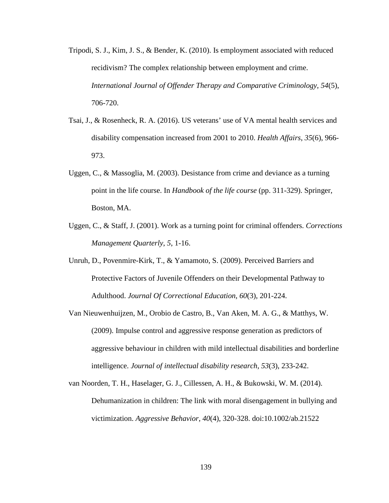- Tripodi, S. J., Kim, J. S., & Bender, K. (2010). Is employment associated with reduced recidivism? The complex relationship between employment and crime. *International Journal of Offender Therapy and Comparative Criminology*, *54*(5), 706-720.
- Tsai, J., & Rosenheck, R. A. (2016). US veterans' use of VA mental health services and disability compensation increased from 2001 to 2010. *Health Affairs*, *35*(6), 966- 973.
- Uggen, C., & Massoglia, M. (2003). Desistance from crime and deviance as a turning point in the life course. In *Handbook of the life course* (pp. 311-329). Springer, Boston, MA.
- Uggen, C., & Staff, J. (2001). Work as a turning point for criminal offenders. *Corrections Management Quarterly*, *5*, 1-16.
- Unruh, D., Povenmire-Kirk, T., & Yamamoto, S. (2009). Perceived Barriers and Protective Factors of Juvenile Offenders on their Developmental Pathway to Adulthood. *Journal Of Correctional Education*, *60*(3), 201-224.
- Van Nieuwenhuijzen, M., Orobio de Castro, B., Van Aken, M. A. G., & Matthys, W. (2009). Impulse control and aggressive response generation as predictors of aggressive behaviour in children with mild intellectual disabilities and borderline intelligence. *Journal of intellectual disability research*, *53*(3), 233-242.
- van Noorden, T. H., Haselager, G. J., Cillessen, A. H., & Bukowski, W. M. (2014). Dehumanization in children: The link with moral disengagement in bullying and victimization. *Aggressive Behavior*, *40*(4), 320-328. doi:10.1002/ab.21522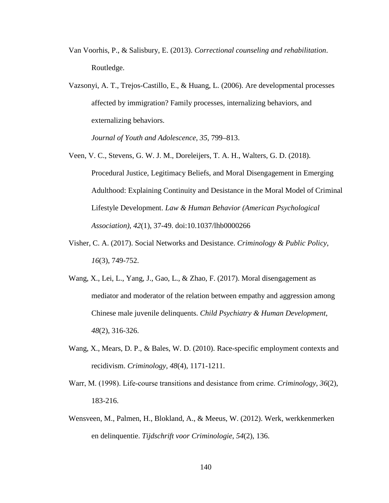- Van Voorhis, P., & Salisbury, E. (2013). *Correctional counseling and rehabilitation*. Routledge.
- Vazsonyi, A. T., Trejos-Castillo, E., & Huang, L. (2006). Are developmental processes affected by immigration? Family processes, internalizing behaviors, and externalizing behaviors.

*Journal of Youth and Adolescence, 35*, 799–813.

- Veen, V. C., Stevens, G. W. J. M., Doreleijers, T. A. H., Walters, G. D. (2018). Procedural Justice, Legitimacy Beliefs, and Moral Disengagement in Emerging Adulthood: Explaining Continuity and Desistance in the Moral Model of Criminal Lifestyle Development. *Law & Human Behavior (American Psychological Association)*, *42*(1), 37-49. doi:10.1037/lhb0000266
- Visher, C. A. (2017). Social Networks and Desistance. *Criminology & Public Policy*, *16*(3), 749-752.
- Wang, X., Lei, L., Yang, J., Gao, L., & Zhao, F. (2017). Moral disengagement as mediator and moderator of the relation between empathy and aggression among Chinese male juvenile delinquents. *Child Psychiatry & Human Development*, *48*(2), 316-326.
- Wang, X., Mears, D. P., & Bales, W. D. (2010). Race-specific employment contexts and recidivism. *Criminology, 48*(4), 1171-1211.
- Warr, M. (1998). Life-course transitions and desistance from crime. *Criminology*, 36(2), 183-216.
- Wensveen, M., Palmen, H., Blokland, A., & Meeus, W. (2012). Werk, werkkenmerken en delinquentie. *Tijdschrift voor Criminologie*, *54*(2), 136.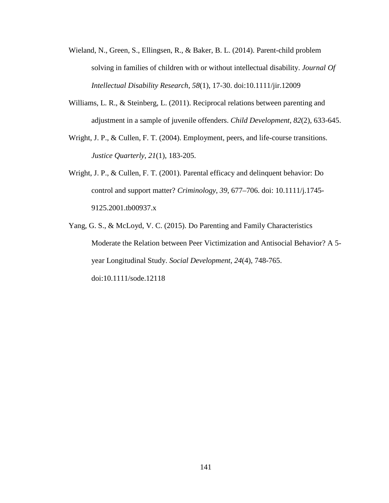- Wieland, N., Green, S., Ellingsen, R., & Baker, B. L. (2014). Parent-child problem solving in families of children with or without intellectual disability. *Journal Of Intellectual Disability Research*, *58*(1), 17-30. doi:10.1111/jir.12009
- Williams, L. R., & Steinberg, L. (2011). Reciprocal relations between parenting and adjustment in a sample of juvenile offenders. *Child Development*, *82*(2), 633-645.
- Wright, J. P., & Cullen, F. T. (2004). Employment, peers, and life-course transitions. *Justice Quarterly*, *21*(1), 183-205.
- Wright, J. P., & Cullen, F. T. (2001). Parental efficacy and delinquent behavior: Do control and support matter? *Criminology*, *39*, 677–706. doi: 10.1111/j.1745- 9125.2001.tb00937.x
- Yang, G. S., & McLoyd, V. C. (2015). Do Parenting and Family Characteristics Moderate the Relation between Peer Victimization and Antisocial Behavior? A 5 year Longitudinal Study. *Social Development*, *24*(4), 748-765. doi:10.1111/sode.12118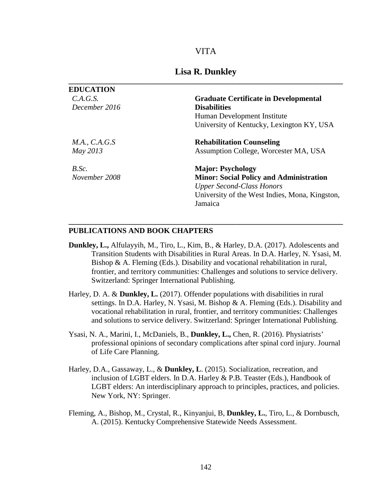#### VITA

## **Lisa R. Dunkley \_\_\_\_\_\_\_\_\_\_\_\_\_\_\_\_\_\_\_\_\_\_\_\_\_\_\_\_\_\_\_\_\_\_\_\_\_\_\_\_\_\_\_\_\_\_\_\_\_\_\_\_\_\_\_\_\_\_\_\_\_\_\_\_\_\_\_\_\_\_\_\_**

| <b>EDUCATION</b> |                                                |
|------------------|------------------------------------------------|
| C.A.G.S.         | <b>Graduate Certificate in Developmental</b>   |
| December 2016    | <b>Disabilities</b>                            |
|                  | Human Development Institute                    |
|                  | University of Kentucky, Lexington KY, USA      |
| M.A., C.A.G.S    | <b>Rehabilitation Counseling</b>               |
| May 2013         | Assumption College, Worcester MA, USA          |
| B.Sc.            | <b>Major: Psychology</b>                       |
| November 2008    | <b>Minor: Social Policy and Administration</b> |
|                  | <b>Upper Second-Class Honors</b>               |
|                  | University of the West Indies, Mona, Kingston, |
|                  | Jamaica                                        |

#### **PUBLICATIONS AND BOOK CHAPTERS**

**Dunkley, L.,** Alfulayyih, M., Tiro, L., Kim, B., & Harley, D.A. (2017). Adolescents and Transition Students with Disabilities in Rural Areas. In D.A. Harley, N. Ysasi, M. Bishop & A. Fleming (Eds.). Disability and vocational rehabilitation in rural, frontier, and territory communities: Challenges and solutions to service delivery. Switzerland: Springer International Publishing.

**\_\_\_\_\_\_\_\_\_\_\_\_\_\_\_\_\_\_\_\_\_\_\_\_\_\_\_\_\_\_\_\_\_\_\_\_\_\_\_\_\_\_\_\_\_\_\_\_\_\_\_\_\_\_\_\_\_\_\_\_\_\_\_\_\_\_\_\_\_\_\_\_**

- Harley, D. A. & **Dunkley, L.** (2017). Offender populations with disabilities in rural settings. In D.A. Harley, N. Ysasi, M. Bishop & A. Fleming (Eds.). Disability and vocational rehabilitation in rural, frontier, and territory communities: Challenges and solutions to service delivery. Switzerland: Springer International Publishing.
- Ysasi, N. A., Marini, I., McDaniels, B., **Dunkley, L.,** Chen, R. (2016). Physiatrists' professional opinions of secondary complications after spinal cord injury. Journal of Life Care Planning.
- Harley, D.A., Gassaway, L., & **Dunkley, L**. (2015). Socialization, recreation, and inclusion of LGBT elders. In D.A. Harley & P.B. Teaster (Eds.), Handbook of LGBT elders: An interdisciplinary approach to principles, practices, and policies. New York, NY: Springer.
- Fleming, A., Bishop, M., Crystal, R., Kinyanjui, B, **Dunkley, L.**, Tiro, L., & Dornbusch, A. (2015). Kentucky Comprehensive Statewide Needs Assessment.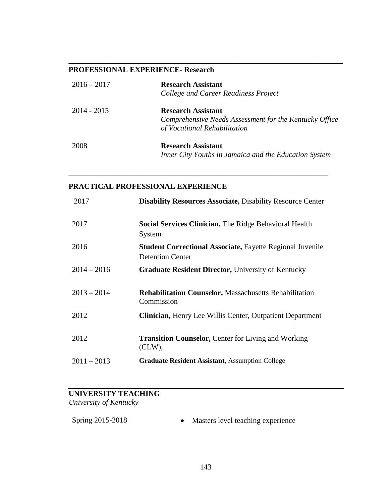## **PROFESSIONAL EXPERIENCE- Research**

| $2016 - 2017$ | <b>Research Assistant</b><br>College and Career Readiness Project                                                   |
|---------------|---------------------------------------------------------------------------------------------------------------------|
| $2014 - 2015$ | <b>Research Assistant</b><br>Comprehensive Needs Assessment for the Kentucky Office<br>of Vocational Rehabilitation |
| 2008          | <b>Research Assistant</b><br>Inner City Youths in Jamaica and the Education System                                  |

**\_\_\_\_\_\_\_\_\_\_\_\_\_\_\_\_\_\_\_\_\_\_\_\_\_\_\_\_\_\_\_\_\_\_\_\_\_\_\_\_\_\_\_\_\_\_\_\_\_\_\_\_\_\_\_\_\_\_\_\_\_\_\_\_\_\_\_\_**

**\_\_\_\_\_\_\_\_\_\_\_\_\_\_\_\_\_\_\_\_\_\_\_\_\_\_\_\_\_\_\_\_\_\_\_\_\_\_\_\_\_\_\_\_\_\_\_\_\_\_\_\_\_\_\_\_\_\_\_\_\_\_\_\_\_\_\_\_\_\_\_\_**

## **PRACTICAL PROFESSIONAL EXPERIENCE**

| 2017          | <b>Disability Resources Associate, Disability Resource Center</b>                           |
|---------------|---------------------------------------------------------------------------------------------|
| 2017          | <b>Social Services Clinician, The Ridge Behavioral Health</b><br>System                     |
| 2016          | <b>Student Correctional Associate, Fayette Regional Juvenile</b><br><b>Detention Center</b> |
| $2014 - 2016$ | <b>Graduate Resident Director, University of Kentucky</b>                                   |
| $2013 - 2014$ | <b>Rehabilitation Counselor, Massachusetts Rehabilitation</b><br>Commission                 |
| 2012          | <b>Clinician, Henry Lee Willis Center, Outpatient Department</b>                            |
| 2012          | <b>Transition Counselor, Center for Living and Working</b><br>(CLW),                        |
| $2011 - 2013$ | <b>Graduate Resident Assistant, Assumption College</b>                                      |

# **UNIVERSITY TEACHING**

*University of Kentucky*

| Spring 2015-2018 |  | Masters level teaching experience |  |
|------------------|--|-----------------------------------|--|
|------------------|--|-----------------------------------|--|